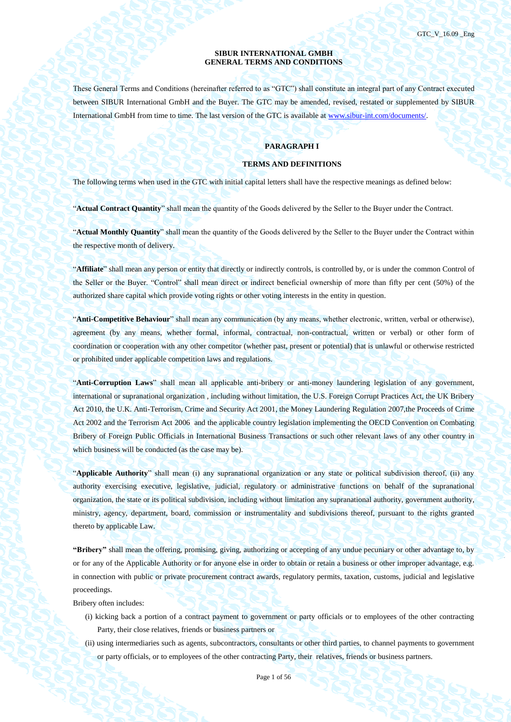### **SIBUR INTERNATIONAL GMBH GENERAL TERMS AND CONDITIONS**

These General Terms and Conditions (hereinafter referred to as "GTC") shall constitute an integral part of any Contract executed between SIBUR International GmbH and the Buyer. The GTC may be amended, revised, restated or supplemented by SIBUR International GmbH from time to time. The last version of the GTC is available a[t www.sibur-int.com/documents/.](http://www.sibur-int.com/documents/)

# **PARAGRAPH I**

### **TERMS AND DEFINITIONS**

The following terms when used in the GTC with initial capital letters shall have the respective meanings as defined below:

"**Actual Contract Quantity**" shall mean the quantity of the Goods delivered by the Seller to the Buyer under the Contract.

"**Actual Monthly Quantity**" shall mean the quantity of the Goods delivered by the Seller to the Buyer under the Contract within the respective month of delivery.

"**Affiliate**" shall mean any person or entity that directly or indirectly controls, is controlled by, or is under the common Control of the Seller or the Buyer. "Control" shall mean direct or indirect beneficial ownership of more than fifty per cent (50%) of the authorized share capital which provide voting rights or other voting interests in the entity in question.

"**Anti-Competitive Behaviour**" shall mean any communication (by any means, whether electronic, written, verbal or otherwise), agreement (by any means, whether formal, informal, contractual, non-contractual, written or verbal) or other form of coordination or cooperation with any other competitor (whether past, present or potential) that is unlawful or otherwise restricted or prohibited under applicable competition laws and regulations.

"**Anti-Corruption Laws**" shall mean all applicable anti-bribery or anti-money laundering legislation of any government, international or supranational organization , including without limitation, the U.S. Foreign Corrupt Practices Act, the UK Bribery Act 2010, the U.K. Anti-Terrorism, Crime and Security Act 2001, the Money Laundering Regulation 2007,the Proceeds of Crime Act 2002 and the Terrorism Act 2006 and the applicable country legislation implementing the OECD Convention on Combating Bribery of Foreign Public Officials in International Business Transactions or such other relevant laws of any other country in which business will be conducted (as the case may be).

"**Applicable Authority**" shall mean (i) any supranational organization or any state or political subdivision thereof, (ii) any authority exercising executive, legislative, judicial, regulatory or administrative functions on behalf of the supranational organization, the state or its political subdivision, including without limitation any supranational authority, government authority, ministry, agency, department, board, commission or instrumentality and subdivisions thereof, pursuant to the rights granted thereto by applicable Law.

**"Bribery"** shall mean the offering, promising, giving, authorizing or accepting of any undue pecuniary or other advantage to, by or for any of the Applicable Authority or for anyone else in order to obtain or retain a business or other improper advantage, e.g. in connection with public or private procurement contract awards, regulatory permits, taxation, customs, judicial and legislative proceedings.

Bribery often includes:

- (i) kicking back a portion of a contract payment to government or party officials or to employees of the other contracting Party, their close relatives, friends or business partners or
- (ii) using intermediaries such as agents, subcontractors, consultants or other third parties, to channel payments to government or party officials, or to employees of the other contracting Party, their relatives, friends or business partners.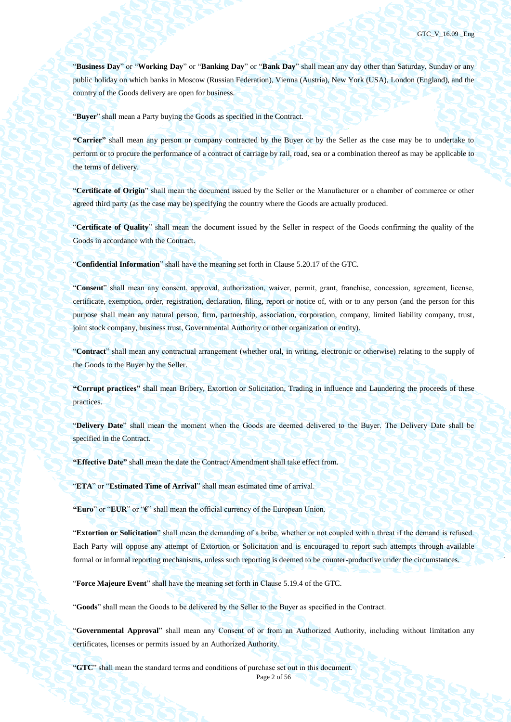"**Business Day**" or "**Working Day**" or "**Banking Day**" or "**Bank Day**" shall mean any day other than Saturday, Sunday or any public holiday on which banks in Moscow (Russian Federation), Vienna (Austria), New York (USA), London (England), and the country of the Goods delivery are open for business.

"**Buyer**" shall mean a Party buying the Goods as specified in the Contract.

**"Carrier"** shall mean any person or company contracted by the Buyer or by the Seller as the case may be to undertake to perform or to procure the performance of a contract of carriage by rail, road, sea or a combination thereof as may be applicable to the terms of delivery.

"**Certificate of Origin**" shall mean the document issued by the Seller or the Manufacturer or a chamber of commerce or other agreed third party (as the case may be) specifying the country where the Goods are actually produced.

"**Certificate of Quality**" shall mean the document issued by the Seller in respect of the Goods confirming the quality of the Goods in accordance with the Contract.

"**Confidential Information**" shall have the meaning set forth in Clause 5.20.17 of the GTC.

"**Consent**" shall mean any consent, approval, authorization, waiver, permit, grant, franchise, concession, agreement, license, certificate, exemption, order, registration, declaration, filing, report or notice of, with or to any person (and the person for this purpose shall mean any natural person, firm, partnership, association, corporation, company, limited liability company, trust, joint stock company, business trust, Governmental Authority or other organization or entity).

"**Contract**" shall mean any contractual arrangement (whether oral, in writing, electronic or otherwise) relating to the supply of the Goods to the Buyer by the Seller.

**"Corrupt practices"** shall mean Bribery, Extortion or Solicitation, Trading in influence and Laundering the proceeds of these practices.

"**Delivery Date**" shall mean the moment when the Goods are deemed delivered to the Buyer. The Delivery Date shall be specified in the Contract.

**"Effective Date"** shall mean the date the Contract/Amendment shall take effect from.

"**ETA**" or "**Estimated Time of Arrival**" shall mean estimated time of arrival.

**"Euro**" or "**EUR**" or "**€**" shall mean the official currency of the European Union.

"**Extortion or Solicitation**" shall mean the demanding of a bribe, whether or not coupled with a threat if the demand is refused. Each Party will oppose any attempt of Extortion or Solicitation and is encouraged to report such attempts through available formal or informal reporting mechanisms, unless such reporting is deemed to be counter-productive under the circumstances.

"**Force Majeure Event**" shall have the meaning set forth in Clause [5.19.4](#page-47-0) of the GTC.

"**Goods**" shall mean the Goods to be delivered by the Seller to the Buyer as specified in the Contract.

"**Governmental Approval**" shall mean any Consent of or from an Authorized Authority, including without limitation any certificates, licenses or permits issued by an Authorized Authority.

"**GTC**" shall mean the standard terms and conditions of purchase set out in this document.

Page 2 of 56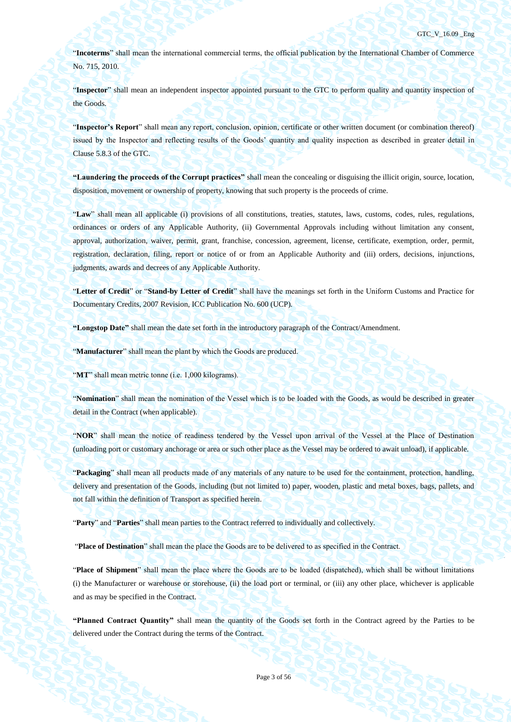"**Incoterms**" shall mean the international commercial terms, the official publication by the International Chamber of Commerce No. 715, 2010.

"**Inspector**" shall mean an independent inspector appointed pursuant to the GTC to perform quality and quantity inspection of the Goods.

"**Inspector's Report**" shall mean any report, conclusion, opinion, certificate or other written document (or combination thereof) issued by the Inspector and reflecting results of the Goods' quantity and quality inspection as described in greater detail in Clause [5.8.3](#page-37-0) of the GTC.

**"Laundering the proceeds of the Corrupt practices"** shall mean the concealing or disguising the illicit origin, source, location, disposition, movement or ownership of property, knowing that such property is the proceeds of crime.

"**Law**" shall mean all applicable (i) provisions of all constitutions, treaties, statutes, laws, customs, codes, rules, regulations, ordinances or orders of any Applicable Authority, (ii) Governmental Approvals including without limitation any consent, approval, authorization, waiver, permit, grant, franchise, concession, agreement, license, certificate, exemption, order, permit, registration, declaration, filing, report or notice of or from an Applicable Authority and (iii) orders, decisions, injunctions, judgments, awards and decrees of any Applicable Authority.

"**Letter of Credit**" or "**Stand-by Letter of Credit**" shall have the meanings set forth in the Uniform Customs and Practice for Documentary Credits, 2007 Revision, ICC Publication No. 600 (UCP).

**"Longstop Date"** shall mean the date set forth in the introductory paragraph of the Contract/Amendment.

"**Manufacturer**" shall mean the plant by which the Goods are produced.

"**MT**" shall mean metric tonne (i.e. 1,000 kilograms).

"**Nomination**" shall mean the nomination of the Vessel which is to be loaded with the Goods, as would be described in greater detail in the Contract (when applicable).

"**NOR**" shall mean the notice of readiness tendered by the Vessel upon arrival of the Vessel at the Place of Destination (unloading port or customary anchorage or area or such other place as the Vessel may be ordered to await unload), if applicable.

"**Packaging**" shall mean all products made of any materials of any nature to be used for the containment, protection, handling, delivery and presentation of the Goods, including (but not limited to) paper, wooden, plastic and metal boxes, bags, pallets, and not fall within the definition of Transport as specified herein.

"**Party**" and "**Parties**" shall mean parties to the Contract referred to individually and collectively.

"**Place of Destination**" shall mean the place the Goods are to be delivered to as specified in the Contract.

"**Place of Shipment**" shall mean the place where the Goods are to be loaded (dispatched), which shall be without limitations (i) the Manufacturer or warehouse or storehouse, (ii) the load port or terminal, or (iii) any other place, whichever is applicable and as may be specified in the Contract.

**"Planned Contract Quantity"** shall mean the quantity of the Goods set forth in the Contract agreed by the Parties to be delivered under the Contract during the terms of the Contract.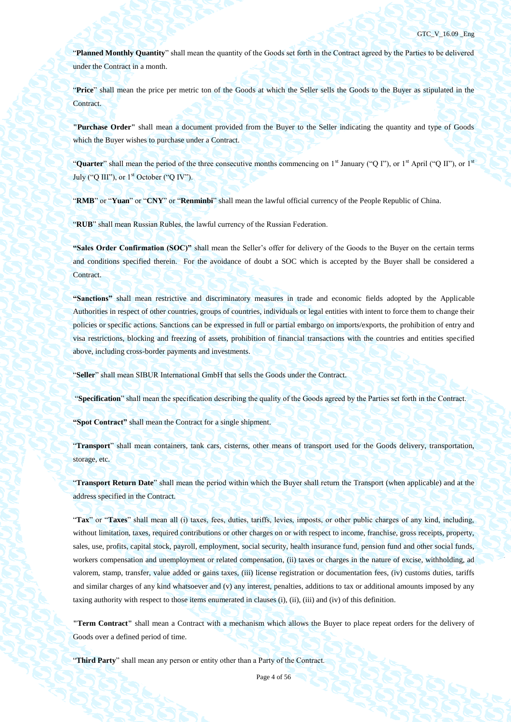"**Planned Monthly Quantity**" shall mean the quantity of the Goods set forth in the Contract agreed by the Parties to be delivered under the Contract in a month.

"**Price**" shall mean the price per metric ton of the Goods at which the Seller sells the Goods to the Buyer as stipulated in the Contract.

**"Purchase Order"** shall mean a document provided from the Buyer to the Seller indicating the quantity and type of Goods which the Buyer wishes to purchase under a Contract.

"**Quarter**" shall mean the period of the three consecutive months commencing on 1<sup>st</sup> January ("Q I"), or 1<sup>st</sup> April ("Q II"), or 1<sup>st</sup> July ("Q III"), or  $1<sup>st</sup>$  October ("Q IV").

"**RMB**" or "**Yuan**" or "**CNY**" or "**Renminbi**" shall mean the lawful official currency of the People Republic of China.

"**RUB**" shall mean Russian Rubles, the lawful currency of the Russian Federation.

**"Sales Order Confirmation (SOC)"** shall mean the Seller's offer for delivery of the Goods to the Buyer on the certain terms and conditions specified therein. For the avoidance of doubt a SOC which is accepted by the Buyer shall be considered a Contract.

**"Sanctions"** shall mean restrictive and discriminatory measures in trade and economic fields adopted by the Applicable Authorities in respect of other countries, groups of countries, individuals or legal entities with intent to force them to change their policies or specific actions. Sanctions can be expressed in full or partial embargo on imports/exports, the prohibition of entry and visa restrictions, blocking and freezing of assets, prohibition of financial transactions with the countries and entities specified above, including cross-border payments and investments.

"**Seller**" shall mean SIBUR International GmbH that sells the Goods under the Contract.

"**Specification**" shall mean the specification describing the quality of the Goods agreed by the Parties set forth in the Contract.

**"Spot Contract"** shall mean the Contract for a single shipment.

"**Transport**" shall mean containers, tank cars, cisterns, other means of transport used for the Goods delivery, transportation, storage, etc.

"**Transport Return Date**" shall mean the period within which the Buyer shall return the Transport (when applicable) and at the address specified in the Contract.

"**Tax**" or "**Taxes**" shall mean all (i) taxes, fees, duties, tariffs, levies, imposts, or other public charges of any kind, including, without limitation, taxes, required contributions or other charges on or with respect to income, franchise, gross receipts, property, sales, use, profits, capital stock, payroll, employment, social security, health insurance fund, pension fund and other social funds, workers compensation and unemployment or related compensation, (ii) taxes or charges in the nature of excise, withholding, ad valorem, stamp, transfer, value added or gains taxes, (iii) license registration or documentation fees, (iv) customs duties, tariffs and similar charges of any kind whatsoever and (v) any interest, penalties, additions to tax or additional amounts imposed by any taxing authority with respect to those items enumerated in clauses (i), (ii), (iii) and (iv) of this definition.

**"Term Contract"** shall mean a Contract with a mechanism which allows the Buyer to place repeat orders for the delivery of Goods over a defined period of time.

"**Third Party**" shall mean any person or entity other than a Party of the Contract.

Page 4 of 56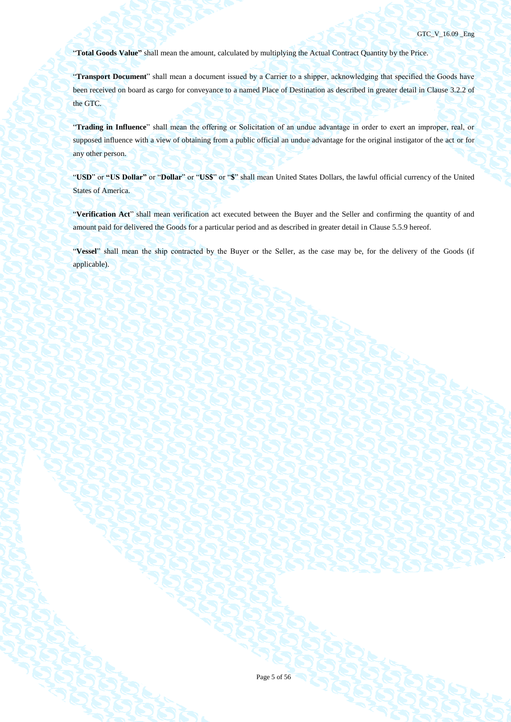"**Total Goods Value"** shall mean the amount, calculated by multiplying the Actual Contract Quantity by the Price.

"**Transport Document**" shall mean a document issued by a Carrier to a shipper, acknowledging that specified the Goods have been received on board as cargo for conveyance to a named Place of Destination as described in greater detail in Clause 3.2.2 of the GTC.

"**Trading in Influence**" shall mean the offering or Solicitation of an undue advantage in order to exert an improper, real, or supposed influence with a view of obtaining from a public official an undue advantage for the original instigator of the act or for any other person.

"**USD**" or **"US Dollar"** or "**Dollar**" or "**US\$**" or "**\$**" shall mean United States Dollars, the lawful official currency of the United States of America.

"**Verification Act**" shall mean verification act executed between the Buyer and the Seller and confirming the quantity of and amount paid for delivered the Goods for a particular period and as described in greater detail in Clause [5.5.9](#page-31-0) hereof.

"**Vessel**" shall mean the ship contracted by the Buyer or the Seller, as the case may be, for the delivery of the Goods (if applicable).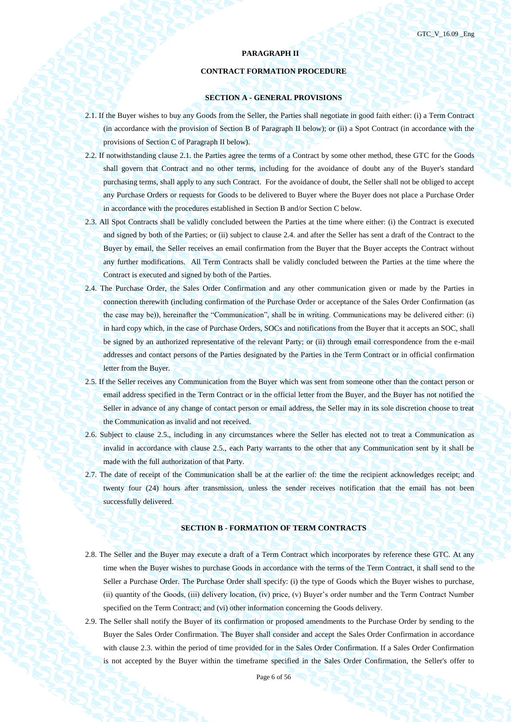# **PARAGRAPH II**

# **CONTRACT FORMATION PROCEDURE**

# **SECTION A - GENERAL PROVISIONS**

- 2.1. If the Buyer wishes to buy any Goods from the Seller, the Parties shall negotiate in good faith either: (i) a Term Contract (in accordance with the provision of Section B of Paragraph II below); or (ii) a Spot Contract (in accordance with the provisions of Section C of Paragraph II below).
- 2.2. If notwithstanding clause 2.1. the Parties agree the terms of a Contract by some other method, these GTC for the Goods shall govern that Contract and no other terms, including for the avoidance of doubt any of the Buyer's standard purchasing terms, shall apply to any such Contract. For the avoidance of doubt, the Seller shall not be obliged to accept any Purchase Orders or requests for Goods to be delivered to Buyer where the Buyer does not place a Purchase Order in accordance with the procedures established in Section B and/or Section C below.
- 2.3. All Spot Contracts shall be validly concluded between the Parties at the time where either: (i) the Contract is executed and signed by both of the Parties; or (ii) subject to clause 2.4. and after the Seller has sent a draft of the Contract to the Buyer by email, the Seller receives an email confirmation from the Buyer that the Buyer accepts the Contract without any further modifications. All Term Contracts shall be validly concluded between the Parties at the time where the Contract is executed and signed by both of the Parties.
- 2.4. The Purchase Order, the Sales Order Confirmation and any other communication given or made by the Parties in connection therewith (including confirmation of the Purchase Order or acceptance of the Sales Order Confirmation (as the case may be)), hereinafter the "Communication", shall be in writing. Communications may be delivered either: (i) in hard copy which, in the case of Purchase Orders, SOCs and notifications from the Buyer that it accepts an SOC, shall be signed by an authorized representative of the relevant Party; or (ii) through email correspondence from the e-mail addresses and contact persons of the Parties designated by the Parties in the Term Contract or in official confirmation letter from the Buyer.
- 2.5. If the Seller receives any Communication from the Buyer which was sent from someone other than the contact person or email address specified in the Term Contract or in the official letter from the Buyer, and the Buyer has not notified the Seller in advance of any change of contact person or email address, the Seller may in its sole discretion choose to treat the Communication as invalid and not received.
- 2.6. Subject to clause 2.5., including in any circumstances where the Seller has elected not to treat a Communication as invalid in accordance with clause 2.5., each Party warrants to the other that any Communication sent by it shall be made with the full authorization of that Party.
- 2.7. The date of receipt of the Communication shall be at the earlier of: the time the recipient acknowledges receipt; and twenty four (24) hours after transmission, unless the sender receives notification that the email has not been successfully delivered.

# **SECTION B - FORMATION OF TERM CONTRACTS**

- 2.8. The Seller and the Buyer may execute a draft of a Term Contract which incorporates by reference these GTC. At any time when the Buyer wishes to purchase Goods in accordance with the terms of the Term Contract, it shall send to the Seller a Purchase Order. The Purchase Order shall specify: (i) the type of Goods which the Buyer wishes to purchase, (ii) quantity of the Goods, (iii) delivery location, (iv) price, (v) Buyer's order number and the Term Contract Number specified on the Term Contract; and (vi) other information concerning the Goods delivery.
- 2.9. The Seller shall notify the Buyer of its confirmation or proposed amendments to the Purchase Order by sending to the Buyer the Sales Order Confirmation. The Buyer shall consider and accept the Sales Order Confirmation in accordance with clause 2.3. within the period of time provided for in the Sales Order Confirmation. If a Sales Order Confirmation is not accepted by the Buyer within the timeframe specified in the Sales Order Confirmation, the Seller's offer to

Page 6 of 56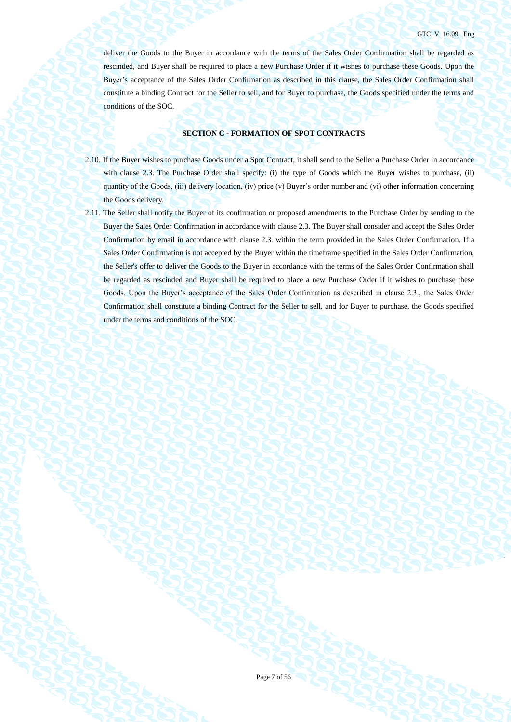deliver the Goods to the Buyer in accordance with the terms of the Sales Order Confirmation shall be regarded as rescinded, and Buyer shall be required to place a new Purchase Order if it wishes to purchase these Goods. Upon the Buyer's acceptance of the Sales Order Confirmation as described in this clause, the Sales Order Confirmation shall constitute a binding Contract for the Seller to sell, and for Buyer to purchase, the Goods specified under the terms and conditions of the SOC.

# **SECTION C - FORMATION OF SPOT CONTRACTS**

- 2.10. If the Buyer wishes to purchase Goods under a Spot Contract, it shall send to the Seller a Purchase Order in accordance with clause 2.3. The Purchase Order shall specify: (i) the type of Goods which the Buyer wishes to purchase, (ii) quantity of the Goods, (iii) delivery location, (iv) price (v) Buyer's order number and (vi) other information concerning the Goods delivery.
- 2.11. The Seller shall notify the Buyer of its confirmation or proposed amendments to the Purchase Order by sending to the Buyer the Sales Order Confirmation in accordance with clause 2.3. The Buyer shall consider and accept the Sales Order Confirmation by email in accordance with clause 2.3. within the term provided in the Sales Order Confirmation. If a Sales Order Confirmation is not accepted by the Buyer within the timeframe specified in the Sales Order Confirmation, the Seller's offer to deliver the Goods to the Buyer in accordance with the terms of the Sales Order Confirmation shall be regarded as rescinded and Buyer shall be required to place a new Purchase Order if it wishes to purchase these Goods. Upon the Buyer's acceptance of the Sales Order Confirmation as described in clause 2.3., the Sales Order Confirmation shall constitute a binding Contract for the Seller to sell, and for Buyer to purchase, the Goods specified under the terms and conditions of the SOC.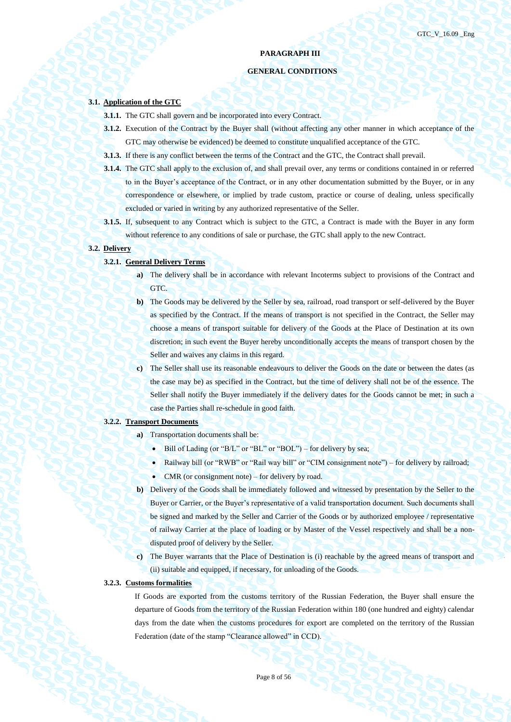# **PARAGRAPH III**

# **GENERAL CONDITIONS**

#### **3.1. Application of the GTC**

- **3.1.1.** The GTC shall govern and be incorporated into every Contract.
- **3.1.2.** Execution of the Contract by the Buyer shall (without affecting any other manner in which acceptance of the GTC may otherwise be evidenced) be deemed to constitute unqualified acceptance of the GTC.
- **3.1.3.** If there is any conflict between the terms of the Contract and the GTC, the Contract shall prevail.
- **3.1.4.** The GTC shall apply to the exclusion of, and shall prevail over, any terms or conditions contained in or referred to in the Buyer's acceptance of the Contract, or in any other documentation submitted by the Buyer, or in any correspondence or elsewhere, or implied by trade custom, practice or course of dealing, unless specifically excluded or varied in writing by any authorized representative of the Seller.
- **3.1.5.** If, subsequent to any Contract which is subject to the GTC, a Contract is made with the Buyer in any form without reference to any conditions of sale or purchase, the GTC shall apply to the new Contract.

### **3.2. Delivery**

### **3.2.1. General Delivery Terms**

- **a)** The delivery shall be in accordance with relevant Incoterms subject to provisions of the Contract and GTC.
- **b)** The Goods may be delivered by the Seller by sea, railroad, road transport or self-delivered by the Buyer as specified by the Contract. If the means of transport is not specified in the Contract, the Seller may choose a means of transport suitable for delivery of the Goods at the Place of Destination at its own discretion; in such event the Buyer hereby unconditionally accepts the means of transport chosen by the Seller and waives any claims in this regard.
- **c)** The Seller shall use its reasonable endeavours to deliver the Goods on the date or between the dates (as the case may be) as specified in the Contract, but the time of delivery shall not be of the essence. The Seller shall notify the Buyer immediately if the delivery dates for the Goods cannot be met; in such a case the Parties shall re-schedule in good faith.

## **3.2.2. Transport Documents**

- **a)** Transportation documents shall be:
	- $\bullet$  Bill of Lading (or "B/L" or "BL" or "BOL") for delivery by sea;
	- Railway bill (or "RWB" or "Rail way bill" or "CIM consignment note") for delivery by railroad;
	- CMR (or consignment note) for delivery by road.
- **b)** Delivery of the Goods shall be immediately followed and witnessed by presentation by the Seller to the Buyer or Carrier, or the Buyer's representative of a valid transportation document. Such documents shall be signed and marked by the Seller and Carrier of the Goods or by authorized employee / representative of railway Carrier at the place of loading or by Master of the Vessel respectively and shall be a nondisputed proof of delivery by the Seller.
- **c)** The Buyer warrants that the Place of Destination is (i) reachable by the agreed means of transport and (ii) suitable and equipped, if necessary, for unloading of the Goods.

# **3.2.3. Customs formalities**

If Goods are exported from the customs territory of the Russian Federation, the Buyer shall ensure the departure of Goods from the territory of the Russian Federation within 180 (one hundred and eighty) calendar days from the date when the customs procedures for export are completed on the territory of the Russian Federation (date of the stamp "Clearance allowed" in CCD).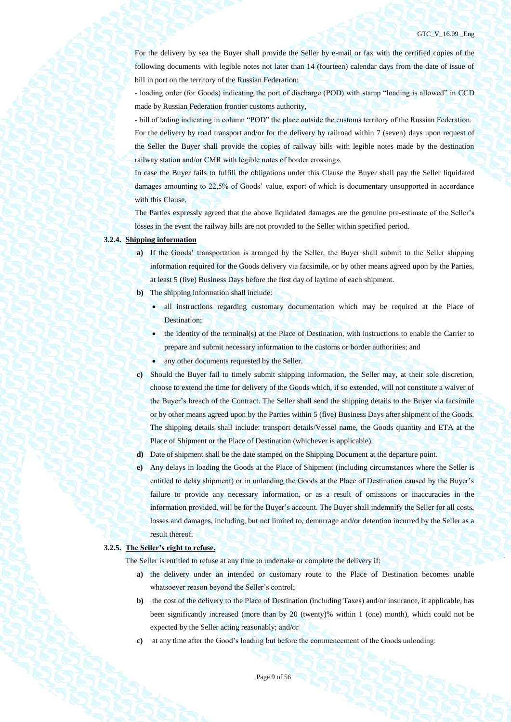For the delivery by sea the Buyer shall provide the Seller by e-mail or fax with the certified copies of the following documents with legible notes not later than 14 (fourteen) calendar days from the date of issue of bill in port on the territory of the Russian Federation:

- loading order (for Goods) indicating the port of discharge (POD) with stamp "loading is allowed" in CCD made by Russian Federation frontier customs authority,

- bill of lading indicating in column "POD" the place outside the customs territory of the Russian Federation. For the delivery by road transport and/or for the delivery by railroad within 7 (seven) days upon request of the Seller the Buyer shall provide the copies of railway bills with legible notes made by the destination railway station and/or CMR with legible notes of border crossing».

In case the Buyer fails to fulfill the obligations under this Clause the Buyer shall pay the Seller liquidated damages amounting to 22,5% of Goods' value, export of which is documentary unsupported in accordance with this Clause.

The Parties expressly agreed that the above liquidated damages are the genuine pre-estimate of the Seller's losses in the event the railway bills are not provided to the Seller within specified period.

### **3.2.4. Shipping information**

- **a)** If the Goods' transportation is arranged by the Seller, the Buyer shall submit to the Seller shipping information required for the Goods delivery via facsimile, or by other means agreed upon by the Parties, at least 5 (five) Business Days before the first day of laytime of each shipment.
- **b)** The shipping information shall include:
	- all instructions regarding customary documentation which may be required at the Place of Destination;
	- the identity of the terminal(s) at the Place of Destination, with instructions to enable the Carrier to prepare and submit necessary information to the customs or border authorities; and
	- any other documents requested by the Seller.
- **c)** Should the Buyer fail to timely submit shipping information, the Seller may, at their sole discretion, choose to extend the time for delivery of the Goods which, if so extended, will not constitute a waiver of the Buyer's breach of the Contract. The Seller shall send the shipping details to the Buyer via facsimile or by other means agreed upon by the Parties within 5 (five) Business Days after shipment of the Goods. The shipping details shall include: transport details/Vessel name, the Goods quantity and ETA at the Place of Shipment or the Place of Destination (whichever is applicable).
- **d)** Date of shipment shall be the date stamped on the Shipping Document at the departure point.
- **e)** Any delays in loading the Goods at the Place of Shipment (including circumstances where the Seller is entitled to delay shipment) or in unloading the Goods at the Place of Destination caused by the Buyer's failure to provide any necessary information, or as a result of omissions or inaccuracies in the information provided, will be for the Buyer's account. The Buyer shall indemnify the Seller for all costs, losses and damages, including, but not limited to, demurrage and/or detention incurred by the Seller as a result thereof.

### **3.2.5. The Seller's right to refuse.**

The Seller is entitled to refuse at any time to undertake or complete the delivery if:

- **a)** the delivery under an intended or customary route to the Place of Destination becomes unable whatsoever reason beyond the Seller's control;
- **b)** the cost of the delivery to the Place of Destination (including Taxes) and/or insurance, if applicable, has been significantly increased (more than by 20 (twenty)% within 1 (one) month), which could not be expected by the Seller acting reasonably; and/or
- **c)** at any time after the Good's loading but before the commencement of the Goods unloading: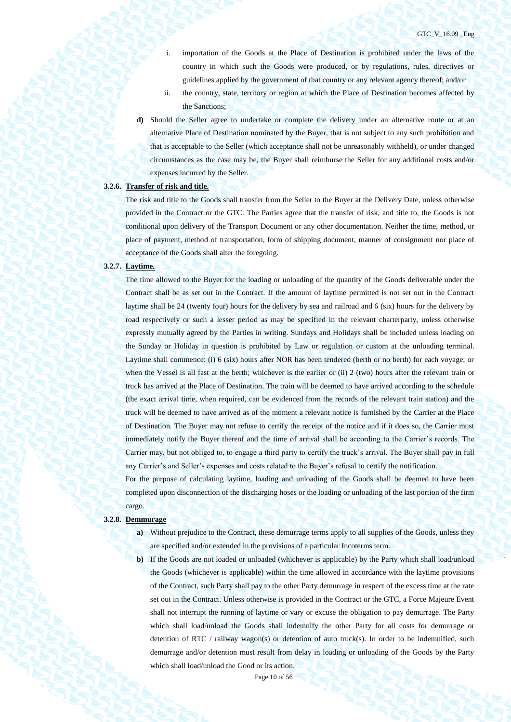i. importation of the Goods at the Place of Destination is prohibited under the laws of the country in which such the Goods were produced, or by regulations, rules, directives or guidelines applied by the government of that country or any relevant agency thereof; and/or

- ii. the country, state, territory or region at which the Place of Destination becomes affected by the Sanctions;
- **d)** Should the Seller agree to undertake or complete the delivery under an alternative route or at an alternative Place of Destination nominated by the Buyer, that is not subject to any such prohibition and that is acceptable to the Seller (which acceptance shall not be unreasonably withheld), or under changed circumstances as the case may be, the Buyer shall reimburse the Seller for any additional costs and/or expenses incurred by the Seller.

# **3.2.6. Transfer of risk and title.**

The risk and title to the Goods shall transfer from the Seller to the Buyer at the Delivery Date, unless otherwise provided in the Contract or the GTC. The Parties agree that the transfer of risk, and title to, the Goods is not conditional upon delivery of the Transport Document or any other documentation. Neither the time, method, or place of payment, method of transportation, form of shipping document, manner of consignment nor place of acceptance of the Goods shall alter the foregoing.

#### **3.2.7. Laytime.**

The time allowed to the Buyer for the loading or unloading of the quantity of the Goods deliverable under the Contract shall be as set out in the Contract. If the amount of laytime permitted is not set out in the Contract laytime shall be 24 (twenty four) hours for the delivery by sea and railroad and 6 (six) hours for the delivery by road respectively or such a lesser period as may be specified in the relevant charterparty, unless otherwise expressly mutually agreed by the Parties in writing. Sundays and Holidays shall be included unless loading on the Sunday or Holiday in question is prohibited by Law or regulation or custom at the unloading terminal. Laytime shall commence: (i) 6 (six) hours after NOR has been tendered (berth or no berth) for each voyage; or when the Vessel is all fast at the berth; whichever is the earlier or (ii) 2 (two) hours after the relevant train or truck has arrived at the Place of Destination. The train will be deemed to have arrived according to the schedule (the exact arrival time, when required, can be evidenced from the records of the relevant train station) and the truck will be deemed to have arrived as of the moment a relevant notice is furnished by the Carrier at the Place of Destination. The Buyer may not refuse to certify the receipt of the notice and if it does so, the Carrier must immediately notify the Buyer thereof and the time of arrival shall be according to the Carrier's records. The Carrier may, but not obliged to, to engage a third party to certify the truck's arrival. The Buyer shall pay in full any Carrier's and Seller's expenses and costs related to the Buyer's refusal to certify the notification.

For the purpose of calculating laytime, loading and unloading of the Goods shall be deemed to have been completed upon disconnection of the discharging hoses or the loading or unloading of the last portion of the firm cargo.

### **3.2.8. Demmurage**

- **a)** Without prejudice to the Contract, these demurrage terms apply to all supplies of the Goods, unless they are specified and/or extended in the provisions of a particular Incoterms term.
- **b)** If the Goods are not loaded or unloaded (whichever is applicable) by the Party which shall load/unload the Goods (whichever is applicable) within the time allowed in accordance with the laytime provisions of the Contract, such Party shall pay to the other Party demurrage in respect of the excess time at the rate set out in the Contract. Unless otherwise is provided in the Contract or the GTC, a Force Majeure Event shall not interrupt the running of laytime or vary or excuse the obligation to pay demurrage. The Party which shall load/unload the Goods shall indemnify the other Party for all costs for demurrage or detention of RTC / railway wagon(s) or detention of auto truck(s). In order to be indemnified, such demurrage and/or detention must result from delay in loading or unloading of the Goods by the Party which shall load/unload the Good or its action.

Page 10 of 56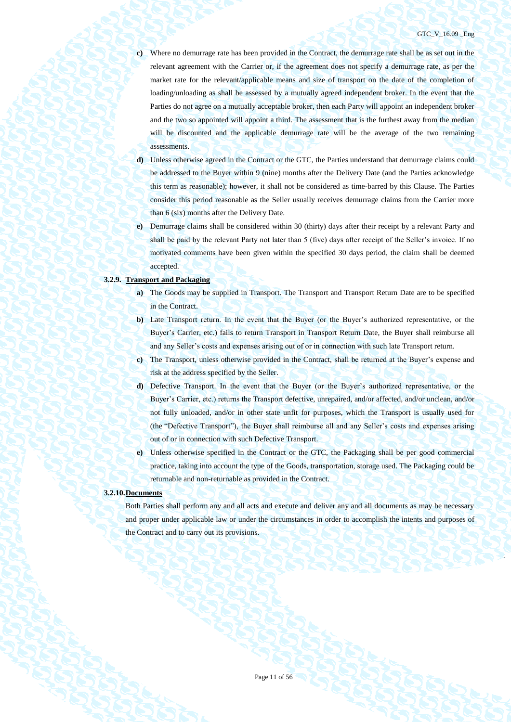- **c)** Where no demurrage rate has been provided in the Contract, the demurrage rate shall be as set out in the relevant agreement with the Carrier or, if the agreement does not specify a demurrage rate, as per the market rate for the relevant/applicable means and size of transport on the date of the completion of loading/unloading as shall be assessed by a mutually agreed independent broker. In the event that the Parties do not agree on a mutually acceptable broker, then each Party will appoint an independent broker and the two so appointed will appoint a third. The assessment that is the furthest away from the median will be discounted and the applicable demurrage rate will be the average of the two remaining assessments.
- **d)** Unless otherwise agreed in the Contract or the GTC, the Parties understand that demurrage claims could be addressed to the Buyer within 9 (nine) months after the Delivery Date (and the Parties acknowledge this term as reasonable); however, it shall not be considered as time-barred by this Clause. The Parties consider this period reasonable as the Seller usually receives demurrage claims from the Carrier more than 6 (six) months after the Delivery Date.
- **e)** Demurrage claims shall be considered within 30 (thirty) days after their receipt by a relevant Party and shall be paid by the relevant Party not later than 5 (five) days after receipt of the Seller's invoice. If no motivated comments have been given within the specified 30 days period, the claim shall be deemed accepted.

### **3.2.9. Transport and Packaging**

- **a)** The Goods may be supplied in Transport. The Transport and Transport Return Date are to be specified in the Contract.
- **b)** Late Transport return. In the event that the Buyer (or the Buyer's authorized representative, or the Buyer's Carrier, etc.) fails to return Transport in Transport Return Date, the Buyer shall reimburse all and any Seller's costs and expenses arising out of or in connection with such late Transport return.
- **c)** The Transport, unless otherwise provided in the Contract, shall be returned at the Buyer's expense and risk at the address specified by the Seller.
- **d)** Defective Transport. In the event that the Buyer (or the Buyer's authorized representative, or the Buyer's Carrier, etc.) returns the Transport defective, unrepaired, and/or affected, and/or unclean, and/or not fully unloaded, and/or in other state unfit for purposes, which the Transport is usually used for (the "Defective Transport"), the Buyer shall reimburse all and any Seller's costs and expenses arising out of or in connection with such Defective Transport.
- **e)** Unless otherwise specified in the Contract or the GTC, the Packaging shall be per good commercial practice, taking into account the type of the Goods, transportation, storage used. The Packaging could be returnable and non-returnable as provided in the Contract.

#### **3.2.10.Documents**

Both Parties shall perform any and all acts and execute and deliver any and all documents as may be necessary and proper under applicable law or under the circumstances in order to accomplish the intents and purposes of the Contract and to carry out its provisions.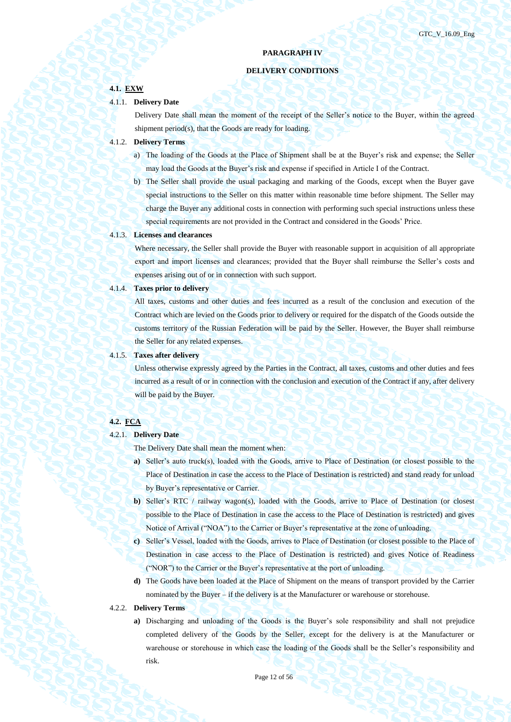# **PARAGRAPH IV**

# **DELIVERY CONDITIONS**

# **4.1. EXW**

### 4.1.1. **Delivery Date**

Delivery Date shall mean the moment of the receipt of the Seller's notice to the Buyer, within the agreed shipment period(s), that the Goods are ready for loading.

### 4.1.2. **Delivery Terms**

- a) The loading of the Goods at the Place of Shipment shall be at the Buyer's risk and expense; the Seller may load the Goods at the Buyer's risk and expense if specified in Article I of the Contract.
- b) The Seller shall provide the usual packaging and marking of the Goods, except when the Buyer gave special instructions to the Seller on this matter within reasonable time before shipment. The Seller may charge the Buyer any additional costs in connection with performing such special instructions unless these special requirements are not provided in the Contract and considered in the Goods' Price.

#### 4.1.3. **Licenses and clearances**

Where necessary, the Seller shall provide the Buyer with reasonable support in acquisition of all appropriate export and import licenses and clearances; provided that the Buyer shall reimburse the Seller's costs and expenses arising out of or in connection with such support.

### 4.1.4. **Taxes prior to delivery**

All taxes, customs and other duties and fees incurred as a result of the conclusion and execution of the Contract which are levied on the Goods prior to delivery or required for the dispatch of the Goods outside the customs territory of the Russian Federation will be paid by the Seller. However, the Buyer shall reimburse the Seller for any related expenses.

#### 4.1.5. **Taxes after delivery**

Unless otherwise expressly agreed by the Parties in the Contract, all taxes, customs and other duties and fees incurred as a result of or in connection with the conclusion and execution of the Contract if any, after delivery will be paid by the Buyer.

### **4.2. FCA**

### 4.2.1. **Delivery Date**

The Delivery Date shall mean the moment when:

- **a)** Seller's auto truck(s), loaded with the Goods, arrive to Place of Destination (or closest possible to the Place of Destination in case the access to the Place of Destination is restricted) and stand ready for unload by Buyer's representative or Carrier.
- **b)** Seller's RTC / railway wagon(s), loaded with the Goods, arrive to Place of Destination (or closest possible to the Place of Destination in case the access to the Place of Destination is restricted) and gives Notice of Arrival ("NOA") to the Carrier or Buyer's representative at the zone of unloading.
- **c)** Seller's Vessel, loaded with the Goods, arrives to Place of Destination (or closest possible to the Place of Destination in case access to the Place of Destination is restricted) and gives Notice of Readiness ("NOR") to the Carrier or the Buyer's representative at the port of unloading.
- **d)** The Goods have been loaded at the Place of Shipment on the means of transport provided by the Carrier nominated by the Buyer – if the delivery is at the Manufacturer or warehouse or storehouse.

# 4.2.2. **Delivery Terms**

**a)** Discharging and unloading of the Goods is the Buyer's sole responsibility and shall not prejudice completed delivery of the Goods by the Seller, except for the delivery is at the Manufacturer or warehouse or storehouse in which case the loading of the Goods shall be the Seller's responsibility and risk.

Page 12 of 56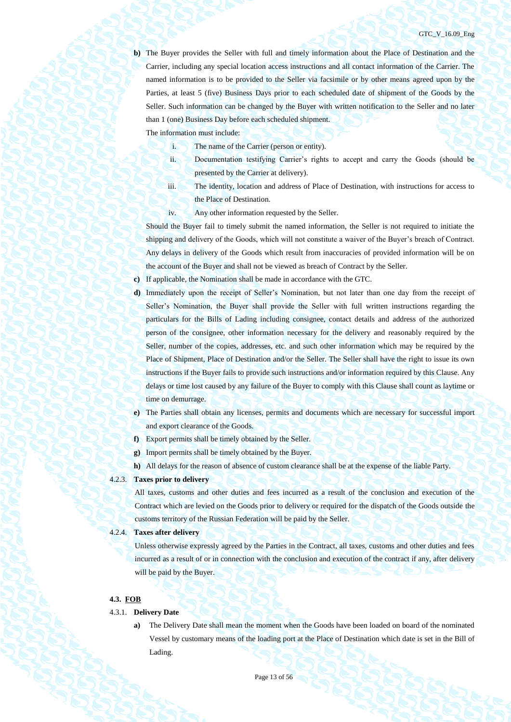#### GTC\_V\_16.09\_Eng

**b)** The Buyer provides the Seller with full and timely information about the Place of Destination and the Carrier, including any special location access instructions and all contact information of the Carrier. The named information is to be provided to the Seller via facsimile or by other means agreed upon by the Parties, at least 5 (five) Business Days prior to each scheduled date of shipment of the Goods by the Seller. Such information can be changed by the Buyer with written notification to the Seller and no later than 1 (one) Business Day before each scheduled shipment.

The information must include:

- i. The name of the Carrier (person or entity).
- ii. Documentation testifying Carrier's rights to accept and carry the Goods (should be presented by the Carrier at delivery).
- iii. The identity, location and address of Place of Destination, with instructions for access to the Place of Destination.
- iv. Any other information requested by the Seller.

Should the Buyer fail to timely submit the named information, the Seller is not required to initiate the shipping and delivery of the Goods, which will not constitute a waiver of the Buyer's breach of Contract. Any delays in delivery of the Goods which result from inaccuracies of provided information will be on the account of the Buyer and shall not be viewed as breach of Contract by the Seller.

**c)** If applicable, the Nomination shall be made in accordance with the GTC.

- **d)** Immediately upon the receipt of Seller's Nomination, but not later than one day from the receipt of Seller's Nomination, the Buyer shall provide the Seller with full written instructions regarding the particulars for the Bills of Lading including consignee, contact details and address of the authorized person of the consignee, other information necessary for the delivery and reasonably required by the Seller, number of the copies, addresses, etc. and such other information which may be required by the Place of Shipment, Place of Destination and/or the Seller. The Seller shall have the right to issue its own instructions if the Buyer fails to provide such instructions and/or information required by this Clause. Any delays or time lost caused by any failure of the Buyer to comply with this Clause shall count as laytime or time on demurrage.
- **e)** The Parties shall obtain any licenses, permits and documents which are necessary for successful import and export clearance of the Goods.
- **f)** Export permits shall be timely obtained by the Seller.
- **g)** Import permits shall be timely obtained by the Buyer.
- **h)** All delays for the reason of absence of custom clearance shall be at the expense of the liable Party.

# 4.2.3. **Taxes prior to delivery**

All taxes, customs and other duties and fees incurred as a result of the conclusion and execution of the Contract which are levied on the Goods prior to delivery or required for the dispatch of the Goods outside the customs territory of the Russian Federation will be paid by the Seller.

# 4.2.4. **Taxes after delivery**

Unless otherwise expressly agreed by the Parties in the Contract, all taxes, customs and other duties and fees incurred as a result of or in connection with the conclusion and execution of the contract if any, after delivery will be paid by the Buyer.

# **4.3. FOB**

#### 4.3.1. **Delivery Date**

**a)** The Delivery Date shall mean the moment when the Goods have been loaded on board of the nominated Vessel by customary means of the loading port at the Place of Destination which date is set in the Bill of Lading.

Page 13 of 56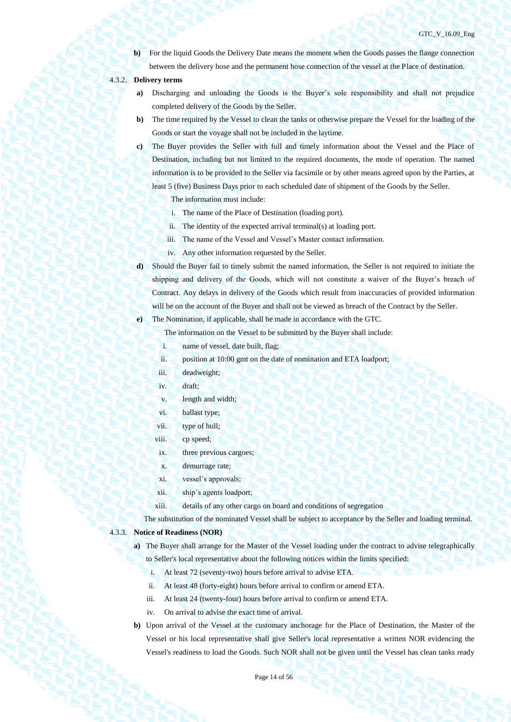**b**) For the liquid Goods the Delivery Date means the moment when the Goods passes the flange connection between the delivery hose and the permanent hose connection of the vessel at the Place of destination.

# 4.3.2. **Delivery terms**

- **a)** Discharging and unloading the Goods is the Buyer's sole responsibility and shall not prejudice completed delivery of the Goods by the Seller.
- **b)** The time required by the Vessel to clean the tanks or otherwise prepare the Vessel for the loading of the Goods or start the voyage shall not be included in the laytime.
- **c)** The Buyer provides the Seller with full and timely information about the Vessel and the Place of Destination, including but not limited to the required documents, the mode of operation. The named information is to be provided to the Seller via facsimile or by other means agreed upon by the Parties, at least 5 (five) Business Days prior to each scheduled date of shipment of the Goods by the Seller.

The information must include:

- i. The name of the Place of Destination (loading port).
- ii. The identity of the expected arrival terminal(s) at loading port.
- iii. The name of the Vessel and Vessel's Master contact information.
- iv. Any other information requested by the Seller.
- **d)** Should the Buyer fail to timely submit the named information, the Seller is not required to initiate the shipping and delivery of the Goods, which will not constitute a waiver of the Buyer's breach of Contract. Any delays in delivery of the Goods which result from inaccuracies of provided information will be on the account of the Buyer and shall not be viewed as breach of the Contract by the Seller.

**e)** The Nomination, if applicable, shall be made in accordance with the GTC.

The information on the Vessel to be submitted by the Buyer shall include:

- i. name of vessel, date built, flag;
- ii. position at 10:00 gmt on the date of nomination and ETA loadport;
- iii. deadweight;
- iv. draft;
- v. length and width;
- vi. ballast type;
- vii. type of hull;
- viii. cp speed;
- ix. three previous cargoes;
- x. demurrage rate;
- xi. vessel's approvals;
- xii. ship's agents loadport;
- xiii. details of any other cargo on board and conditions of segregation

The substitution of the nominated Vessel shall be subject to acceptance by the Seller and loading terminal.

#### 4.3.3. **Notice of Readiness (NOR)**

- **a)** The Buyer shall arrange for the Master of the Vessel loading under the contract to advise telegraphically to Seller's local representative about the following notices within the limits specified:
	- i. At least 72 (seventy-two) hours before arrival to advise ETA.
	- ii. At least 48 (forty-eight) hours before arrival to confirm or amend ETA.
	- iii. At least 24 (twenty-four) hours before arrival to confirm or amend ETA.
	- iv. On arrival to advise the exact time of arrival.
- **b)** Upon arrival of the Vessel at the customary anchorage for the Place of Destination, the Master of the Vessel or his local representative shall give Seller's local representative a written NOR evidencing the Vessel's readiness to load the Goods. Such NOR shall not be given until the Vessel has clean tanks ready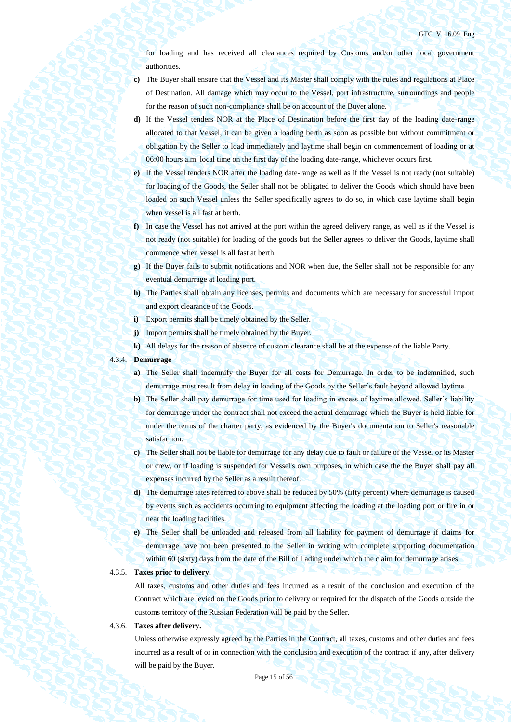for loading and has received all clearances required by Customs and/or other local government authorities.

- **c)** The Buyer shall ensure that the Vessel and its Master shall comply with the rules and regulations at Place of Destination. All damage which may occur to the Vessel, port infrastructure, surroundings and people for the reason of such non-compliance shall be on account of the Buyer alone.
- **d)** If the Vessel tenders NOR at the Place of Destination before the first day of the loading date-range allocated to that Vessel, it can be given a loading berth as soon as possible but without commitment or obligation by the Seller to load immediately and laytime shall begin on commencement of loading or at 06:00 hours a.m. local time on the first day of the loading date-range, whichever occurs first.
- **e)** If the Vessel tenders NOR after the loading date-range as well as if the Vessel is not ready (not suitable) for loading of the Goods, the Seller shall not be obligated to deliver the Goods which should have been loaded on such Vessel unless the Seller specifically agrees to do so, in which case laytime shall begin when vessel is all fast at berth.
- **f)** In case the Vessel has not arrived at the port within the agreed delivery range, as well as if the Vessel is not ready (not suitable) for loading of the goods but the Seller agrees to deliver the Goods, laytime shall commence when vessel is all fast at berth.
- **g)** If the Buyer fails to submit notifications and NOR when due, the Seller shall not be responsible for any eventual demurrage at loading port.
- **h)** The Parties shall obtain any licenses, permits and documents which are necessary for successful import and export clearance of the Goods.
- **i)** Export permits shall be timely obtained by the Seller.
- **j)** Import permits shall be timely obtained by the Buyer.
- **k)** All delays for the reason of absence of custom clearance shall be at the expense of the liable Party.
- 4.3.4. **Demurrage**
	- **a**) The Seller shall indemnify the Buyer for all costs for Demurrage. In order to be indemnified, such demurrage must result from delay in loading of the Goods by the Seller's fault beyond allowed laytime.
	- **b)** The Seller shall pay demurrage for time used for loading in excess of laytime allowed. Seller's liability for demurrage under the contract shall not exceed the actual demurrage which the Buyer is held liable for under the terms of the charter party, as evidenced by the Buyer's documentation to Seller's reasonable satisfaction.
	- **c)** The Seller shall not be liable for demurrage for any delay due to fault or failure of the Vessel or its Master or crew, or if loading is suspended for Vessel's own purposes, in which case the the Buyer shall pay all expenses incurred by the Seller as a result thereof.
	- **d)** The demurrage rates referred to above shall be reduced by 50% (fifty percent) where demurrage is caused by events such as accidents occurring to equipment affecting the loading at the loading port or fire in or near the loading facilities.
	- **e)** The Seller shall be unloaded and released from all liability for payment of demurrage if claims for demurrage have not been presented to the Seller in writing with complete supporting documentation within 60 (sixty) days from the date of the Bill of Lading under which the claim for demurrage arises.

### 4.3.5. **Taxes prior to delivery.**

All taxes, customs and other duties and fees incurred as a result of the conclusion and execution of the Contract which are levied on the Goods prior to delivery or required for the dispatch of the Goods outside the customs territory of the Russian Federation will be paid by the Seller.

#### 4.3.6. **Taxes after delivery.**

Unless otherwise expressly agreed by the Parties in the Contract, all taxes, customs and other duties and fees incurred as a result of or in connection with the conclusion and execution of the contract if any, after delivery will be paid by the Buyer.

Page 15 of 56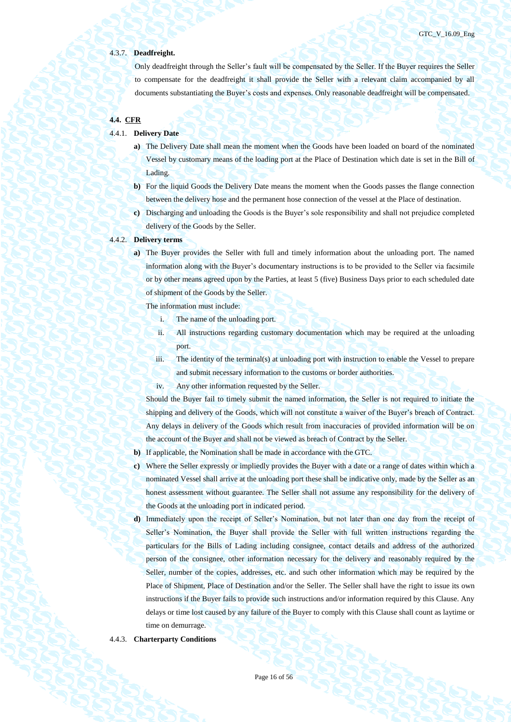### 4.3.7. **Deadfreight.**

Only deadfreight through the Seller's fault will be compensated by the Seller. If the Buyer requires the Seller to compensate for the deadfreight it shall provide the Seller with a relevant claim accompanied by all documents substantiating the Buyer's costs and expenses. Only reasonable deadfreight will be compensated.

# **4.4. CFR**

#### 4.4.1. **Delivery Date**

- **a)** The Delivery Date shall mean the moment when the Goods have been loaded on board of the nominated Vessel by customary means of the loading port at the Place of Destination which date is set in the Bill of Lading.
- **b)** For the liquid Goods the Delivery Date means the moment when the Goods passes the flange connection between the delivery hose and the permanent hose connection of the vessel at the Place of destination.
- **c)** Discharging and unloading the Goods is the Buyer's sole responsibility and shall not prejudice completed delivery of the Goods by the Seller.

#### 4.4.2. **Delivery terms**

**a)** The Buyer provides the Seller with full and timely information about the unloading port. The named information along with the Buyer's documentary instructions is to be provided to the Seller via facsimile or by other means agreed upon by the Parties, at least 5 (five) Business Days prior to each scheduled date of shipment of the Goods by the Seller.

The information must include:

- i. The name of the unloading port.
- ii. All instructions regarding customary documentation which may be required at the unloading port.
- iii. The identity of the terminal(s) at unloading port with instruction to enable the Vessel to prepare and submit necessary information to the customs or border authorities.
- iv. Any other information requested by the Seller.

Should the Buyer fail to timely submit the named information, the Seller is not required to initiate the shipping and delivery of the Goods, which will not constitute a waiver of the Buyer's breach of Contract. Any delays in delivery of the Goods which result from inaccuracies of provided information will be on the account of the Buyer and shall not be viewed as breach of Contract by the Seller.

- **b)** If applicable, the Nomination shall be made in accordance with the GTC.
- **c)** Where the Seller expressly or impliedly provides the Buyer with a date or a range of dates within which a nominated Vessel shall arrive at the unloading port these shall be indicative only, made by the Seller as an honest assessment without guarantee. The Seller shall not assume any responsibility for the delivery of the Goods at the unloading port in indicated period.
- **d)** Immediately upon the receipt of Seller's Nomination, but not later than one day from the receipt of Seller's Nomination, the Buyer shall provide the Seller with full written instructions regarding the particulars for the Bills of Lading including consignee, contact details and address of the authorized person of the consignee, other information necessary for the delivery and reasonably required by the Seller, number of the copies, addresses, etc. and such other information which may be required by the Place of Shipment, Place of Destination and/or the Seller. The Seller shall have the right to issue its own instructions if the Buyer fails to provide such instructions and/or information required by this Clause. Any delays or time lost caused by any failure of the Buyer to comply with this Clause shall count as laytime or time on demurrage.

#### 4.4.3. **Charterparty Conditions**

Page 16 of 56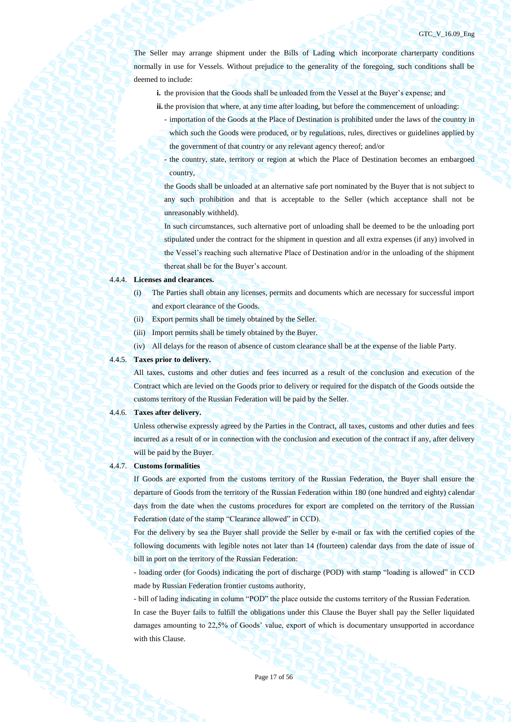The Seller may arrange shipment under the Bills of Lading which incorporate charterparty conditions normally in use for Vessels. Without prejudice to the generality of the foregoing, such conditions shall be deemed to include:

- **i.** the provision that the Goods shall be unloaded from the Vessel at the Buyer's expense; and
- **ii.** the provision that where, at any time after loading, but before the commencement of unloading:
	- importation of the Goods at the Place of Destination is prohibited under the laws of the country in which such the Goods were produced, or by regulations, rules, directives or guidelines applied by the government of that country or any relevant agency thereof; and/or
	- the country, state, territory or region at which the Place of Destination becomes an embargoed country,

the Goods shall be unloaded at an alternative safe port nominated by the Buyer that is not subject to any such prohibition and that is acceptable to the Seller (which acceptance shall not be unreasonably withheld).

In such circumstances, such alternative port of unloading shall be deemed to be the unloading port stipulated under the contract for the shipment in question and all extra expenses (if any) involved in the Vessel's reaching such alternative Place of Destination and/or in the unloading of the shipment thereat shall be for the Buyer's account.

## 4.4.4. **Licenses and clearances.**

- (i) The Parties shall obtain any licenses, permits and documents which are necessary for successful import and export clearance of the Goods.
- (ii) Export permits shall be timely obtained by the Seller.
- (iii) Import permits shall be timely obtained by the Buyer.
- (iv) All delays for the reason of absence of custom clearance shall be at the expense of the liable Party.

# 4.4.5. **Taxes prior to delivery.**

All taxes, customs and other duties and fees incurred as a result of the conclusion and execution of the Contract which are levied on the Goods prior to delivery or required for the dispatch of the Goods outside the customs territory of the Russian Federation will be paid by the Seller.

#### 4.4.6. **Taxes after delivery.**

Unless otherwise expressly agreed by the Parties in the Contract, all taxes, customs and other duties and fees incurred as a result of or in connection with the conclusion and execution of the contract if any, after delivery will be paid by the Buyer.

### 4.4.7. **Customs formalities**

If Goods are exported from the customs territory of the Russian Federation, the Buyer shall ensure the departure of Goods from the territory of the Russian Federation within 180 (one hundred and eighty) calendar days from the date when the customs procedures for export are completed on the territory of the Russian Federation (date of the stamp "Clearance allowed" in CCD).

For the delivery by sea the Buyer shall provide the Seller by e-mail or fax with the certified copies of the following documents with legible notes not later than 14 (fourteen) calendar days from the date of issue of bill in port on the territory of the Russian Federation:

- loading order (for Goods) indicating the port of discharge (POD) with stamp "loading is allowed" in CCD made by Russian Federation frontier customs authority,

- bill of lading indicating in column "POD" the place outside the customs territory of the Russian Federation. In case the Buyer fails to fulfill the obligations under this Clause the Buyer shall pay the Seller liquidated damages amounting to 22,5% of Goods' value, export of which is documentary unsupported in accordance with this Clause.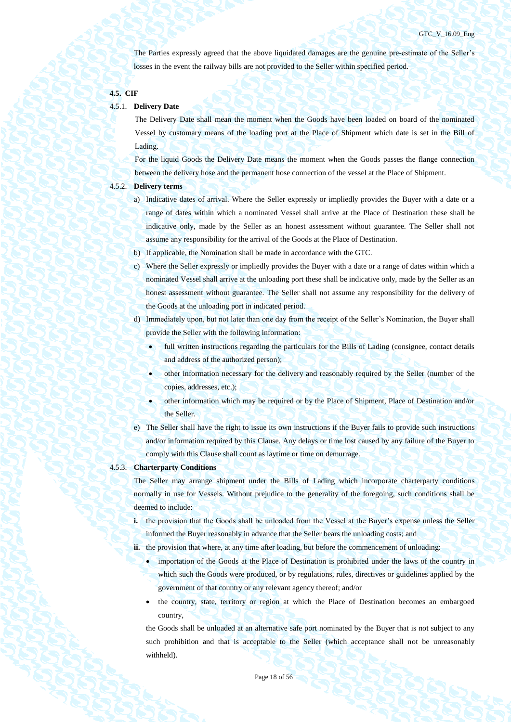The Parties expressly agreed that the above liquidated damages are the genuine pre-estimate of the Seller's losses in the event the railway bills are not provided to the Seller within specified period.

## **4.5. CIF**

## 4.5.1. **Delivery Date**

The Delivery Date shall mean the moment when the Goods have been loaded on board of the nominated Vessel by customary means of the loading port at the Place of Shipment which date is set in the Bill of Lading.

For the liquid Goods the Delivery Date means the moment when the Goods passes the flange connection between the delivery hose and the permanent hose connection of the vessel at the Place of Shipment.

### 4.5.2. **Delivery terms**

- a) Indicative dates of arrival. Where the Seller expressly or impliedly provides the Buyer with a date or a range of dates within which a nominated Vessel shall arrive at the Place of Destination these shall be indicative only, made by the Seller as an honest assessment without guarantee. The Seller shall not assume any responsibility for the arrival of the Goods at the Place of Destination.
- b) If applicable, the Nomination shall be made in accordance with the GTC.
- c) Where the Seller expressly or impliedly provides the Buyer with a date or a range of dates within which a nominated Vessel shall arrive at the unloading port these shall be indicative only, made by the Seller as an honest assessment without guarantee. The Seller shall not assume any responsibility for the delivery of the Goods at the unloading port in indicated period.
- d) Immediately upon, but not later than one day from the receipt of the Seller's Nomination, the Buyer shall provide the Seller with the following information:
	- full written instructions regarding the particulars for the Bills of Lading (consignee, contact details and address of the authorized person);
		- other information necessary for the delivery and reasonably required by the Seller (number of the copies, addresses, etc.);
	- other information which may be required or by the Place of Shipment, Place of Destination and/or the Seller.
- e) The Seller shall have the right to issue its own instructions if the Buyer fails to provide such instructions and/or information required by this Clause. Any delays or time lost caused by any failure of the Buyer to comply with this Clause shall count as laytime or time on demurrage.

### 4.5.3. **Charterparty Conditions**

The Seller may arrange shipment under the Bills of Lading which incorporate charterparty conditions normally in use for Vessels. Without prejudice to the generality of the foregoing, such conditions shall be deemed to include:

**i.** the provision that the Goods shall be unloaded from the Vessel at the Buyer's expense unless the Seller informed the Buyer reasonably in advance that the Seller bears the unloading costs; and

ii. the provision that where, at any time after loading, but before the commencement of unloading:

- importation of the Goods at the Place of Destination is prohibited under the laws of the country in which such the Goods were produced, or by regulations, rules, directives or guidelines applied by the government of that country or any relevant agency thereof; and/or
- the country, state, territory or region at which the Place of Destination becomes an embargoed country,

the Goods shall be unloaded at an alternative safe port nominated by the Buyer that is not subject to any such prohibition and that is acceptable to the Seller (which acceptance shall not be unreasonably withheld).

Page 18 of 56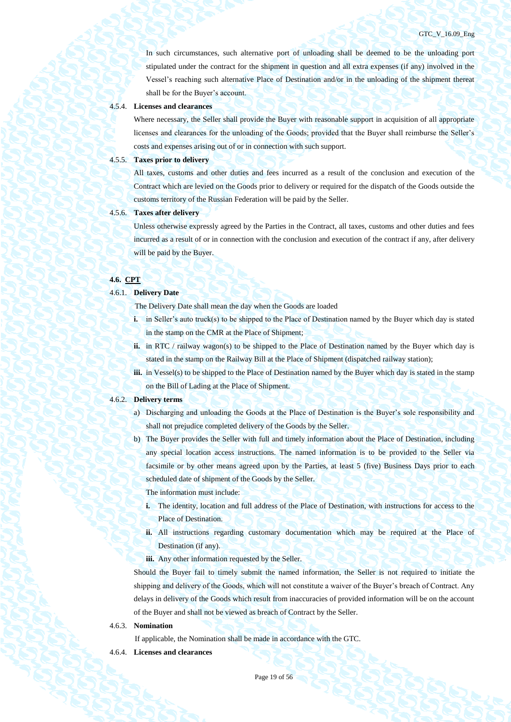In such circumstances, such alternative port of unloading shall be deemed to be the unloading port stipulated under the contract for the shipment in question and all extra expenses (if any) involved in the Vessel's reaching such alternative Place of Destination and/or in the unloading of the shipment thereat shall be for the Buyer's account.

### 4.5.4. **Licenses and clearances**

Where necessary, the Seller shall provide the Buyer with reasonable support in acquisition of all appropriate licenses and clearances for the unloading of the Goods; provided that the Buyer shall reimburse the Seller's costs and expenses arising out of or in connection with such support.

#### 4.5.5. **Taxes prior to delivery**

All taxes, customs and other duties and fees incurred as a result of the conclusion and execution of the Contract which are levied on the Goods prior to delivery or required for the dispatch of the Goods outside the customs territory of the Russian Federation will be paid by the Seller.

# 4.5.6. **Taxes after delivery**

Unless otherwise expressly agreed by the Parties in the Contract, all taxes, customs and other duties and fees incurred as a result of or in connection with the conclusion and execution of the contract if any, after delivery will be paid by the Buyer.

### **4.6. CPT**

#### 4.6.1. **Delivery Date**

The Delivery Date shall mean the day when the Goods are loaded

- **i.** in Seller's auto truck(s) to be shipped to the Place of Destination named by the Buyer which day is stated in the stamp on the CMR at the Place of Shipment;
- **ii.** in RTC / railway wagon(s) to be shipped to the Place of Destination named by the Buyer which day is stated in the stamp on the Railway Bill at the Place of Shipment (dispatched railway station);
- **iii.** in Vessel(s) to be shipped to the Place of Destination named by the Buyer which day is stated in the stamp on the Bill of Lading at the Place of Shipment.

### 4.6.2. **Delivery terms**

- a) Discharging and unloading the Goods at the Place of Destination is the Buyer's sole responsibility and shall not prejudice completed delivery of the Goods by the Seller.
- b) The Buyer provides the Seller with full and timely information about the Place of Destination, including any special location access instructions. The named information is to be provided to the Seller via facsimile or by other means agreed upon by the Parties, at least 5 (five) Business Days prior to each scheduled date of shipment of the Goods by the Seller.

The information must include:

- **i.** The identity, location and full address of the Place of Destination, with instructions for access to the Place of Destination.
- **ii.** All instructions regarding customary documentation which may be required at the Place of Destination (if any).
- iii. Any other information requested by the Seller.

Should the Buyer fail to timely submit the named information, the Seller is not required to initiate the shipping and delivery of the Goods, which will not constitute a waiver of the Buyer's breach of Contract. Any delays in delivery of the Goods which result from inaccuracies of provided information will be on the account of the Buyer and shall not be viewed as breach of Contract by the Seller.

4.6.3. **Nomination**

If applicable, the Nomination shall be made in accordance with the GTC.

4.6.4. **Licenses and clearances** 

Page 19 of 56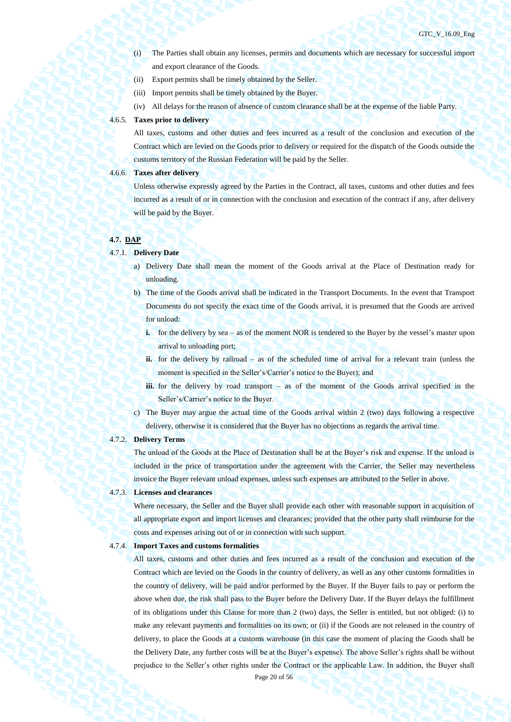- (i) The Parties shall obtain any licenses, permits and documents which are necessary for successful import and export clearance of the Goods.
- (ii) Export permits shall be timely obtained by the Seller.
- (iii) Import permits shall be timely obtained by the Buyer.
- (iv) All delays for the reason of absence of custom clearance shall be at the expense of the liable Party.

### 4.6.5. **Taxes prior to delivery**

All taxes, customs and other duties and fees incurred as a result of the conclusion and execution of the Contract which are levied on the Goods prior to delivery or required for the dispatch of the Goods outside the customs territory of the Russian Federation will be paid by the Seller.

### 4.6.6. **Taxes after delivery**

Unless otherwise expressly agreed by the Parties in the Contract, all taxes, customs and other duties and fees incurred as a result of or in connection with the conclusion and execution of the contract if any, after delivery will be paid by the Buyer.

#### **4.7. DAP**

#### 4.7.1. **Delivery Date**

- a) Delivery Date shall mean the moment of the Goods arrival at the Place of Destination ready for unloading.
- b) The time of the Goods arrival shall be indicated in the Transport Documents. In the event that Transport Documents do not specify the exact time of the Goods arrival, it is presumed that the Goods are arrived for unload:
	- **i.** for the delivery by sea as of the moment NOR is tendered to the Buyer by the vessel's master upon arrival to unloading port;
	- ii. for the delivery by railroad as of the scheduled time of arrival for a relevant train (unless the moment is specified in the Seller's/Carrier's notice to the Buyer); and
	- **iii.** for the delivery by road transport as of the moment of the Goods arrival specified in the Seller's/Carrier's notice to the Buyer.
- c) The Buyer may argue the actual time of the Goods arrival within 2 (two) days following a respective delivery, otherwise it is considered that the Buyer has no objections as regards the arrival time.

### 4.7.2. **Delivery Terms**

The unload of the Goods at the Place of Destination shall be at the Buyer's risk and expense. If the unload is included in the price of transportation under the agreement with the Carrier, the Seller may nevertheless invoice the Buyer relevant unload expenses, unless such expenses are attributed to the Seller in above.

#### 4.7.3. **Licenses and clearances**

Where necessary, the Seller and the Buyer shall provide each other with reasonable support in acquisition of all appropriate export and import licenses and clearances; provided that the other party shall reimburse for the costs and expenses arising out of or in connection with such support.

#### 4.7.4. **Import Taxes and customs formalities**

All taxes, customs and other duties and fees incurred as a result of the conclusion and execution of the Contract which are levied on the Goods in the country of delivery, as well as any other customs formalities in the country of delivery, will be paid and/or performed by the Buyer. If the Buyer fails to pay or perform the above when due, the risk shall pass to the Buyer before the Delivery Date. If the Buyer delays the fulfillment of its obligations under this Clause for more than 2 (two) days, the Seller is entitled, but not obliged: (i) to make any relevant payments and formalities on its own; or (ii) if the Goods are not released in the country of delivery, to place the Goods at a customs warehouse (in this case the moment of placing the Goods shall be the Delivery Date, any further costs will be at the Buyer's expense). The above Seller's rights shall be without prejudice to the Seller's other rights under the Contract or the applicable Law. In addition, the Buyer shall

Page 20 of 56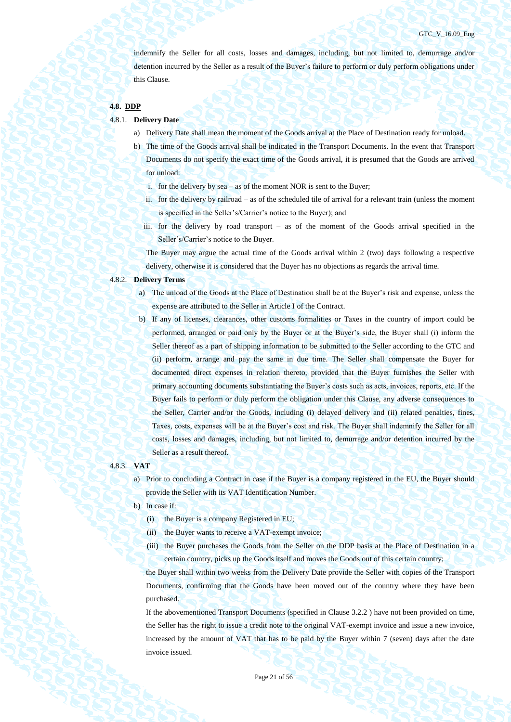indemnify the Seller for all costs, losses and damages, including, but not limited to, demurrage and/or detention incurred by the Seller as a result of the Buyer's failure to perform or duly perform obligations under this Clause.

# **4.8. DDP**

- 4.8.1. **Delivery Date**
	- a) Delivery Date shall mean the moment of the Goods arrival at the Place of Destination ready for unload.
	- b) The time of the Goods arrival shall be indicated in the Transport Documents. In the event that Transport Documents do not specify the exact time of the Goods arrival, it is presumed that the Goods are arrived for unload:
		- i. for the delivery by sea as of the moment NOR is sent to the Buyer;
		- ii. for the delivery by railroad as of the scheduled tile of arrival for a relevant train (unless the moment is specified in the Seller's/Carrier's notice to the Buyer); and
		- iii. for the delivery by road transport as of the moment of the Goods arrival specified in the Seller's/Carrier's notice to the Buyer.

The Buyer may argue the actual time of the Goods arrival within 2 (two) days following a respective delivery, otherwise it is considered that the Buyer has no objections as regards the arrival time.

### 4.8.2. **Delivery Terms**

- a) The unload of the Goods at the Place of Destination shall be at the Buyer's risk and expense, unless the expense are attributed to the Seller in Article I of the Contract.
- b) If any of licenses, clearances, other customs formalities or Taxes in the country of import could be performed, arranged or paid only by the Buyer or at the Buyer's side, the Buyer shall (i) inform the Seller thereof as a part of shipping information to be submitted to the Seller according to the GTC and (ii) perform, arrange and pay the same in due time. The Seller shall compensate the Buyer for documented direct expenses in relation thereto, provided that the Buyer furnishes the Seller with primary accounting documents substantiating the Buyer's costs such as acts, invoices, reports, etc. If the Buyer fails to perform or duly perform the obligation under this Clause, any adverse consequences to the Seller, Carrier and/or the Goods, including (i) delayed delivery and (ii) related penalties, fines, Taxes, costs, expenses will be at the Buyer's cost and risk. The Buyer shall indemnify the Seller for all costs, losses and damages, including, but not limited to, demurrage and/or detention incurred by the Seller as a result thereof.

### 4.8.3. **VAT**

a) Prior to concluding a Contract in case if the Buyer is a company registered in the EU, the Buyer should provide the Seller with its VAT Identification Number.

- b) In case if:
	- (i) the Buyer is a company Registered in EU;
	- (ii) the Buyer wants to receive a VAT-exempt invoice;
	- (iii) the Buyer purchases the Goods from the Seller on the DDP basis at the Place of Destination in a certain country, picks up the Goods itself and moves the Goods out of this certain country;

the Buyer shall within two weeks from the Delivery Date provide the Seller with copies of the Transport Documents, confirming that the Goods have been moved out of the country where they have been purchased.

If the abovementioned Transport Documents (specified in Clause 3.2.2 ) have not been provided on time, the Seller has the right to issue a credit note to the original VAT-exempt invoice and issue a new invoice, increased by the amount of VAT that has to be paid by the Buyer within 7 (seven) days after the date invoice issued.

Page 21 of 56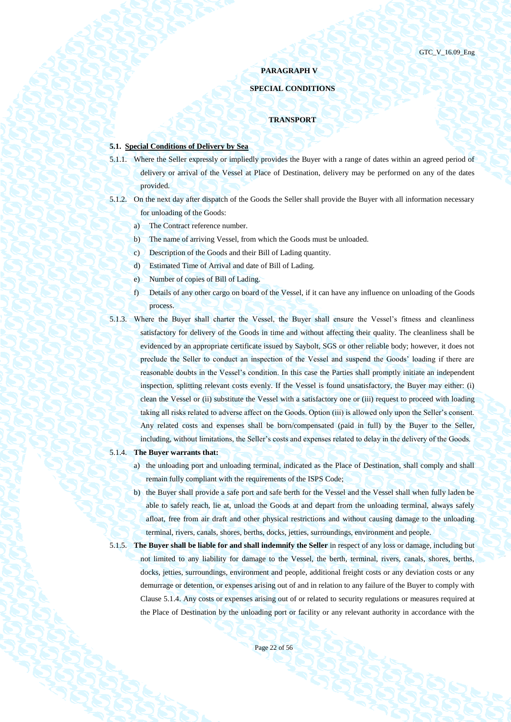# **PARAGRAPH V**

# **SPECIAL CONDITIONS**

# **TRANSPORT**

# **5.1. Special Conditions of Delivery by Sea**

- 5.1.1. Where the Seller expressly or impliedly provides the Buyer with a range of dates within an agreed period of delivery or arrival of the Vessel at Place of Destination, delivery may be performed on any of the dates provided.
- 5.1.2. On the next day after dispatch of the Goods the Seller shall provide the Buyer with all information necessary for unloading of the Goods:
	- a) The Contract reference number.
	- b) The name of arriving Vessel, from which the Goods must be unloaded.
	- c) Description of the Goods and their Bill of Lading quantity.
	- d) Estimated Time of Arrival and date of Bill of Lading.
	- e) Number of copies of Bill of Lading.
	- f) Details of any other cargo on board of the Vessel, if it can have any influence on unloading of the Goods process.
- 5.1.3. Where the Buyer shall charter the Vessel, the Buyer shall ensure the Vessel's fitness and cleanliness satisfactory for delivery of the Goods in time and without affecting their quality. The cleanliness shall be evidenced by an appropriate certificate issued by Saybolt, SGS or other reliable body; however, it does not preclude the Seller to conduct an inspection of the Vessel and suspend the Goods' loading if there are reasonable doubts in the Vessel's condition. In this case the Parties shall promptly initiate an independent inspection, splitting relevant costs evenly. If the Vessel is found unsatisfactory, the Buyer may either: (i) clean the Vessel or (ii) substitute the Vessel with a satisfactory one or (iii) request to proceed with loading taking all risks related to adverse affect on the Goods. Option (iii) is allowed only upon the Seller's consent. Any related costs and expenses shall be born/compensated (paid in full) by the Buyer to the Seller, including, without limitations, the Seller's costs and expenses related to delay in the delivery of the Goods.

#### <span id="page-21-0"></span>5.1.4. **The Buyer warrants that:**

- a) the unloading port and unloading terminal, indicated as the Place of Destination, shall comply and shall remain fully compliant with the requirements of the ISPS Code;
- b) the Buyer shall provide a safe port and safe berth for the Vessel and the Vessel shall when fully laden be able to safely reach, lie at, unload the Goods at and depart from the unloading terminal, always safely afloat, free from air draft and other physical restrictions and without causing damage to the unloading terminal, rivers, canals, shores, berths, docks, jetties, surroundings, environment and people.
- 5.1.5. **The Buyer shall be liable for and shall indemnify the Seller** in respect of any loss or damage, including but not limited to any liability for damage to the Vessel, the berth, terminal, rivers, canals, shores, berths, docks, jetties, surroundings, environment and people, additional freight costs or any deviation costs or any demurrage or detention, or expenses arising out of and in relation to any failure of the Buyer to comply with Claus[e 5.1.4.](#page-21-0) Any costs or expenses arising out of or related to security regulations or measures required at the Place of Destination by the unloading port or facility or any relevant authority in accordance with the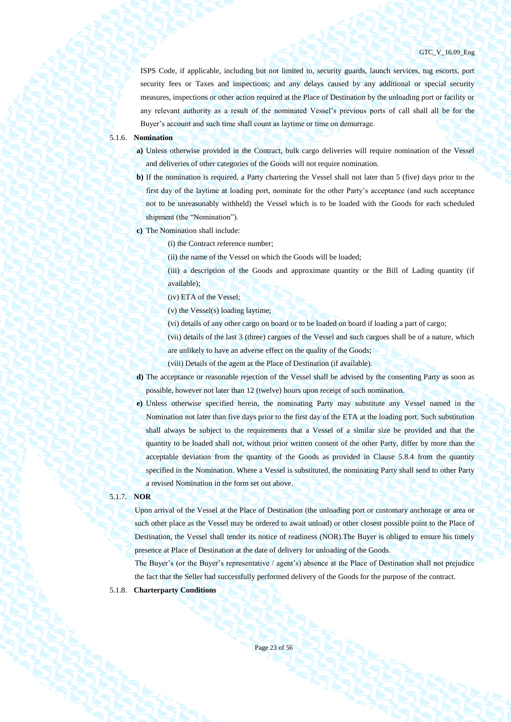ISPS Code, if applicable, including but not limited to, security guards, launch services, tug escorts, port security fees or Taxes and inspections; and any delays caused by any additional or special security measures, inspections or other action required at the Place of Destination by the unloading port or facility or any relevant authority as a result of the nominated Vessel's previous ports of call shall all be for the Buyer's account and such time shall count as laytime or time on demurrage.

### 5.1.6. **Nomination**

- **a)** Unless otherwise provided in the Contract, bulk cargo deliveries will require nomination of the Vessel and deliveries of other categories of the Goods will not require nomination.
- **b)** If the nomination is required, a Party chartering the Vessel shall not later than 5 (five) days prior to the first day of the laytime at loading port, nominate for the other Party's acceptance (and such acceptance not to be unreasonably withheld) the Vessel which is to be loaded with the Goods for each scheduled shipment (the "Nomination").
- **c)** The Nomination shall include:

(i) the Contract reference number;

(ii) the name of the Vessel on which the Goods will be loaded;

(iii) a description of the Goods and approximate quantity or the Bill of Lading quantity (if available);

(iv) ETA of the Vessel;

(v) the Vessel(s) loading laytime;

(vi) details of any other cargo on board or to be loaded on board if loading a part of cargo;

(vii) details of the last 3 (three) cargoes of the Vessel and such cargoes shall be of a nature, which are unlikely to have an adverse effect on the quality of the Goods;

(viii) Details of the agent at the Place of Destination (if available).

- **d)** The acceptance or reasonable rejection of the Vessel shall be advised by the consenting Party as soon as possible, however not later than 12 (twelve) hours upon receipt of such nomination.
- **e)** Unless otherwise specified herein, the nominating Party may substitute any Vessel named in the Nomination not later than five days prior to the first day of the ETA at the loading port. Such substitution shall always be subject to the requirements that a Vessel of a similar size be provided and that the quantity to be loaded shall not, without prior written consent of the other Party, differ by more than the acceptable deviation from the quantity of the Goods as provided in Clause [5.8.4](#page-38-0) from the quantity specified in the Nomination. Where a Vessel is substituted, the nominating Party shall send to other Party a revised Nomination in the form set out above.

#### 5.1.7. **NOR**

Upon arrival of the Vessel at the Place of Destination (the unloading port or customary anchorage or area or such other place as the Vessel may be ordered to await unload) or other closest possible point to the Place of Destination, the Vessel shall tender its notice of readiness (NOR).The Buyer is obliged to ensure his timely presence at Place of Destination at the date of delivery for unloading of the Goods.

The Buyer's (or the Buyer's representative / agent's) absence at the Place of Destination shall not prejudice the fact that the Seller had successfully performed delivery of the Goods for the purpose of the contract.

# 5.1.8. **Charterparty Conditions**

Page 23 of 56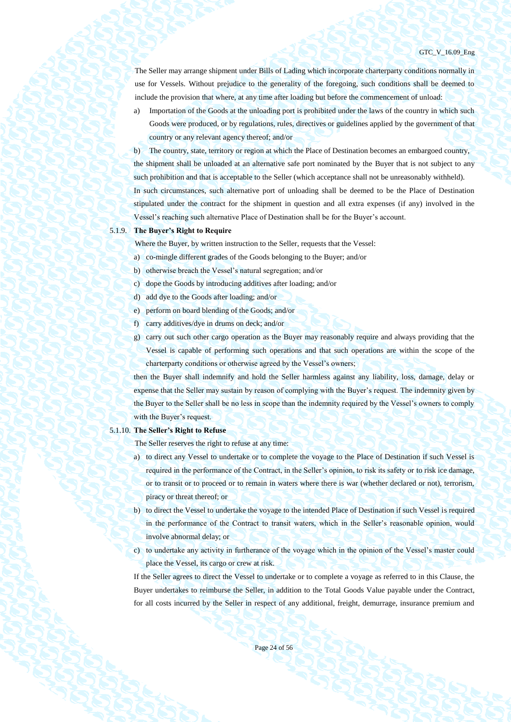GTC\_V\_16.09\_Eng

The Seller may arrange shipment under Bills of Lading which incorporate charterparty conditions normally in use for Vessels. Without prejudice to the generality of the foregoing, such conditions shall be deemed to include the provision that where, at any time after loading but before the commencement of unload:

a) Importation of the Goods at the unloading port is prohibited under the laws of the country in which such Goods were produced, or by regulations, rules, directives or guidelines applied by the government of that country or any relevant agency thereof; and/or

b) The country, state, territory or region at which the Place of Destination becomes an embargoed country, the shipment shall be unloaded at an alternative safe port nominated by the Buyer that is not subject to any such prohibition and that is acceptable to the Seller (which acceptance shall not be unreasonably withheld). In such circumstances, such alternative port of unloading shall be deemed to be the Place of Destination stipulated under the contract for the shipment in question and all extra expenses (if any) involved in the Vessel's reaching such alternative Place of Destination shall be for the Buyer's account.

# 5.1.9. **The Buyer's Right to Require**

Where the Buyer, by written instruction to the Seller, requests that the Vessel:

- a) co-mingle different grades of the Goods belonging to the Buyer; and/or
- b) otherwise breach the Vessel's natural segregation; and/or
- c) dope the Goods by introducing additives after loading; and/or
- d) add dye to the Goods after loading; and/or
- e) perform on board blending of the Goods; and/or
- f) carry additives/dye in drums on deck; and/or
- g) carry out such other cargo operation as the Buyer may reasonably require and always providing that the Vessel is capable of performing such operations and that such operations are within the scope of the charterparty conditions or otherwise agreed by the Vessel's owners;

then the Buyer shall indemnify and hold the Seller harmless against any liability, loss, damage, delay or expense that the Seller may sustain by reason of complying with the Buyer's request. The indemnity given by the Buyer to the Seller shall be no less in scope than the indemnity required by the Vessel's owners to comply with the Buyer's request.

#### 5.1.10. **The Seller's Right to Refuse**

The Seller reserves the right to refuse at any time:

- a) to direct any Vessel to undertake or to complete the voyage to the Place of Destination if such Vessel is required in the performance of the Contract, in the Seller's opinion, to risk its safety or to risk ice damage, or to transit or to proceed or to remain in waters where there is war (whether declared or not), terrorism, piracy or threat thereof; or
- b) to direct the Vessel to undertake the voyage to the intended Place of Destination if such Vessel is required in the performance of the Contract to transit waters, which in the Seller's reasonable opinion, would involve abnormal delay; or
- c) to undertake any activity in furtherance of the voyage which in the opinion of the Vessel's master could place the Vessel, its cargo or crew at risk.

If the Seller agrees to direct the Vessel to undertake or to complete a voyage as referred to in this Clause, the Buyer undertakes to reimburse the Seller, in addition to the Total Goods Value payable under the Contract, for all costs incurred by the Seller in respect of any additional, freight, demurrage, insurance premium and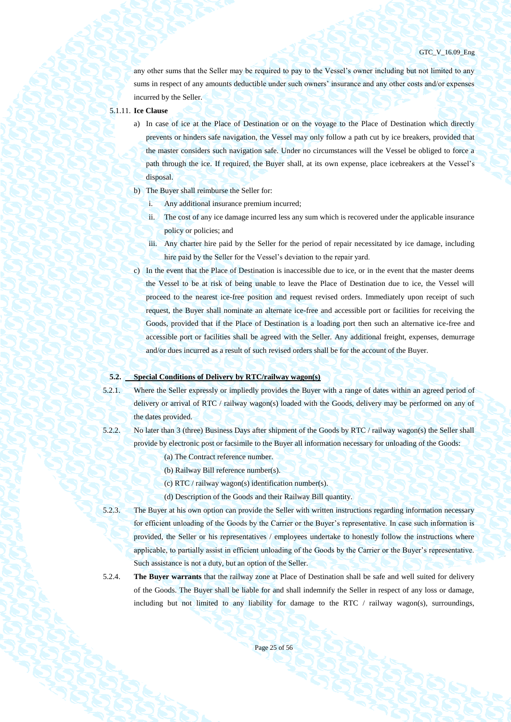any other sums that the Seller may be required to pay to the Vessel's owner including but not limited to any sums in respect of any amounts deductible under such owners' insurance and any other costs and/or expenses incurred by the Seller.

# 5.1.11. **Ice Clause**

- a) In case of ice at the Place of Destination or on the voyage to the Place of Destination which directly prevents or hinders safe navigation, the Vessel may only follow a path cut by ice breakers, provided that the master considers such navigation safe. Under no circumstances will the Vessel be obliged to force a path through the ice. If required, the Buyer shall, at its own expense, place icebreakers at the Vessel's disposal.
- b) The Buyer shall reimburse the Seller for:
	- Any additional insurance premium incurred;
	- ii. The cost of any ice damage incurred less any sum which is recovered under the applicable insurance policy or policies; and
	- iii. Any charter hire paid by the Seller for the period of repair necessitated by ice damage, including hire paid by the Seller for the Vessel's deviation to the repair yard.
- c) In the event that the Place of Destination is inaccessible due to ice, or in the event that the master deems the Vessel to be at risk of being unable to leave the Place of Destination due to ice, the Vessel will proceed to the nearest ice-free position and request revised orders. Immediately upon receipt of such request, the Buyer shall nominate an alternate ice-free and accessible port or facilities for receiving the Goods, provided that if the Place of Destination is a loading port then such an alternative ice-free and accessible port or facilities shall be agreed with the Seller. Any additional freight, expenses, demurrage and/or dues incurred as a result of such revised orders shall be for the account of the Buyer.

#### **5.2. Special Conditions of Delivery by RTC/railway wagon(s)**

- 5.2.1. Where the Seller expressly or impliedly provides the Buyer with a range of dates within an agreed period of delivery or arrival of RTC / railway wagon(s) loaded with the Goods, delivery may be performed on any of the dates provided.
- 5.2.2. No later than 3 (three) Business Days after shipment of the Goods by RTC / railway wagon(s) the Seller shall provide by electronic post or facsimile to the Buyer all information necessary for unloading of the Goods:
	- (a) The Contract reference number.
	- (b) Railway Bill reference number(s).
	- (c) RTC / railway wagon(s) identification number(s).
	- (d) Description of the Goods and their Railway Bill quantity.
- 5.2.3. The Buyer at his own option can provide the Seller with written instructions regarding information necessary for efficient unloading of the Goods by the Carrier or the Buyer's representative. In case such information is provided, the Seller or his representatives / employees undertake to honestly follow the instructions where applicable, to partially assist in efficient unloading of the Goods by the Carrier or the Buyer's representative. Such assistance is not a duty, but an option of the Seller.
- 5.2.4. **The Buyer warrants** that the railway zone at Place of Destination shall be safe and well suited for delivery of the Goods. The Buyer shall be liable for and shall indemnify the Seller in respect of any loss or damage, including but not limited to any liability for damage to the RTC  $/$  railway wagon(s), surroundings,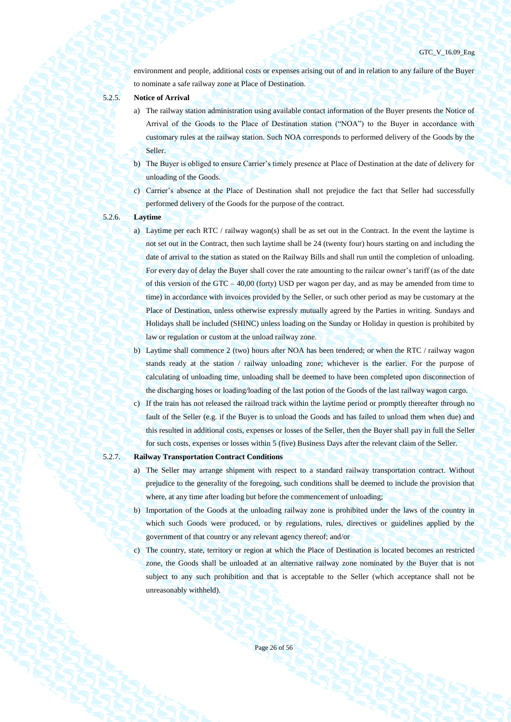environment and people, additional costs or expenses arising out of and in relation to any failure of the Buyer to nominate a safe railway zone at Place of Destination.

- 
- 5.2.5. **Notice of Arrival**
	- a) The railway station administration using available contact information of the Buyer presents the Notice of Arrival of the Goods to the Place of Destination station ("NOA") to the Buyer in accordance with customary rules at the railway station. Such NOA corresponds to performed delivery of the Goods by the Seller.
	- b) The Buyer is obliged to ensure Carrier's timely presence at Place of Destination at the date of delivery for unloading of the Goods.
	- c) Carrier's absence at the Place of Destination shall not prejudice the fact that Seller had successfully performed delivery of the Goods for the purpose of the contract.

## 5.2.6. **Laytime**

- a) Laytime per each RTC / railway wagon(s) shall be as set out in the Contract. In the event the laytime is not set out in the Contract, then such laytime shall be 24 (twenty four) hours starting on and including the date of arrival to the station as stated on the Railway Bills and shall run until the completion of unloading. For every day of delay the Buyer shall cover the rate amounting to the railcar owner's tariff (as of the date of this version of the GTC – 40,00 (forty) USD per wagon per day, and as may be amended from time to time) in accordance with invoices provided by the Seller, or such other period as may be customary at the Place of Destination, unless otherwise expressly mutually agreed by the Parties in writing. Sundays and Holidays shall be included (SHINC) unless loading on the Sunday or Holiday in question is prohibited by law or regulation or custom at the unload railway zone.
- b) Laytime shall commence 2 (two) hours after NOA has been tendered; or when the RTC / railway wagon stands ready at the station / railway unloading zone; whichever is the earlier. For the purpose of calculating of unloading time, unloading shall be deemed to have been completed upon disconnection of the discharging hoses or loading/loading of the last potion of the Goods of the last railway wagon cargo.
- c) If the train has not released the railroad track within the laytime period or promptly thereafter through no fault of the Seller (e.g. if the Buyer is to unload the Goods and has failed to unload them when due) and this resulted in additional costs, expenses or losses of the Seller, then the Buyer shall pay in full the Seller for such costs, expenses or losses within 5 (five) Business Days after the relevant claim of the Seller.

### 5.2.7. **Railway Transportation Contract Conditions**

- a) The Seller may arrange shipment with respect to a standard railway transportation contract. Without prejudice to the generality of the foregoing, such conditions shall be deemed to include the provision that where, at any time after loading but before the commencement of unloading;
- b) Importation of the Goods at the unloading railway zone is prohibited under the laws of the country in which such Goods were produced, or by regulations, rules, directives or guidelines applied by the government of that country or any relevant agency thereof; and/or
- c) The country, state, territory or region at which the Place of Destination is located becomes an restricted zone, the Goods shall be unloaded at an alternative railway zone nominated by the Buyer that is not subject to any such prohibition and that is acceptable to the Seller (which acceptance shall not be unreasonably withheld).

Page 26 of 56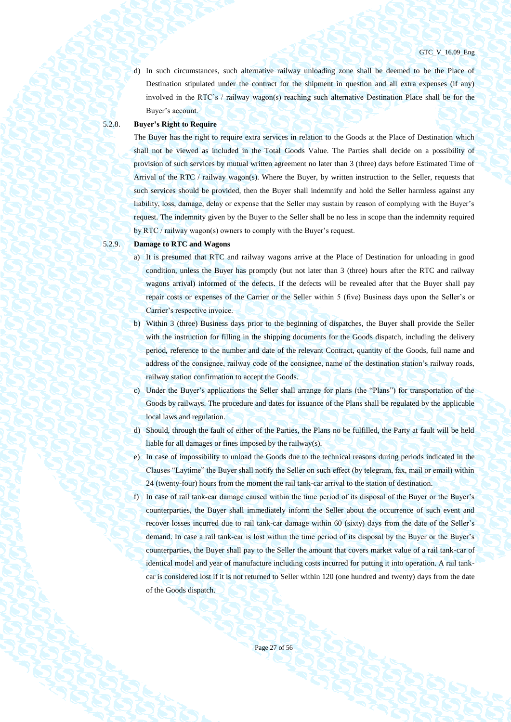d) In such circumstances, such alternative railway unloading zone shall be deemed to be the Place of Destination stipulated under the contract for the shipment in question and all extra expenses (if any) involved in the RTC's / railway wagon(s) reaching such alternative Destination Place shall be for the Buyer's account.

# 5.2.8. **Buyer's Right to Require**

The Buyer has the right to require extra services in relation to the Goods at the Place of Destination which shall not be viewed as included in the Total Goods Value. The Parties shall decide on a possibility of provision of such services by mutual written agreement no later than 3 (three) days before Estimated Time of Arrival of the RTC / railway wagon(s). Where the Buyer, by written instruction to the Seller, requests that such services should be provided, then the Buyer shall indemnify and hold the Seller harmless against any liability, loss, damage, delay or expense that the Seller may sustain by reason of complying with the Buyer's request. The indemnity given by the Buyer to the Seller shall be no less in scope than the indemnity required by RTC / railway wagon(s) owners to comply with the Buyer's request.

# 5.2.9. **Damage to RTC and Wagons**

- a) It is presumed that RTC and railway wagons arrive at the Place of Destination for unloading in good condition, unless the Buyer has promptly (but not later than 3 (three) hours after the RTC and railway wagons arrival) informed of the defects. If the defects will be revealed after that the Buyer shall pay repair costs or expenses of the Carrier or the Seller within 5 (five) Business days upon the Seller's or Carrier's respective invoice.
- b) Within 3 (three) Business days prior to the beginning of dispatches, the Buyer shall provide the Seller with the instruction for filling in the shipping documents for the Goods dispatch, including the delivery period, reference to the number and date of the relevant Contract, quantity of the Goods, full name and address of the consignee, railway code of the consignee, name of the destination station's railway roads, railway station confirmation to accept the Goods.
- c) Under the Buyer's applications the Seller shall arrange for plans (the "Plans") for transportation of the Goods by railways. The procedure and dates for issuance of the Plans shall be regulated by the applicable local laws and regulation.
- d) Should, through the fault of either of the Parties, the Plans no be fulfilled, the Party at fault will be held liable for all damages or fines imposed by the railway(s).
- e) In case of impossibility to unload the Goods due to the technical reasons during periods indicated in the Clauses "Laytime" the Buyer shall notify the Seller on such effect (by telegram, fax, mail or email) within 24 (twenty-four) hours from the moment the rail tank-car arrival to the station of destination.
- f) In case of rail tank-car damage caused within the time period of its disposal of the Buyer or the Buyer's counterparties, the Buyer shall immediately inform the Seller about the occurrence of such event and recover losses incurred due to rail tank-car damage within 60 (sixty) days from the date of the Seller's demand. In case a rail tank-car is lost within the time period of its disposal by the Buyer or the Buyer's counterparties, the Buyer shall pay to the Seller the amount that covers market value of a rail tank-car of identical model and year of manufacture including costs incurred for putting it into operation. A rail tankcar is considered lost if it is not returned to Seller within 120 (one hundred and twenty) days from the date of the Goods dispatch.

Page 27 of 56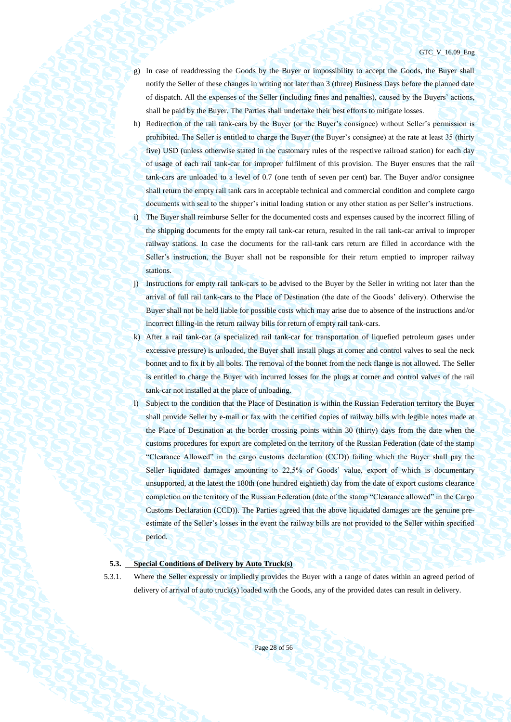- g) In case of readdressing the Goods by the Buyer or impossibility to accept the Goods, the Buyer shall notify the Seller of these changes in writing not later than 3 (three) Business Days before the planned date of dispatch. All the expenses of the Seller (including fines and penalties), caused by the Buyers' actions, shall be paid by the Buyer. The Parties shall undertake their best efforts to mitigate losses.
- h) Redirection of the rail tank-cars by the Buyer (or the Buyer's consignee) without Seller's permission is prohibited. The Seller is entitled to charge the Buyer (the Buyer's consignee) at the rate at least 35 (thirty five) USD (unless otherwise stated in the customary rules of the respective railroad station) for each day of usage of each rail tank-car for improper fulfilment of this provision. The Buyer ensures that the rail tank-cars are unloaded to a level of 0.7 (one tenth of seven per cent) bar. The Buyer and/or consignee shall return the empty rail tank cars in acceptable technical and commercial condition and complete cargo documents with seal to the shipper's initial loading station or any other station as per Seller's instructions.
- i) The Buyer shall reimburse Seller for the documented costs and expenses caused by the incorrect filling of the shipping documents for the empty rail tank-car return, resulted in the rail tank-car arrival to improper railway stations. In case the documents for the rail-tank cars return are filled in accordance with the Seller's instruction, the Buyer shall not be responsible for their return emptied to improper railway stations.
- j) Instructions for empty rail tank-cars to be advised to the Buyer by the Seller in writing not later than the arrival of full rail tank-cars to the Place of Destination (the date of the Goods' delivery). Otherwise the Buyer shall not be held liable for possible costs which may arise due to absence of the instructions and/or incorrect filling-in the return railway bills for return of empty rail tank-cars.
- k) After a rail tank-car (a specialized rail tank-car for transportation of liquefied petroleum gases under excessive pressure) is unloaded, the Buyer shall install plugs at corner and control valves to seal the neck bonnet and to fix it by all bolts. The removal of the bonnet from the neck flange is not allowed. The Seller is entitled to charge the Buyer with incurred losses for the plugs at corner and control valves of the rail tank-car not installed at the place of unloading.
- l) Subject to the condition that the Place of Destination is within the Russian Federation territory the Buyer shall provide Seller by e-mail or fax with the certified copies of railway bills with legible notes made at the Place of Destination at the border crossing points within 30 (thirty) days from the date when the customs procedures for export are completed on the territory of the Russian Federation (date of the stamp "Clearance Allowed" in the cargo customs declaration (CCD)) failing which the Buyer shall pay the Seller liquidated damages amounting to 22,5% of Goods' value, export of which is documentary unsupported, at the latest the 180th (one hundred eightieth) day from the date of export customs clearance completion on the territory of the Russian Federation (date of the stamp "Clearance allowed" in the Cargo Customs Declaration (CCD)). The Parties agreed that the above liquidated damages are the genuine preestimate of the Seller's losses in the event the railway bills are not provided to the Seller within specified period.

### **5.3. Special Conditions of Delivery by Auto Truck(s)**

5.3.1. Where the Seller expressly or impliedly provides the Buyer with a range of dates within an agreed period of delivery of arrival of auto truck(s) loaded with the Goods, any of the provided dates can result in delivery.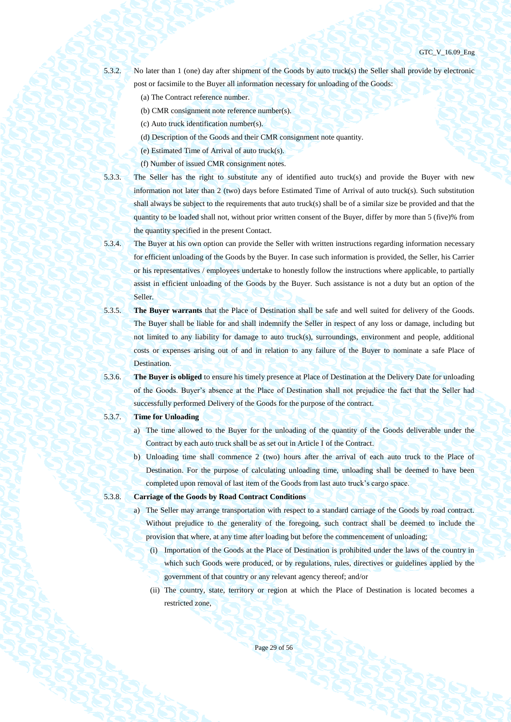5.3.2. No later than 1 (one) day after shipment of the Goods by auto truck(s) the Seller shall provide by electronic post or facsimile to the Buyer all information necessary for unloading of the Goods:

- (a) The Contract reference number.
- (b) CMR consignment note reference number(s).
- (c) Auto truck identification number(s).
- (d) Description of the Goods and their CMR consignment note quantity.
- (e) Estimated Time of Arrival of auto truck(s).
- (f) Number of issued CMR consignment notes.
- 

5.3.3. The Seller has the right to substitute any of identified auto truck(s) and provide the Buyer with new information not later than 2 (two) days before Estimated Time of Arrival of auto truck(s). Such substitution shall always be subject to the requirements that auto truck(s) shall be of a similar size be provided and that the quantity to be loaded shall not, without prior written consent of the Buyer, differ by more than 5 (five)% from the quantity specified in the present Contact.

- 5.3.4. The Buyer at his own option can provide the Seller with written instructions regarding information necessary for efficient unloading of the Goods by the Buyer. In case such information is provided, the Seller, his Carrier or his representatives / employees undertake to honestly follow the instructions where applicable, to partially assist in efficient unloading of the Goods by the Buyer. Such assistance is not a duty but an option of the Seller.
- 5.3.5. **The Buyer warrants** that the Place of Destination shall be safe and well suited for delivery of the Goods. The Buyer shall be liable for and shall indemnify the Seller in respect of any loss or damage, including but not limited to any liability for damage to auto truck(s), surroundings, environment and people, additional costs or expenses arising out of and in relation to any failure of the Buyer to nominate a safe Place of Destination.
- 

5.3.6. **The Buyer is obliged** to ensure his timely presence at Place of Destination at the Delivery Date for unloading of the Goods. Buyer's absence at the Place of Destination shall not prejudice the fact that the Seller had successfully performed Delivery of the Goods for the purpose of the contract.

# 5.3.7. **Time for Unloading**

- a) The time allowed to the Buyer for the unloading of the quantity of the Goods deliverable under the Contract by each auto truck shall be as set out in Article I of the Contract.
- b) Unloading time shall commence 2 (two) hours after the arrival of each auto truck to the Place of Destination. For the purpose of calculating unloading time, unloading shall be deemed to have been completed upon removal of last item of the Goods from last auto truck's cargo space.
- 5.3.8. **Carriage of the Goods by Road Contract Conditions**
	- a) The Seller may arrange transportation with respect to a standard carriage of the Goods by road contract. Without prejudice to the generality of the foregoing, such contract shall be deemed to include the provision that where, at any time after loading but before the commencement of unloading;
		- (i) Importation of the Goods at the Place of Destination is prohibited under the laws of the country in which such Goods were produced, or by regulations, rules, directives or guidelines applied by the government of that country or any relevant agency thereof; and/or
		- (ii) The country, state, territory or region at which the Place of Destination is located becomes a restricted zone,

Page 29 of 56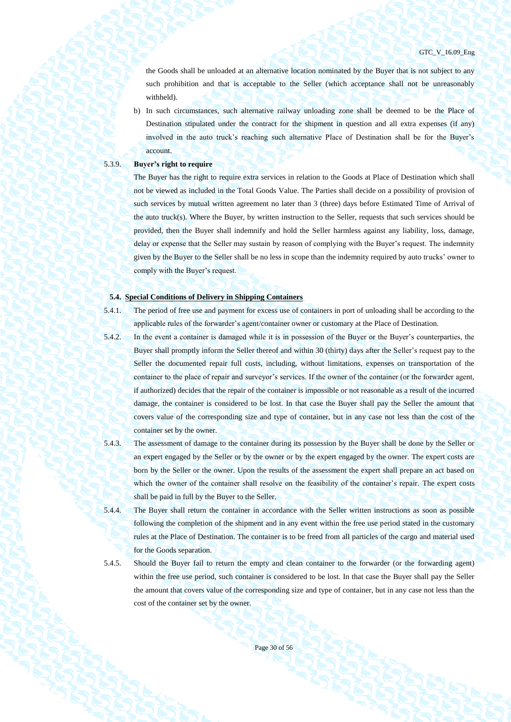the Goods shall be unloaded at an alternative location nominated by the Buyer that is not subject to any such prohibition and that is acceptable to the Seller (which acceptance shall not be unreasonably withheld).

b) In such circumstances, such alternative railway unloading zone shall be deemed to be the Place of Destination stipulated under the contract for the shipment in question and all extra expenses (if any) involved in the auto truck's reaching such alternative Place of Destination shall be for the Buyer's account.

# 5.3.9. **Buyer's right to require**

The Buyer has the right to require extra services in relation to the Goods at Place of Destination which shall not be viewed as included in the Total Goods Value. The Parties shall decide on a possibility of provision of such services by mutual written agreement no later than 3 (three) days before Estimated Time of Arrival of the auto truck(s). Where the Buyer, by written instruction to the Seller, requests that such services should be provided, then the Buyer shall indemnify and hold the Seller harmless against any liability, loss, damage, delay or expense that the Seller may sustain by reason of complying with the Buyer's request. The indemnity given by the Buyer to the Seller shall be no less in scope than the indemnity required by auto trucks' owner to comply with the Buyer's request.

# **5.4. Special Conditions of Delivery in Shipping Containers**

5.4.1. The period of free use and payment for excess use of containers in port of unloading shall be according to the applicable rules of the forwarder's agent/container owner or customary at the Place of Destination.

- 5.4.2. In the event a container is damaged while it is in possession of the Buyer or the Buyer's counterparties, the Buyer shall promptly inform the Seller thereof and within 30 (thirty) days after the Seller's request pay to the Seller the documented repair full costs, including, without limitations, expenses on transportation of the container to the place of repair and surveyor's services. If the owner of the container (or the forwarder agent, if authorized) decides that the repair of the container is impossible or not reasonable as a result of the incurred damage, the container is considered to be lost. In that case the Buyer shall pay the Seller the amount that covers value of the corresponding size and type of container, but in any case not less than the cost of the container set by the owner.
- 5.4.3. The assessment of damage to the container during its possession by the Buyer shall be done by the Seller or an expert engaged by the Seller or by the owner or by the expert engaged by the owner. The expert costs are born by the Seller or the owner. Upon the results of the assessment the expert shall prepare an act based on which the owner of the container shall resolve on the feasibility of the container's repair. The expert costs shall be paid in full by the Buyer to the Seller.
- 5.4.4. The Buyer shall return the container in accordance with the Seller written instructions as soon as possible following the completion of the shipment and in any event within the free use period stated in the customary rules at the Place of Destination. The container is to be freed from all particles of the cargo and material used for the Goods separation.

5.4.5. Should the Buyer fail to return the empty and clean container to the forwarder (or the forwarding agent) within the free use period, such container is considered to be lost. In that case the Buyer shall pay the Seller the amount that covers value of the corresponding size and type of container, but in any case not less than the cost of the container set by the owner.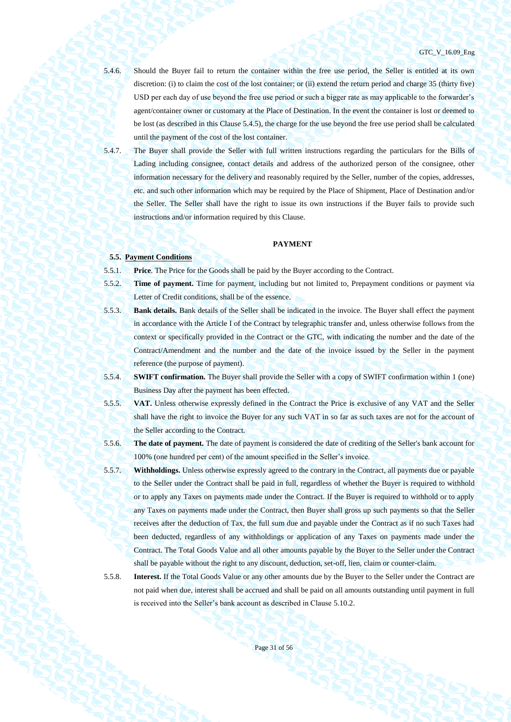5.4.6. Should the Buyer fail to return the container within the free use period, the Seller is entitled at its own discretion: (i) to claim the cost of the lost container; or (ii) extend the return period and charge 35 (thirty five) USD per each day of use beyond the free use period or such a bigger rate as may applicable to the forwarder's agent/container owner or customary at the Place of Destination. In the event the container is lost or deemed to be lost (as described in this Clause [5.4.5](#page-29-0)), the charge for the use beyond the free use period shall be calculated until the payment of the cost of the lost container.

5.4.7. The Buyer shall provide the Seller with full written instructions regarding the particulars for the Bills of Lading including consignee, contact details and address of the authorized person of the consignee, other information necessary for the delivery and reasonably required by the Seller, number of the copies, addresses, etc. and such other information which may be required by the Place of Shipment, Place of Destination and/or the Seller. The Seller shall have the right to issue its own instructions if the Buyer fails to provide such instructions and/or information required by this Clause.

# **PAYMENT**

### **5.5. Payment Conditions**

5.5.1. **Price**. The Price for the Goods shall be paid by the Buyer according to the Contract.

- 5.5.2. **Time of payment.** Time for payment, including but not limited to, Prepayment conditions or payment via Letter of Credit conditions, shall be of the essence.
- 5.5.3. **Bank details.** Bank details of the Seller shall be indicated in the invoice. The Buyer shall effect the payment in accordance with the Article I of the Contract by telegraphic transfer and, unless otherwise follows from the context or specifically provided in the Contract or the GTC, with indicating the number and the date of the Contract/Amendment and the number and the date of the invoice issued by the Seller in the payment reference (the purpose of payment).
- 5.5.4. **SWIFT confirmation.** The Buyer shall provide the Seller with a copy of SWIFT confirmation within 1 (one) Business Day after the payment has been effected.
- 5.5.5. **VAT.** Unless otherwise expressly defined in the Contract the Price is exclusive of any VAT and the Seller shall have the right to invoice the Buyer for any such VAT in so far as such taxes are not for the account of the Seller according to the Contract.
- 5.5.6. **The date of payment.** The date of payment is considered the date of crediting of the Seller's bank account for 100% (one hundred per cent) of the amount specified in the Seller's invoice.
- 5.5.7. **Withholdings.** Unless otherwise expressly agreed to the contrary in the Contract, all payments due or payable to the Seller under the Contract shall be paid in full, regardless of whether the Buyer is required to withhold or to apply any Taxes on payments made under the Contract. If the Buyer is required to withhold or to apply any Taxes on payments made under the Contract, then Buyer shall gross up such payments so that the Seller receives after the deduction of Tax, the full sum due and payable under the Contract as if no such Taxes had been deducted, regardless of any withholdings or application of any Taxes on payments made under the Contract. The Total Goods Value and all other amounts payable by the Buyer to the Seller under the Contract shall be payable without the right to any discount, deduction, set-off, lien, claim or counter-claim.
- 

5.5.8. **Interest.** If the Total Goods Value or any other amounts due by the Buyer to the Seller under the Contract are not paid when due, interest shall be accrued and shall be paid on all amounts outstanding until payment in full is received into the Seller's bank account as described in Clause 5.10.2.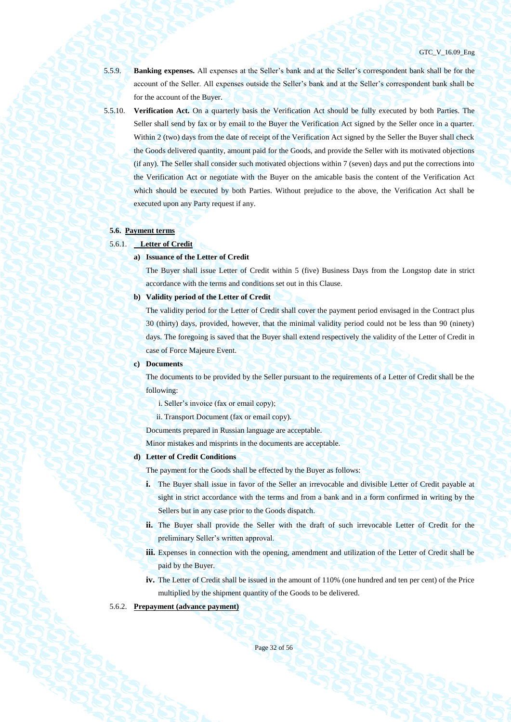5.5.9. **Banking expenses.** All expenses at the Seller's bank and at the Seller's correspondent bank shall be for the account of the Seller. All expenses outside the Seller's bank and at the Seller's correspondent bank shall be for the account of the Buyer.

<span id="page-31-0"></span>5.5.10. **Verification Act.** On a quarterly basis the Verification Act should be fully executed by both Parties. The Seller shall send by fax or by email to the Buyer the Verification Act signed by the Seller once in a quarter. Within 2 (two) days from the date of receipt of the Verification Act signed by the Seller the Buyer shall check the Goods delivered quantity, amount paid for the Goods, and provide the Seller with its motivated objections (if any). The Seller shall consider such motivated objections within 7 (seven) days and put the corrections into the Verification Act or negotiate with the Buyer on the amicable basis the content of the Verification Act which should be executed by both Parties. Without prejudice to the above, the Verification Act shall be executed upon any Party request if any.

# <span id="page-31-2"></span>**5.6. Payment terms**

# 5.6.1. **Letter of Credit**

### **a) Issuance of the Letter of Credit**

The Buyer shall issue Letter of Credit within 5 (five) Business Days from the Longstop date in strict accordance with the terms and conditions set out in this Clause.

### **b) Validity period of the Letter of Credit**

The validity period for the Letter of Credit shall cover the payment period envisaged in the Contract plus 30 (thirty) days, provided, however, that the minimal validity period could not be less than 90 (ninety) days. The foregoing is saved that the Buyer shall extend respectively the validity of the Letter of Credit in case of Force Majeure Event.

#### **c) Documents**

The documents to be provided by the Seller pursuant to the requirements of a Letter of Credit shall be the following:

i. Seller's invoice (fax or email copy);

ii. Transport Document (fax or email copy).

Documents prepared in Russian language are acceptable.

Minor mistakes and misprints in the documents are acceptable.

#### **d) Letter of Credit Conditions**

The payment for the Goods shall be effected by the Buyer as follows:

- **i.** The Buyer shall issue in favor of the Seller an irrevocable and divisible Letter of Credit payable at sight in strict accordance with the terms and from a bank and in a form confirmed in writing by the Sellers but in any case prior to the Goods dispatch.
- **ii.** The Buyer shall provide the Seller with the draft of such irrevocable Letter of Credit for the preliminary Seller's written approval.
- **iii.** Expenses in connection with the opening, amendment and utilization of the Letter of Credit shall be paid by the Buyer.
- **iv.** The Letter of Credit shall be issued in the amount of 110% (one hundred and ten per cent) of the Price multiplied by the shipment quantity of the Goods to be delivered.

## <span id="page-31-1"></span>5.6.2. **Prepayment (advance payment)**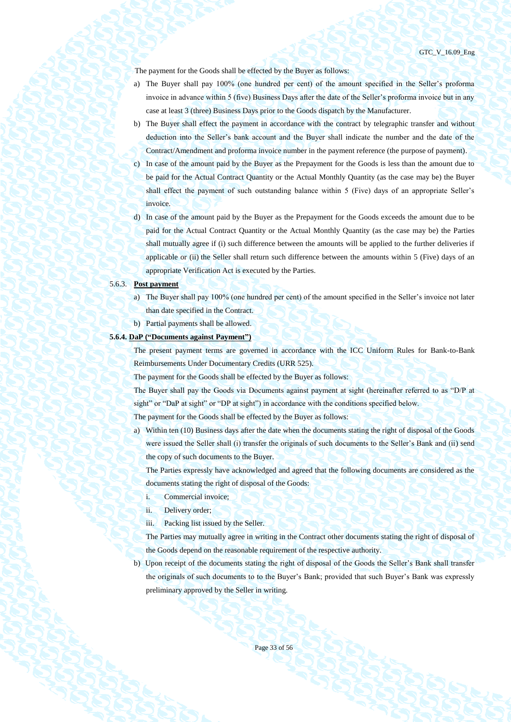GTC\_V\_16.09\_Eng

The payment for the Goods shall be effected by the Buyer as follows:

- a) The Buyer shall pay 100% (one hundred per cent) of the amount specified in the Seller's proforma invoice in advance within 5 (five) Business Days after the date of the Seller's proforma invoice but in any case at least 3 (three) Business Days prior to the Goods dispatch by the Manufacturer.
- b) The Buyer shall effect the payment in accordance with the contract by telegraphic transfer and without deduction into the Seller's bank account and the Buyer shall indicate the number and the date of the Contract/Amendment and proforma invoice number in the payment reference (the purpose of payment).
- c) In case of the amount paid by the Buyer as the Prepayment for the Goods is less than the amount due to be paid for the Actual Contract Quantity or the Actual Monthly Quantity (as the case may be) the Buyer shall effect the payment of such outstanding balance within 5 (Five) days of an appropriate Seller's invoice.
- d) In case of the amount paid by the Buyer as the Prepayment for the Goods exceeds the amount due to be paid for the Actual Contract Quantity or the Actual Monthly Quantity (as the case may be) the Parties shall mutually agree if (i) such difference between the amounts will be applied to the further deliveries if applicable or (ii) the Seller shall return such difference between the amounts within 5 (Five) days of an appropriate Verification Act is executed by the Parties.

#### 5.6.3. **Post payment**

- a) The Buyer shall pay 100% (one hundred per cent) of the amount specified in the Seller's invoice not later than date specified in the Contract.
- b) Partial payments shall be allowed.

### **5.6.4. DaP ("Documents against Payment")**

The present payment terms are governed in accordance with the ICC Uniform Rules for Bank-to-Bank Reimbursements Under Documentary Credits (URR 525).

The payment for the Goods shall be effected by the Buyer as follows:

The Buyer shall pay the Goods via Documents against payment at sight (hereinafter referred to as "D/P at sight" or "DaP at sight" or "DP at sight") in accordance with the conditions specified below.

The payment for the Goods shall be effected by the Buyer as follows:

a) Within ten (10) Business days after the date when the documents stating the right of disposal of the Goods were issued the Seller shall (i) transfer the originals of such documents to the Seller's Bank and (ii) send the copy of such documents to the Buyer.

The Parties expressly have acknowledged and agreed that the following documents are considered as the documents stating the right of disposal of the Goods:

- i. Commercial invoice;
- ii. Delivery order;
- iii. Packing list issued by the Seller.

The Parties may mutually agree in writing in the Contract other documents stating the right of disposal of the Goods depend on the reasonable requirement of the respective authority.

b) Upon receipt of the documents stating the right of disposal of the Goods the Seller's Bank shall transfer the originals of such documents to to the Buyer's Bank; provided that such Buyer's Bank was expressly preliminary approved by the Seller in writing.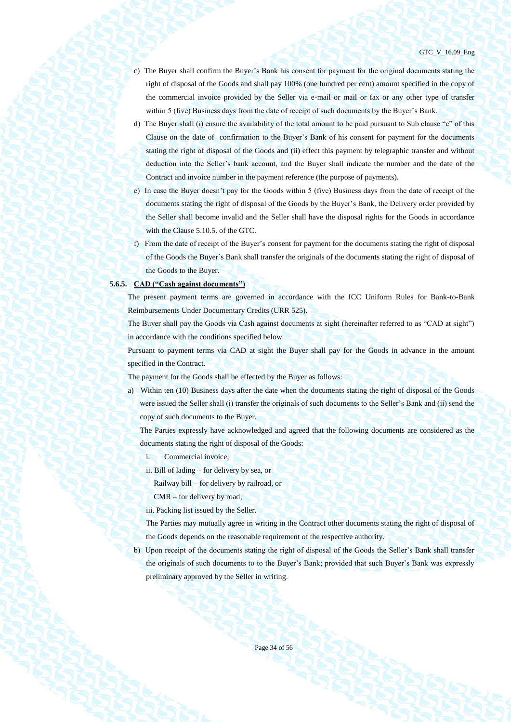- c) The Buyer shall confirm the Buyer's Bank his consent for payment for the original documents stating the right of disposal of the Goods and shall pay 100% (one hundred per cent) amount specified in the copy of the commercial invoice provided by the Seller via e-mail or mail or fax or any other type of transfer within 5 (five) Business days from the date of receipt of such documents by the Buyer's Bank.
- d) The Buyer shall (i) ensure the availability of the total amount to be paid pursuant to Sub clause "c" of this Clause on the date of confirmation to the Buyer's Bank of his consent for payment for the documents stating the right of disposal of the Goods and (ii) effect this payment by telegraphic transfer and without deduction into the Seller's bank account, and the Buyer shall indicate the number and the date of the Contract and invoice number in the payment reference (the purpose of payments).
- e) In case the Buyer doesn't pay for the Goods within 5 (five) Business days from the date of receipt of the documents stating the right of disposal of the Goods by the Buyer's Bank, the Delivery order provided by the Seller shall become invalid and the Seller shall have the disposal rights for the Goods in accordance with the Clause 5.10.5. of the GTC.
- f) From the date of receipt of the Buyer's consent for payment for the documents stating the right of disposal of the Goods the Buyer`s Bank shall transfer the originals of the documents stating the right of disposal of the Goods to the Buyer.

#### **5.6.5. CAD ("Cash against documents")**

The present payment terms are governed in accordance with the ICC Uniform Rules for Bank-to-Bank Reimbursements Under Documentary Credits (URR 525).

The Buyer shall pay the Goods via Cash against documents at sight (hereinafter referred to as "CAD at sight") in accordance with the conditions specified below.

Pursuant to payment terms via CAD at sight the Buyer shall pay for the Goods in advance in the amount specified in the Contract.

The payment for the Goods shall be effected by the Buyer as follows:

a) Within ten (10) Business days after the date when the documents stating the right of disposal of the Goods were issued the Seller shall (i) transfer the originals of such documents to the Seller's Bank and (ii) send the copy of such documents to the Buyer.

The Parties expressly have acknowledged and agreed that the following documents are considered as the documents stating the right of disposal of the Goods:

- i. Commercial invoice;
- ii. Bill of lading for delivery by sea, or

Railway bill – for delivery by railroad, or

CMR – for delivery by road;

iii. Packing list issued by the Seller.

The Parties may mutually agree in writing in the Contract other documents stating the right of disposal of the Goods depends on the reasonable requirement of the respective authority.

b) Upon receipt of the documents stating the right of disposal of the Goods the Seller's Bank shall transfer the originals of such documents to to the Buyer's Bank; provided that such Buyer's Bank was expressly preliminary approved by the Seller in writing.

Page 34 of 56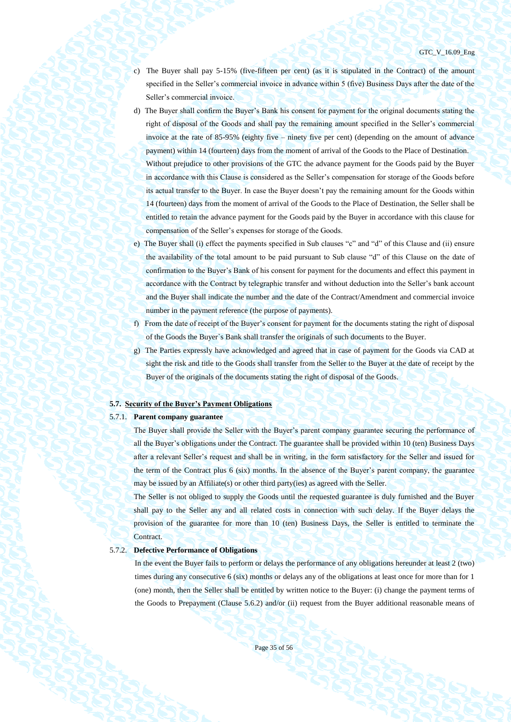- c) The Buyer shall pay 5-15% (five-fifteen per cent) (as it is stipulated in the Contract) of the amount specified in the Seller's commercial invoice in advance within 5 (five) Business Days after the date of the Seller's commercial invoice.
- d) The Buyer shall confirm the Buyer's Bank his consent for payment for the original documents stating the right of disposal of the Goods and shall pay the remaining amount specified in the Seller's commercial invoice at the rate of 85-95% (eighty five – ninety five per cent) (depending on the amount of advance payment) within 14 (fourteen) days from the moment of arrival of the Goods to the Place of Destination. Without prejudice to other provisions of the GTC the advance payment for the Goods paid by the Buyer in accordance with this Clause is considered as the Seller's compensation for storage of the Goods before its actual transfer to the Buyer. In case the Buyer doesn't pay the remaining amount for the Goods within 14 (fourteen) days from the moment of arrival of the Goods to the Place of Destination, the Seller shall be entitled to retain the advance payment for the Goods paid by the Buyer in accordance with this clause for compensation of the Seller's expenses for storage of the Goods.
- e) The Buyer shall (i) effect the payments specified in Sub clauses "c" and "d" of this Clause and (ii) ensure the availability of the total amount to be paid pursuant to Sub clause "d" of this Clause on the date of confirmation to the Buyer's Bank of his consent for payment for the documents and effect this payment in accordance with the Contract by telegraphic transfer and without deduction into the Seller's bank account and the Buyer shall indicate the number and the date of the Contract/Amendment and commercial invoice number in the payment reference (the purpose of payments).
- f) From the date of receipt of the Buyer's consent for payment for the documents stating the right of disposal of the Goods the Buyer`s Bank shall transfer the originals of such documents to the Buyer.
- g) The Parties expressly have acknowledged and agreed that in case of payment for the Goods via CAD at sight the risk and title to the Goods shall transfer from the Seller to the Buyer at the date of receipt by the Buyer of the originals of the documents stating the right of disposal of the Goods.

#### **5.7. Security of the Buyer's Payment Obligations**

### 5.7.1. **Parent company guarantee**

The Buyer shall provide the Seller with the Buyer's parent company guarantee securing the performance of all the Buyer's obligations under the Contract. The guarantee shall be provided within 10 (ten) Business Days after a relevant Seller's request and shall be in writing, in the form satisfactory for the Seller and issued for the term of the Contract plus 6 (six) months. In the absence of the Buyer's parent company, the guarantee may be issued by an Affiliate(s) or other third party(ies) as agreed with the Seller.

The Seller is not obliged to supply the Goods until the requested guarantee is duly furnished and the Buyer shall pay to the Seller any and all related costs in connection with such delay. If the Buyer delays the provision of the guarantee for more than 10 (ten) Business Days, the Seller is entitled to terminate the Contract.

### 5.7.2. **Defective Performance of Obligations**

In the event the Buyer fails to perform or delays the performance of any obligations hereunder at least 2 (two) times during any consecutive 6 (six) months or delays any of the obligations at least once for more than for 1 (one) month, then the Seller shall be entitled by written notice to the Buyer: (i) change the payment terms of the Goods to Prepayment (Clause [5.6.2\)](#page-31-1) and/or (ii) request from the Buyer additional reasonable means of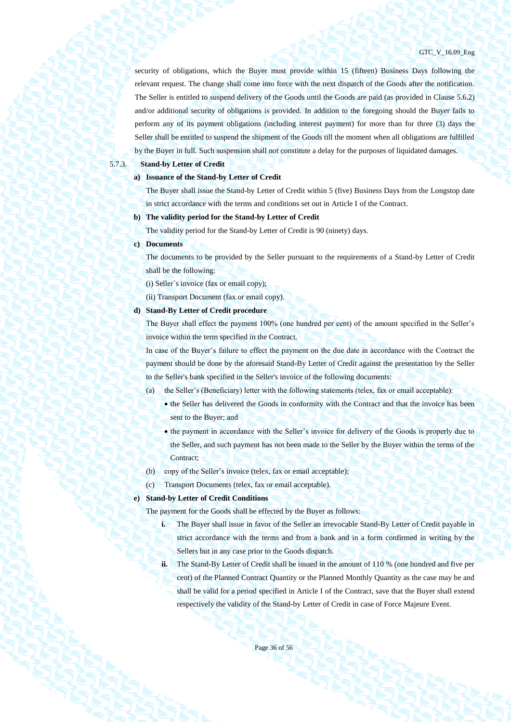security of obligations, which the Buyer must provide within 15 (fifteen) Business Days following the relevant request. The change shall come into force with the next dispatch of the Goods after the notification. The Seller is entitled to suspend delivery of the Goods until the Goods are paid (as provided in Clause [5.6.2\)](#page-31-1) and/or additional security of obligations is provided. In addition to the foregoing should the Buyer fails to perform any of its payment obligations (including interest payment) for more than for three (3) days the Seller shall be entitled to suspend the shipment of the Goods till the moment when all obligations are fulfilled by the Buyer in full. Such suspension shall not constitute a delay for the purposes of liquidated damages.

#### 5.7.3. **Stand-by Letter of Credit**

#### **a) Issuance of the Stand-by Letter of Credit**

The Buyer shall issue the Stand-by Letter of Credit within 5 (five) Business Days from the Longstop date in strict accordance with the terms and conditions set out in Article I of the Contract.

#### **b) The validity period for the Stand-by Letter of Credit**

The validity period for the Stand-by Letter of Credit is 90 (ninety) days.

#### **c) Documents**

The documents to be provided by the Seller pursuant to the requirements of a Stand-by Letter of Credit shall be the following:

(i) Seller`s invoice (fax or email copy);

(ii) Transport Document (fax or email copy).

#### **d) Stand-By Letter of Credit procedure**

The Buyer shall effect the payment 100% (one hundred per cent) of the amount specified in the Seller's invoice within the term specified in the Contract.

In case of the Buyer's failure to effect the payment on the due date in accordance with the Contract the payment should be done by the aforesaid Stand-By Letter of Credit against the presentation by the Seller to the Seller's bank specified in the Seller's invoice of the following documents:

(a) the Seller's (Beneficiary) letter with the following statements (telex, fax or email acceptable):

- the Seller has delivered the Goods in conformity with the Contract and that the invoice has been sent to the Buyer; and
- the payment in accordance with the Seller's invoice for delivery of the Goods is properly due to the Seller, and such payment has not been made to the Seller by the Buyer within the terms of the Contract<sup>;</sup>
- (b) copy of the Seller's invoice (telex, fax or email acceptable);
- (c) Transport Documents (telex, fax or email acceptable).

### **e) Stand-by Letter of Credit Conditions**

The payment for the Goods shall be effected by the Buyer as follows:

- **i.** The Buyer shall issue in favor of the Seller an irrevocable Stand-By Letter of Credit payable in strict accordance with the terms and from a bank and in a form confirmed in writing by the Sellers but in any case prior to the Goods dispatch.
- **ii.** The Stand-By Letter of Credit shall be issued in the amount of 110 % (one hundred and five per cent) of the Planned Contract Quantity or the Planned Monthly Quantity as the case may be and shall be valid for a period specified in Article I of the Contract, save that the Buyer shall extend respectively the validity of the Stand-by Letter of Credit in case of Force Majeure Event.

Page 36 of 56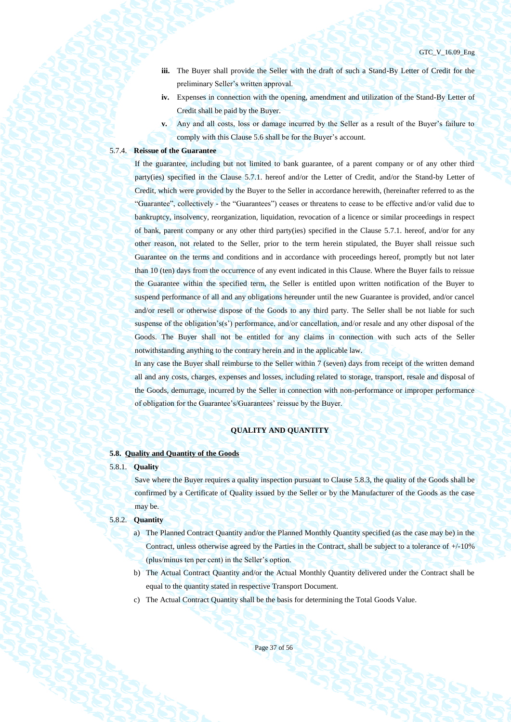- **iii.** The Buyer shall provide the Seller with the draft of such a Stand-By Letter of Credit for the preliminary Seller's written approval.
- **iv.** Expenses in connection with the opening, amendment and utilization of the Stand-By Letter of Credit shall be paid by the Buyer.
- **v.** Any and all costs, loss or damage incurred by the Seller as a result of the Buyer's failure to comply with this Claus[e 5.6](#page-31-2) shall be for the Buyer's account.

#### 5.7.4. **Reissue of the Guarantee**

If the guarantee, including but not limited to bank guarantee, of a parent company or of any other third party(ies) specified in the Clause 5.7.1. hereof and/or the Letter of Credit, and/or the Stand-by Letter of Credit, which were provided by the Buyer to the Seller in accordance herewith, (hereinafter referred to as the "Guarantee", collectively - the "Guarantees") ceases or threatens to cease to be effective and/or valid due to bankruptcy, insolvency, reorganization, liquidation, revocation of a licence or similar proceedings in respect of bank, parent company or any other third party(ies) specified in the Clause 5.7.1. hereof, and/or for any other reason, not related to the Seller, prior to the term herein stipulated, the Buyer shall reissue such Guarantee on the terms and conditions and in accordance with proceedings hereof, promptly but not later than 10 (ten) days from the occurrence of any event indicated in this Clause. Where the Buyer fails to reissue the Guarantee within the specified term, the Seller is entitled upon written notification of the Buyer to suspend performance of all and any obligations hereunder until the new Guarantee is provided, and/or cancel and/or resell or otherwise dispose of the Goods to any third party. The Seller shall be not liable for such suspense of the obligation's(s') performance, and/or cancellation, and/or resale and any other disposal of the Goods. The Buyer shall not be entitled for any claims in connection with such acts of the Seller notwithstanding anything to the contrary herein and in the applicable law.

In any case the Buyer shall reimburse to the Seller within 7 (seven) days from receipt of the written demand all and any costs, charges, expenses and losses, including related to storage, transport, resale and disposal of the Goods, demurrage, incurred by the Seller in connection with non-performance or improper performance of obligation for the Guarantee's/Guarantees' reissue by the Buyer.

#### **QUALITY AND QUANTITY**

#### **5.8. Quality and Quantity of the Goods**

#### 5.8.1. **Quality**

Save where the Buyer requires a quality inspection pursuant to Clause [5.8.3,](#page-37-0) the quality of the Goods shall be confirmed by a Certificate of Quality issued by the Seller or by the Manufacturer of the Goods as the case may be.

### 5.8.2. **Quantity**

- a) The Planned Contract Quantity and/or the Planned Monthly Quantity specified (as the case may be) in the Contract, unless otherwise agreed by the Parties in the Contract, shall be subject to a tolerance of +/-10% (plus/minus ten per cent) in the Seller's option.
- b) The Actual Contract Quantity and/or the Actual Monthly Quantity delivered under the Contract shall be equal to the quantity stated in respective Transport Document.
- c) The Actual Contract Quantity shall be the basis for determining the Total Goods Value.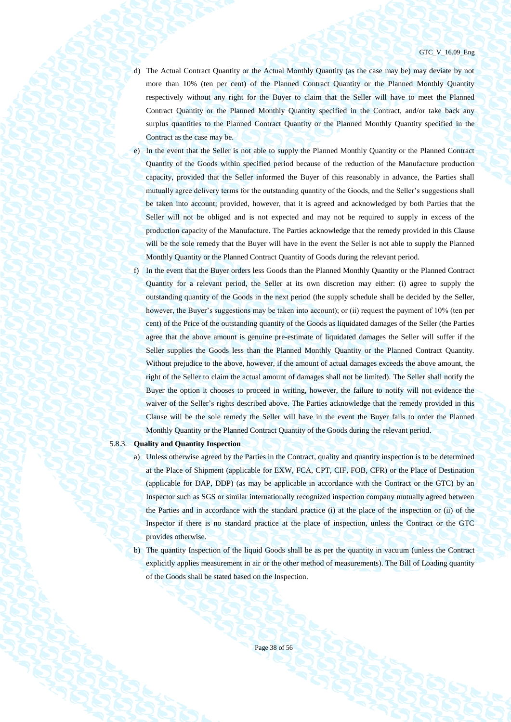- d) The Actual Contract Quantity or the Actual Monthly Quantity (as the case may be) may deviate by not more than 10% (ten per cent) of the Planned Contract Quantity or the Planned Monthly Quantity respectively without any right for the Buyer to claim that the Seller will have to meet the Planned Contract Quantity or the Planned Monthly Quantity specified in the Contract, and/or take back any surplus quantities to the Planned Contract Quantity or the Planned Monthly Quantity specified in the Contract as the case may be.
- e) In the event that the Seller is not able to supply the Planned Monthly Quantity or the Planned Contract Quantity of the Goods within specified period because of the reduction of the Manufacture production capacity, provided that the Seller informed the Buyer of this reasonably in advance, the Parties shall mutually agree delivery terms for the outstanding quantity of the Goods, and the Seller's suggestions shall be taken into account; provided, however, that it is agreed and acknowledged by both Parties that the Seller will not be obliged and is not expected and may not be required to supply in excess of the production capacity of the Manufacture. The Parties acknowledge that the remedy provided in this Clause will be the sole remedy that the Buyer will have in the event the Seller is not able to supply the Planned Monthly Quantity or the Planned Contract Quantity of Goods during the relevant period.
- f) In the event that the Buyer orders less Goods than the Planned Monthly Quantity or the Planned Contract Quantity for a relevant period, the Seller at its own discretion may either: (i) agree to supply the outstanding quantity of the Goods in the next period (the supply schedule shall be decided by the Seller, however, the Buyer's suggestions may be taken into account); or (ii) request the payment of 10% (ten per cent) of the Price of the outstanding quantity of the Goods as liquidated damages of the Seller (the Parties agree that the above amount is genuine pre-estimate of liquidated damages the Seller will suffer if the Seller supplies the Goods less than the Planned Monthly Quantity or the Planned Contract Quantity. Without prejudice to the above, however, if the amount of actual damages exceeds the above amount, the right of the Seller to claim the actual amount of damages shall not be limited). The Seller shall notify the Buyer the option it chooses to proceed in writing, however, the failure to notify will not evidence the waiver of the Seller's rights described above. The Parties acknowledge that the remedy provided in this Clause will be the sole remedy the Seller will have in the event the Buyer fails to order the Planned Monthly Quantity or the Planned Contract Quantity of the Goods during the relevant period.

#### <span id="page-37-1"></span><span id="page-37-0"></span>5.8.3. **Quality and Quantity Inspection**

- a) Unless otherwise agreed by the Parties in the Contract, quality and quantity inspection is to be determined at the Place of Shipment (applicable for EXW, FCA, CPT, CIF, FOB, CFR) or the Place of Destination (applicable for DAP, DDP) (as may be applicable in accordance with the Contract or the GTC) by an Inspector such as SGS or similar internationally recognized inspection company mutually agreed between the Parties and in accordance with the standard practice (i) at the place of the inspection or (ii) of the Inspector if there is no standard practice at the place of inspection, unless the Contract or the GTC provides otherwise.
- <span id="page-37-2"></span>b) The quantity Inspection of the liquid Goods shall be as per the quantity in vacuum (unless the Contract explicitly applies measurement in air or the other method of measurements). The Bill of Loading quantity of the Goods shall be stated based on the Inspection.

Page 38 of 56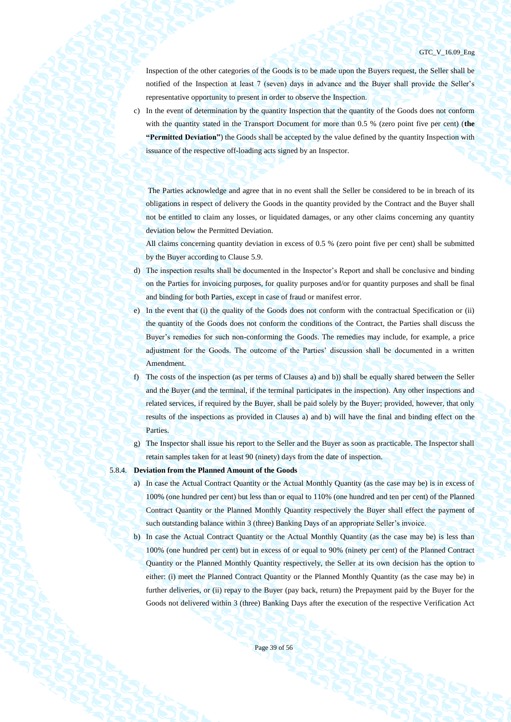Inspection of the other categories of the Goods is to be made upon the Buyers request, the Seller shall be notified of the Inspection at least 7 (seven) days in advance and the Buyer shall provide the Seller's representative opportunity to present in order to observe the Inspection.

c) In the event of determination by the quantity Inspection that the quantity of the Goods does not conform with the quantity stated in the Transport Document for more than 0.5 % (zero point five per cent) (**the "Permitted Deviation"**) the Goods shall be accepted by the value defined by the quantity Inspection with issuance of the respective off-loading acts signed by an Inspector.

The Parties acknowledge and agree that in no event shall the Seller be considered to be in breach of its obligations in respect of delivery the Goods in the quantity provided by the Contract and the Buyer shall not be entitled to claim any losses, or liquidated damages, or any other claims concerning any quantity deviation below the Permitted Deviation.

All claims concerning quantity deviation in excess of 0.5 % (zero point five per cent) shall be submitted by the Buyer according to Clause 5.9.

- d) The inspection results shall be documented in the Inspector's Report and shall be conclusive and binding on the Parties for invoicing purposes, for quality purposes and/or for quantity purposes and shall be final and binding for both Parties, except in case of fraud or manifest error.
- e) In the event that (i) the quality of the Goods does not conform with the contractual Specification or (ii) the quantity of the Goods does not conform the conditions of the Contract, the Parties shall discuss the Buyer's remedies for such non-conforming the Goods. The remedies may include, for example, a price adjustment for the Goods. The outcome of the Parties' discussion shall be documented in a written Amendment.
- f) The costs of the inspection (as per terms of Clauses [a\)](#page-37-1) an[d b\)\)](#page-37-2) shall be equally shared between the Seller and the Buyer (and the terminal, if the terminal participates in the inspection). Any other inspections and related services, if required by the Buyer, shall be paid solely by the Buyer; provided, however, that only results of the inspections as provided in Clauses [a\)](#page-37-1) and [b\)](#page-37-2) will have the final and binding effect on the Parties.
- g) The Inspector shall issue his report to the Seller and the Buyer as soon as practicable. The Inspector shall retain samples taken for at least 90 (ninety) days from the date of inspection.
- <span id="page-38-0"></span>5.8.4. **Deviation from the Planned Amount of the Goods**
	- a) In case the Actual Contract Quantity or the Actual Monthly Quantity (as the case may be) is in excess of 100% (one hundred per cent) but less than or equal to 110% (one hundred and ten per cent) of the Planned Contract Quantity or the Planned Monthly Quantity respectively the Buyer shall effect the payment of such outstanding balance within 3 (three) Banking Days of an appropriate Seller's invoice.
	- b) In case the Actual Contract Quantity or the Actual Monthly Quantity (as the case may be) is less than 100% (one hundred per cent) but in excess of or equal to 90% (ninety per cent) of the Planned Contract Quantity or the Planned Monthly Quantity respectively, the Seller at its own decision has the option to either: (i) meet the Planned Contract Quantity or the Planned Monthly Quantity (as the case may be) in further deliveries, or (ii) repay to the Buyer (pay back, return) the Prepayment paid by the Buyer for the Goods not delivered within 3 (three) Banking Days after the execution of the respective Verification Act

Page 39 of 56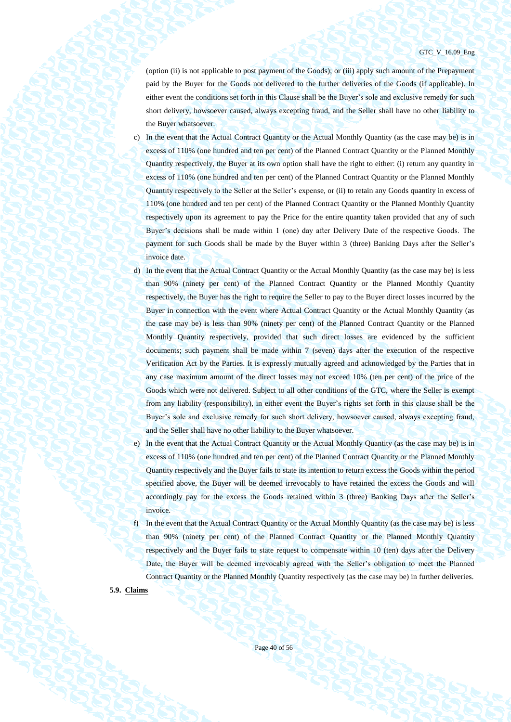(option (ii) is not applicable to post payment of the Goods); or (iii) apply such amount of the Prepayment paid by the Buyer for the Goods not delivered to the further deliveries of the Goods (if applicable). In either event the conditions set forth in this Clause shall be the Buyer's sole and exclusive remedy for such short delivery, howsoever caused, always excepting fraud, and the Seller shall have no other liability to the Buyer whatsoever.

- c) In the event that the Actual Contract Quantity or the Actual Monthly Quantity (as the case may be) is in excess of 110% (one hundred and ten per cent) of the Planned Contract Quantity or the Planned Monthly Quantity respectively, the Buyer at its own option shall have the right to either: (i) return any quantity in excess of 110% (one hundred and ten per cent) of the Planned Contract Quantity or the Planned Monthly Quantity respectively to the Seller at the Seller's expense, or (ii) to retain any Goods quantity in excess of 110% (one hundred and ten per cent) of the Planned Contract Quantity or the Planned Monthly Quantity respectively upon its agreement to pay the Price for the entire quantity taken provided that any of such Buyer's decisions shall be made within 1 (one) day after Delivery Date of the respective Goods. The payment for such Goods shall be made by the Buyer within 3 (three) Banking Days after the Seller's invoice date.
- d) In the event that the Actual Contract Quantity or the Actual Monthly Quantity (as the case may be) is less than 90% (ninety per cent) of the Planned Contract Quantity or the Planned Monthly Quantity respectively, the Buyer has the right to require the Seller to pay to the Buyer direct losses incurred by the Buyer in connection with the event where Actual Contract Quantity or the Actual Monthly Quantity (as the case may be) is less than 90% (ninety per cent) of the Planned Contract Quantity or the Planned Monthly Quantity respectively, provided that such direct losses are evidenced by the sufficient documents; such payment shall be made within 7 (seven) days after the execution of the respective Verification Act by the Parties. It is expressly mutually agreed and acknowledged by the Parties that in any case maximum amount of the direct losses may not exceed 10% (ten per cent) of the price of the Goods which were not delivered. Subject to all other conditions of the GTC, where the Seller is exempt from any liability (responsibility), in either event the Buyer's rights set forth in this clause shall be the Buyer's sole and exclusive remedy for such short delivery, howsoever caused, always excepting fraud, and the Seller shall have no other liability to the Buyer whatsoever.
- e) In the event that the Actual Contract Quantity or the Actual Monthly Quantity (as the case may be) is in excess of 110% (one hundred and ten per cent) of the Planned Contract Quantity or the Planned Monthly Quantity respectively and the Buyer fails to state its intention to return excess the Goods within the period specified above, the Buyer will be deemed irrevocably to have retained the excess the Goods and will accordingly pay for the excess the Goods retained within 3 (three) Banking Days after the Seller's invoice.

f) In the event that the Actual Contract Quantity or the Actual Monthly Quantity (as the case may be) is less than 90% (ninety per cent) of the Planned Contract Quantity or the Planned Monthly Quantity respectively and the Buyer fails to state request to compensate within 10 (ten) days after the Delivery Date, the Buyer will be deemed irrevocably agreed with the Seller's obligation to meet the Planned Contract Quantity or the Planned Monthly Quantity respectively (as the case may be) in further deliveries.

<span id="page-39-0"></span>**5.9. Claims**

Page 40 of 56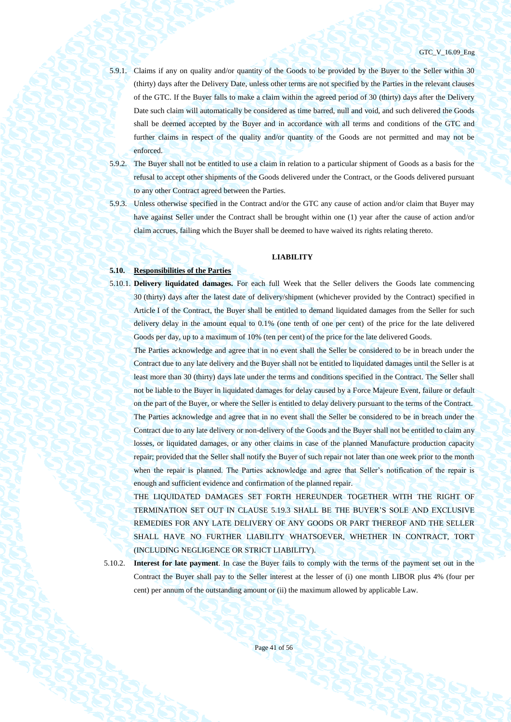#### GTC\_V\_16.09\_Eng

- 5.9.1. Claims if any on quality and/or quantity of the Goods to be provided by the Buyer to the Seller within 30 (thirty) days after the Delivery Date, unless other terms are not specified by the Parties in the relevant clauses of the GTC. If the Buyer falls to make a claim within the agreed period of 30 (thirty) days after the Delivery Date such claim will automatically be considered as time barred, null and void, and such delivered the Goods shall be deemed accepted by the Buyer and in accordance with all terms and conditions of the GTC and further claims in respect of the quality and/or quantity of the Goods are not permitted and may not be enforced.
- 5.9.2. The Buyer shall not be entitled to use a claim in relation to a particular shipment of Goods as a basis for the refusal to accept other shipments of the Goods delivered under the Contract, or the Goods delivered pursuant to any other Contract agreed between the Parties.
- 5.9.3. Unless otherwise specified in the Contract and/or the GTC any cause of action and/or claim that Buyer may have against Seller under the Contract shall be brought within one (1) year after the cause of action and/or claim accrues, failing which the Buyer shall be deemed to have waived its rights relating thereto.

### **LIABILITY**

### **5.10. Responsibilities of the Parties**

5.10.1. **Delivery liquidated damages.** For each full Week that the Seller delivers the Goods late commencing 30 (thirty) days after the latest date of delivery/shipment (whichever provided by the Contract) specified in Article I of the Contract, the Buyer shall be entitled to demand liquidated damages from the Seller for such delivery delay in the amount equal to 0.1% (one tenth of one per cent) of the price for the late delivered Goods per day, up to a maximum of 10% (ten per cent) of the price for the late delivered Goods.

The Parties acknowledge and agree that in no event shall the Seller be considered to be in breach under the Contract due to any late delivery and the Buyer shall not be entitled to liquidated damages until the Seller is at least more than 30 (thirty) days late under the terms and conditions specified in the Contract. The Seller shall not be liable to the Buyer in liquidated damages for delay caused by a Force Majeure Event, failure or default on the part of the Buyer, or where the Seller is entitled to delay delivery pursuant to the terms of the Contract. The Parties acknowledge and agree that in no event shall the Seller be considered to be in breach under the Contract due to any late delivery or non-delivery of the Goods and the Buyer shall not be entitled to claim any losses, or liquidated damages, or any other claims in case of the planned Manufacture production capacity repair; provided that the Seller shall notify the Buyer of such repair not later than one week prior to the month when the repair is planned. The Parties acknowledge and agree that Seller's notification of the repair is enough and sufficient evidence and confirmation of the planned repair.

THE LIQUIDATED DAMAGES SET FORTH HEREUNDER TOGETHER WITH THE RIGHT OF TERMINATION SET OUT IN CLAUSE [5.19.3](#page-47-1) SHALL BE THE BUYER'S SOLE AND EXCLUSIVE REMEDIES FOR ANY LATE DELIVERY OF ANY GOODS OR PART THEREOF AND THE SELLER SHALL HAVE NO FURTHER LIABILITY WHATSOEVER, WHETHER IN CONTRACT, TORT (INCLUDING NEGLIGENCE OR STRICT LIABILITY).

5.10.2. **Interest for late payment**. In case the Buyer fails to comply with the terms of the payment set out in the Contract the Buyer shall pay to the Seller interest at the lesser of (i) one month LIBOR plus 4% (four per cent) per annum of the outstanding amount or (ii) the maximum allowed by applicable Law.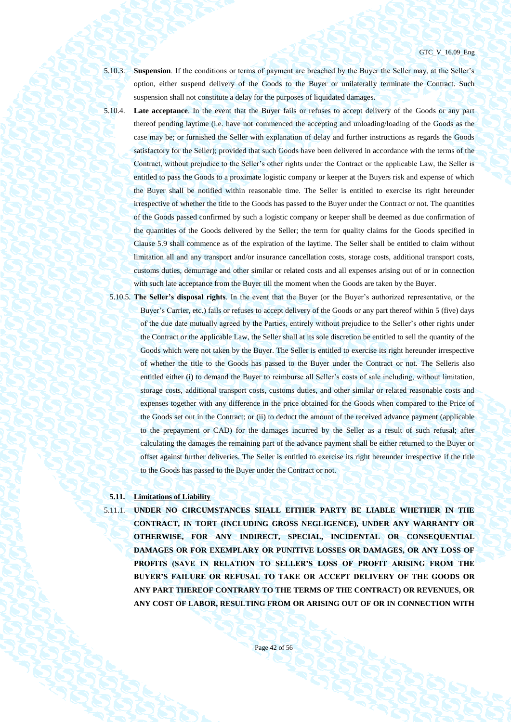5.10.3. **Suspension**. If the conditions or terms of payment are breached by the Buyer the Seller may, at the Seller's option, either suspend delivery of the Goods to the Buyer or unilaterally terminate the Contract. Such suspension shall not constitute a delay for the purposes of liquidated damages.

5.10.4. **Late acceptance**. In the event that the Buyer fails or refuses to accept delivery of the Goods or any part thereof pending laytime (i.e. have not commenced the accepting and unloading/loading of the Goods as the case may be; or furnished the Seller with explanation of delay and further instructions as regards the Goods satisfactory for the Seller); provided that such Goods have been delivered in accordance with the terms of the Contract, without prejudice to the Seller's other rights under the Contract or the applicable Law, the Seller is entitled to pass the Goods to a proximate logistic company or keeper at the Buyers risk and expense of which the Buyer shall be notified within reasonable time. The Seller is entitled to exercise its right hereunder irrespective of whether the title to the Goods has passed to the Buyer under the Contract or not. The quantities of the Goods passed confirmed by such a logistic company or keeper shall be deemed as due confirmation of the quantities of the Goods delivered by the Seller; the term for quality claims for the Goods specified in Clause [5.9](#page-39-0) shall commence as of the expiration of the laytime. The Seller shall be entitled to claim without limitation all and any transport and/or insurance cancellation costs, storage costs, additional transport costs, customs duties, demurrage and other similar or related costs and all expenses arising out of or in connection with such late acceptance from the Buyer till the moment when the Goods are taken by the Buyer.

5.10.5. **The Seller's disposal rights**. In the event that the Buyer (or the Buyer's authorized representative, or the Buyer's Carrier, etc.) fails or refuses to accept delivery of the Goods or any part thereof within 5 (five) days of the due date mutually agreed by the Parties, entirely without prejudice to the Seller's other rights under the Contract or the applicable Law, the Seller shall at its sole discretion be entitled to sell the quantity of the Goods which were not taken by the Buyer. The Seller is entitled to exercise its right hereunder irrespective of whether the title to the Goods has passed to the Buyer under the Contract or not. The Selleris also entitled either (i) to demand the Buyer to reimburse all Seller's costs of sale including, without limitation, storage costs, additional transport costs, customs duties, and other similar or related reasonable costs and expenses together with any difference in the price obtained for the Goods when compared to the Price of the Goods set out in the Contract; or (ii) to deduct the amount of the received advance payment (applicable to the prepayment or CAD) for the damages incurred by the Seller as a result of such refusal; after calculating the damages the remaining part of the advance payment shall be either returned to the Buyer or offset against further deliveries. The Seller is entitled to exercise its right hereunder irrespective if the title to the Goods has passed to the Buyer under the Contract or not.

# **5.11. Limitations of Liability**

5.11.1. **UNDER NO CIRCUMSTANCES SHALL EITHER PARTY BE LIABLE WHETHER IN THE CONTRACT, IN TORT (INCLUDING GROSS NEGLIGENCE), UNDER ANY WARRANTY OR OTHERWISE, FOR ANY INDIRECT, SPECIAL, INCIDENTAL OR CONSEQUENTIAL DAMAGES OR FOR EXEMPLARY OR PUNITIVE LOSSES OR DAMAGES, OR ANY LOSS OF PROFITS (SAVE IN RELATION TO SELLER'S LOSS OF PROFIT ARISING FROM THE BUYER'S FAILURE OR REFUSAL TO TAKE OR ACCEPT DELIVERY OF THE GOODS OR ANY PART THEREOF CONTRARY TO THE TERMS OF THE CONTRACT) OR REVENUES, OR ANY COST OF LABOR, RESULTING FROM OR ARISING OUT OF OR IN CONNECTION WITH**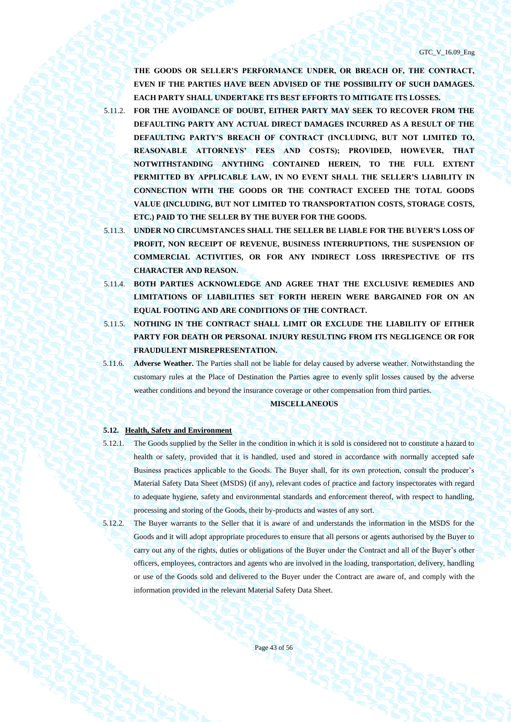**THE GOODS OR SELLER'S PERFORMANCE UNDER, OR BREACH OF, THE CONTRACT, EVEN IF THE PARTIES HAVE BEEN ADVISED OF THE POSSIBILITY OF SUCH DAMAGES. EACH PARTY SHALL UNDERTAKE ITS BEST EFFORTS TO MITIGATE ITS LOSSES.**

5.11.2. **FOR THE AVOIDANCE OF DOUBT, EITHER PARTY MAY SEEK TO RECOVER FROM THE DEFAULTING PARTY ANY ACTUAL DIRECT DAMAGES INCURRED AS A RESULT OF THE DEFAULTING PARTY'S BREACH OF CONTRACT (INCLUDING, BUT NOT LIMITED TO, REASONABLE ATTORNEYS' FEES AND COSTS); PROVIDED, HOWEVER, THAT NOTWITHSTANDING ANYTHING CONTAINED HEREIN, TO THE FULL EXTENT PERMITTED BY APPLICABLE LAW, IN NO EVENT SHALL THE SELLER'S LIABILITY IN CONNECTION WITH THE GOODS OR THE CONTRACT EXCEED THE TOTAL GOODS VALUE (INCLUDING, BUT NOT LIMITED TO TRANSPORTATION COSTS, STORAGE COSTS, ETC.) PAID TO THE SELLER BY THE BUYER FOR THE GOODS.**

- 5.11.3. **UNDER NO CIRCUMSTANCES SHALL THE SELLER BE LIABLE FOR THE BUYER'S LOSS OF PROFIT, NON RECEIPT OF REVENUE, BUSINESS INTERRUPTIONS, THE SUSPENSION OF COMMERCIAL ACTIVITIES, OR FOR ANY INDIRECT LOSS IRRESPECTIVE OF ITS CHARACTER AND REASON.**
- 5.11.4. **BOTH PARTIES ACKNOWLEDGE AND AGREE THAT THE EXCLUSIVE REMEDIES AND LIMITATIONS OF LIABILITIES SET FORTH HEREIN WERE BARGAINED FOR ON AN EQUAL FOOTING AND ARE CONDITIONS OF THE CONTRACT.**
- 5.11.5. **NOTHING IN THE CONTRACT SHALL LIMIT OR EXCLUDE THE LIABILITY OF EITHER PARTY FOR DEATH OR PERSONAL INJURY RESULTING FROM ITS NEGLIGENCE OR FOR FRAUDULENT MISREPRESENTATION.**
- 5.11.6. **Adverse Weather.** The Parties shall not be liable for delay caused by adverse weather. Notwithstanding the customary rules at the Place of Destination the Parties agree to evenly split losses caused by the adverse weather conditions and beyond the insurance coverage or other compensation from third parties.

<span id="page-42-0"></span>**MISCELLANEOUS**

#### **5.12. Health, Safety and Environment**

- 5.12.1. The Goods supplied by the Seller in the condition in which it is sold is considered not to constitute a hazard to health or safety, provided that it is handled, used and stored in accordance with normally accepted safe Business practices applicable to the Goods. The Buyer shall, for its own protection, consult the producer's Material Safety Data Sheet (MSDS) (if any), relevant codes of practice and factory inspectorates with regard to adequate hygiene, safety and environmental standards and enforcement thereof, with respect to handling, processing and storing of the Goods, their by-products and wastes of any sort.
- 5.12.2. The Buyer warrants to the Seller that it is aware of and understands the information in the MSDS for the Goods and it will adopt appropriate procedures to ensure that all persons or agents authorised by the Buyer to carry out any of the rights, duties or obligations of the Buyer under the Contract and all of the Buyer's other officers, employees, contractors and agents who are involved in the loading, transportation, delivery, handling or use of the Goods sold and delivered to the Buyer under the Contract are aware of, and comply with the information provided in the relevant Material Safety Data Sheet.

Page 43 of 56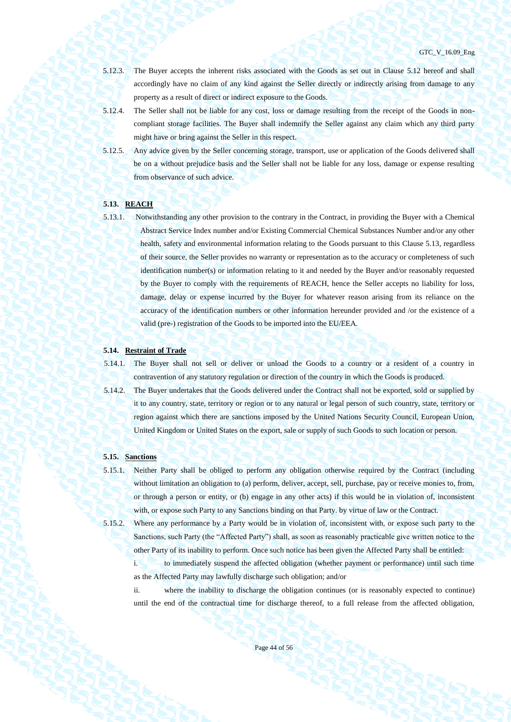- 5.12.3. The Buyer accepts the inherent risks associated with the Goods as set out in Clause [5.12](#page-42-0) hereof and shall accordingly have no claim of any kind against the Seller directly or indirectly arising from damage to any property as a result of direct or indirect exposure to the Goods.
- 5.12.4. The Seller shall not be liable for any cost, loss or damage resulting from the receipt of the Goods in noncompliant storage facilities. The Buyer shall indemnify the Seller against any claim which any third party might have or bring against the Seller in this respect.
- 5.12.5. Any advice given by the Seller concerning storage, transport, use or application of the Goods delivered shall be on a without prejudice basis and the Seller shall not be liable for any loss, damage or expense resulting from observance of such advice.

# <span id="page-43-0"></span>**5.13. REACH**

- 
- 5.13.1. Notwithstanding any other provision to the contrary in the Contract, in providing the Buyer with a Chemical Abstract Service Index number and/or Existing Commercial Chemical Substances Number and/or any other health, safety and environmental information relating to the Goods pursuant to this Clause [5.13,](#page-43-0) regardless of their source, the Seller provides no warranty or representation as to the accuracy or completeness of such identification number(s) or information relating to it and needed by the Buyer and/or reasonably requested by the Buyer to comply with the requirements of REACH, hence the Seller accepts no liability for loss, damage, delay or expense incurred by the Buyer for whatever reason arising from its reliance on the accuracy of the identification numbers or other information hereunder provided and /or the existence of a valid (pre-) registration of the Goods to be imported into the EU/EEA.

# **5.14. Restraint of Trade**

5.14.1. The Buyer shall not sell or deliver or unload the Goods to a country or a resident of a country in contravention of any statutory regulation or direction of the country in which the Goods is produced.

5.14.2. The Buyer undertakes that the Goods delivered under the Contract shall not be exported, sold or supplied by it to any country, state, territory or region or to any natural or legal person of such country, state, territory or region against which there are sanctions imposed by the United Nations Security Council, European Union, United Kingdom or United States on the export, sale or supply of such Goods to such location or person.

## **5.15. Sanctions**

5.15.1. Neither Party shall be obliged to perform any obligation otherwise required by the Contract (including without limitation an obligation to (a) perform, deliver, accept, sell, purchase, pay or receive monies to, from, or through a person or entity, or (b) engage in any other acts) if this would be in violation of, inconsistent with, or expose such Party to any Sanctions binding on that Party. by virtue of law or the Contract.

5.15.2. Where any performance by a Party would be in violation of, inconsistent with, or expose such party to the Sanctions, such Party (the "Affected Party") shall, as soon as reasonably practicable give written notice to the other Party of its inability to perform. Once such notice has been given the Affected Party shall be entitled:

i. to immediately suspend the affected obligation (whether payment or performance) until such time as the Affected Party may lawfully discharge such obligation; and/or

ii. where the inability to discharge the obligation continues (or is reasonably expected to continue) until the end of the contractual time for discharge thereof, to a full release from the affected obligation,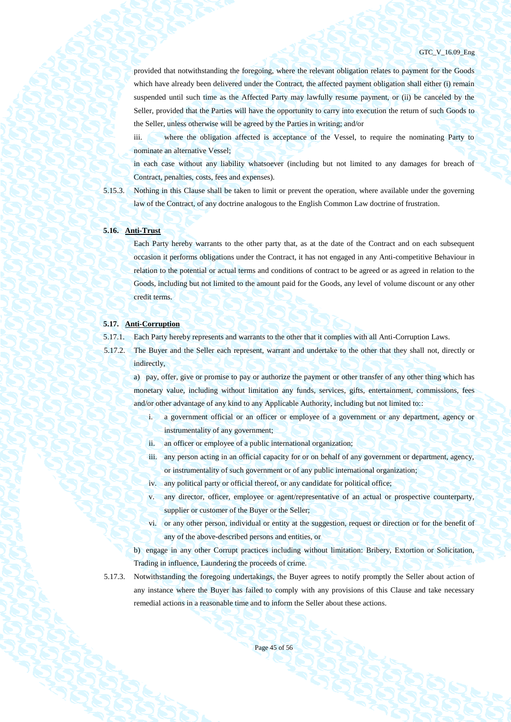provided that notwithstanding the foregoing, where the relevant obligation relates to payment for the Goods which have already been delivered under the Contract, the affected payment obligation shall either (i) remain suspended until such time as the Affected Party may lawfully resume payment, or (ii) be canceled by the Seller, provided that the Parties will have the opportunity to carry into execution the return of such Goods to the Seller, unless otherwise will be agreed by the Parties in writing; and/or

iii. where the obligation affected is acceptance of the Vessel, to require the nominating Party to nominate an alternative Vessel;

in each case without any liability whatsoever (including but not limited to any damages for breach of Contract, penalties, costs, fees and expenses).

5.15.3. Nothing in this Clause shall be taken to limit or prevent the operation, where available under the governing law of the Contract, of any doctrine analogous to the English Common Law doctrine of frustration.

# **5.16. Anti-Trust**

Each Party hereby warrants to the other party that, as at the date of the Contract and on each subsequent occasion it performs obligations under the Contract, it has not engaged in any Anti-competitive Behaviour in relation to the potential or actual terms and conditions of contract to be agreed or as agreed in relation to the Goods, including but not limited to the amount paid for the Goods, any level of volume discount or any other credit terms.

#### **5.17. Anti-Corruption**

- 5.17.1. Each Party hereby represents and warrants to the other that it complies with all Anti-Corruption Laws.
- 5.17.2. The Buyer and the Seller each represent, warrant and undertake to the other that they shall not, directly or indirectly,

a) pay, offer, give or promise to pay or authorize the payment or other transfer of any other thing which has monetary value, including without limitation any funds, services, gifts, entertainment, commissions, fees and/or other advantage of any kind to any Applicable Authority, including but not limited to::

- i. a government official or an officer or employee of a government or any department, agency or instrumentality of any government;
- ii. an officer or employee of a public international organization;
- iii. any person acting in an official capacity for or on behalf of any government or department, agency, or instrumentality of such government or of any public international organization;
- iv. any political party or official thereof, or any candidate for political office;
- v. any director, officer, employee or agent/representative of an actual or prospective counterparty, supplier or customer of the Buyer or the Seller;
- vi. or any other person, individual or entity at the suggestion, request or direction or for the benefit of any of the above-described persons and entities, or
- b) engage in any other Corrupt practices including without limitation: Bribery, Extortion or Solicitation, Trading in influence, Laundering the proceeds of crime.
- 5.17.3. Notwithstanding the foregoing undertakings, the Buyer agrees to notify promptly the Seller about action of any instance where the Buyer has failed to comply with any provisions of this Clause and take necessary remedial actions in a reasonable time and to inform the Seller about these actions.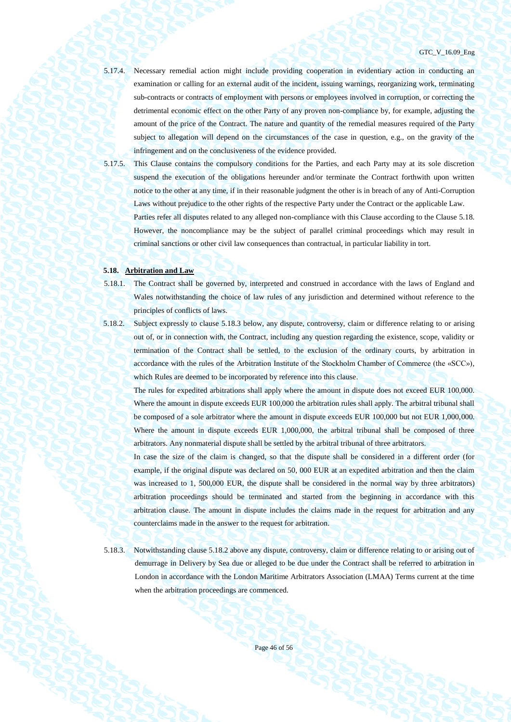#### GTC\_V\_16.09\_Eng

5.17.4. Necessary remedial action might include providing cooperation in evidentiary action in conducting an examination or calling for an external audit of the incident, issuing warnings, reorganizing work, terminating sub-contracts or contracts of employment with persons or employees involved in corruption, or correcting the detrimental economic effect on the other Party of any proven non-compliance by, for example, adjusting the amount of the price of the Contract. The nature and quantity of the remedial measures required of the Party subject to allegation will depend on the circumstances of the case in question, e.g., on the gravity of the infringement and on the conclusiveness of the evidence provided.

5.17.5. This Clause contains the compulsory conditions for the Parties, and each Party may at its sole discretion suspend the execution of the obligations hereunder and/or terminate the Contract forthwith upon written notice to the other at any time, if in their reasonable judgment the other is in breach of any of Anti-Corruption Laws without prejudice to the other rights of the respective Party under the Contract or the applicable Law.

Parties refer all disputes related to any alleged non-compliance with this Clause according to the Clause 5.18. However, the noncompliance may be the subject of parallel criminal proceedings which may result in criminal sanctions or other civil law consequences than contractual, in particular liability in tort.

#### **5.18. Arbitration and Law**

- 5.18.1. The Contract shall be governed by, interpreted and construed in accordance with the laws of England and Wales notwithstanding the choice of law rules of any jurisdiction and determined without reference to the principles of conflicts of laws.
- 5.18.2. Subject expressly to clause 5.18.3 below, any dispute, controversy, claim or difference relating to or arising out of, or in connection with, the Contract, including any question regarding the existence, scope, validity or termination of the Contract shall be settled, to the exclusion of the ordinary courts, by arbitration in accordance with the rules of the Arbitration Institute of the Stockholm Chamber of Commerce (the «SCC»), which Rules are deemed to be incorporated by reference into this clause.

The rules for expedited arbitrations shall apply where the amount in dispute does not exceed EUR 100,000. Where the amount in dispute exceeds EUR 100,000 the arbitration rules shall apply. The arbitral tribunal shall be composed of a sole arbitrator where the amount in dispute exceeds EUR 100,000 but not EUR 1,000,000. Where the amount in dispute exceeds EUR 1,000,000, the arbitral tribunal shall be composed of three arbitrators. Any nonmaterial dispute shall be settled by the arbitral tribunal of three arbitrators.

In case the size of the claim is changed, so that the dispute shall be considered in a different order (for example, if the original dispute was declared on 50, 000 EUR at an expedited arbitration and then the claim was increased to 1, 500,000 EUR, the dispute shall be considered in the normal way by three arbitrators) arbitration proceedings should be terminated and started from the beginning in accordance with this arbitration clause. The amount in dispute includes the claims made in the request for arbitration and any counterclaims made in the answer to the request for arbitration.

5.18.3. Notwithstanding clause 5.18.2 above any dispute, controversy, claim or difference relating to or arising out of demurrage in Delivery by Sea due or alleged to be due under the Contract shall be referred to arbitration in London in accordance with the London Maritime Arbitrators Association (LMAA) Terms current at the time when the arbitration proceedings are commenced.

Page 46 of 56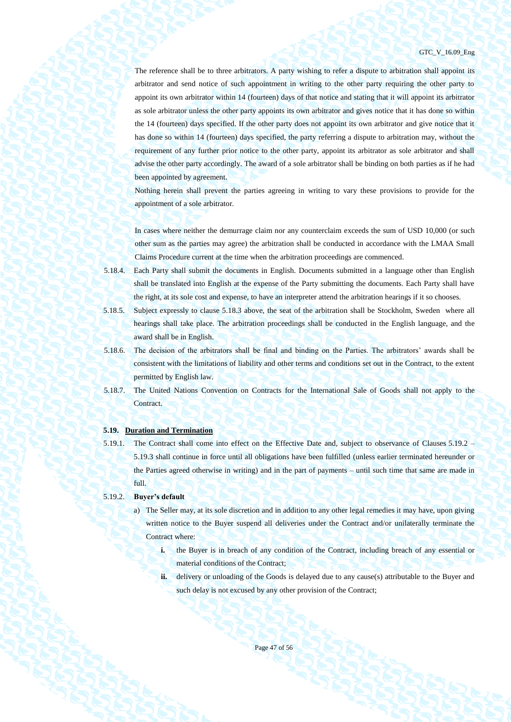#### GTC\_V\_16.09\_Eng

The reference shall be to three arbitrators. A party wishing to refer a dispute to arbitration shall appoint its arbitrator and send notice of such appointment in writing to the other party requiring the other party to appoint its own arbitrator within 14 (fourteen) days of that notice and stating that it will appoint its arbitrator as sole arbitrator unless the other party appoints its own arbitrator and gives notice that it has done so within the 14 (fourteen) days specified. If the other party does not appoint its own arbitrator and give notice that it has done so within 14 (fourteen) days specified, the party referring a dispute to arbitration may, without the requirement of any further prior notice to the other party, appoint its arbitrator as sole arbitrator and shall advise the other party accordingly. The award of a sole arbitrator shall be binding on both parties as if he had been appointed by agreement.

Nothing herein shall prevent the parties agreeing in writing to vary these provisions to provide for the appointment of a sole arbitrator.

In cases where neither the demurrage claim nor any counterclaim exceeds the sum of USD 10,000 (or such other sum as the parties may agree) the arbitration shall be conducted in accordance with the LMAA Small Claims Procedure current at the time when the arbitration proceedings are commenced.

- 5.18.4. Each Party shall submit the documents in English. Documents submitted in a language other than English shall be translated into English at the expense of the Party submitting the documents. Each Party shall have the right, at its sole cost and expense, to have an interpreter attend the arbitration hearings if it so chooses.
- 5.18.5. Subject expressly to clause 5.18.3 above, the seat of the arbitration shall be Stockholm, Sweden where all hearings shall take place. The arbitration proceedings shall be conducted in the English language, and the award shall be in English.
- 5.18.6. The decision of the arbitrators shall be final and binding on the Parties. The arbitrators' awards shall be consistent with the limitations of liability and other terms and conditions set out in the Contract, to the extent permitted by English law.
- 5.18.7. The United Nations Convention on Contracts for the International Sale of Goods shall not apply to the Contract.

#### **5.19. Duration and Termination**

5.19.1. The Contract shall come into effect on the Effective Date and, subject to observance of Clauses [5.19.2](#page-46-0) – [5.19.3](#page-47-1) shall continue in force until all obligations have been fulfilled (unless earlier terminated hereunder or the Parties agreed otherwise in writing) and in the part of payments – until such time that same are made in full.

#### <span id="page-46-1"></span><span id="page-46-0"></span>5.19.2. **Buyer's default**

- a) The Seller may, at its sole discretion and in addition to any other legal remedies it may have, upon giving written notice to the Buyer suspend all deliveries under the Contract and/or unilaterally terminate the Contract where:
	- **i.** the Buyer is in breach of any condition of the Contract, including breach of any essential or material conditions of the Contract;
	- **ii.** delivery or unloading of the Goods is delayed due to any cause(s) attributable to the Buyer and such delay is not excused by any other provision of the Contract;

Page 47 of 56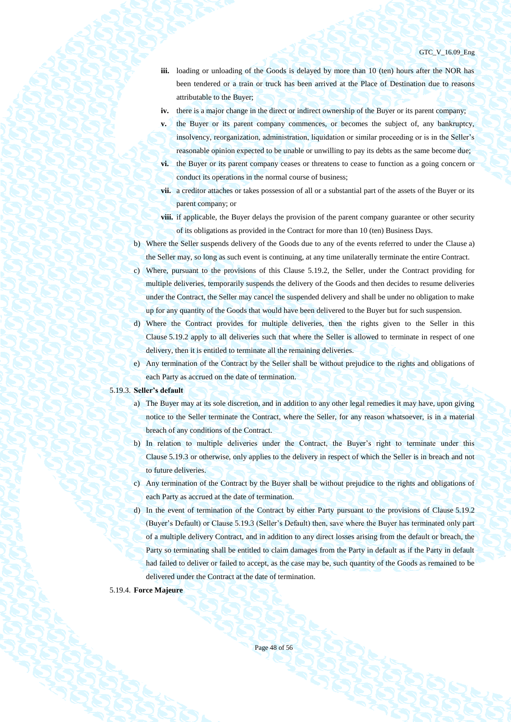- **iii.** loading or unloading of the Goods is delayed by more than 10 (ten) hours after the NOR has been tendered or a train or truck has been arrived at the Place of Destination due to reasons attributable to the Buyer;
- **iv.** there is a major change in the direct or indirect ownership of the Buyer or its parent company;
- **v.** the Buyer or its parent company commences, or becomes the subject of, any bankruptcy, insolvency, reorganization, administration, liquidation or similar proceeding or is in the Seller's reasonable opinion expected to be unable or unwilling to pay its debts as the same become due;
- **vi.** the Buyer or its parent company ceases or threatens to cease to function as a going concern or conduct its operations in the normal course of business;
- **vii.** a creditor attaches or takes possession of all or a substantial part of the assets of the Buyer or its parent company; or
- **viii.** if applicable, the Buyer delays the provision of the parent company guarantee or other security of its obligations as provided in the Contract for more than 10 (ten) Business Days.
- b) Where the Seller suspends delivery of the Goods due to any of the events referred to under the Clause [a\)](#page-46-1) the Seller may, so long as such event is continuing, at any time unilaterally terminate the entire Contract.
- c) Where, pursuant to the provisions of this Clause [5.19.2,](#page-46-0) the Seller, under the Contract providing for multiple deliveries, temporarily suspends the delivery of the Goods and then decides to resume deliveries under the Contract, the Seller may cancel the suspended delivery and shall be under no obligation to make up for any quantity of the Goods that would have been delivered to the Buyer but for such suspension.
- d) Where the Contract provides for multiple deliveries, then the rights given to the Seller in this Clause [5.19.2](#page-46-0) apply to all deliveries such that where the Seller is allowed to terminate in respect of one delivery, then it is entitled to terminate all the remaining deliveries.
- e) Any termination of the Contract by the Seller shall be without prejudice to the rights and obligations of each Party as accrued on the date of termination.

### <span id="page-47-1"></span>5.19.3. **Seller's default**

- a) The Buyer may at its sole discretion, and in addition to any other legal remedies it may have, upon giving notice to the Seller terminate the Contract, where the Seller, for any reason whatsoever, is in a material breach of any conditions of the Contract.
- b) In relation to multiple deliveries under the Contract, the Buyer's right to terminate under this Clause [5.19.3](#page-47-1) or otherwise, only applies to the delivery in respect of which the Seller is in breach and not to future deliveries.
- c) Any termination of the Contract by the Buyer shall be without prejudice to the rights and obligations of each Party as accrued at the date of termination.
- d) In the event of termination of the Contract by either Party pursuant to the provisions of Clause [5.19.2](#page-46-0) (Buyer's Default) or Claus[e 5.19.3](#page-47-1) (Seller's Default) then, save where the Buyer has terminated only part of a multiple delivery Contract, and in addition to any direct losses arising from the default or breach, the Party so terminating shall be entitled to claim damages from the Party in default as if the Party in default had failed to deliver or failed to accept, as the case may be, such quantity of the Goods as remained to be delivered under the Contract at the date of termination.

### <span id="page-47-0"></span>5.19.4. **Force Majeure**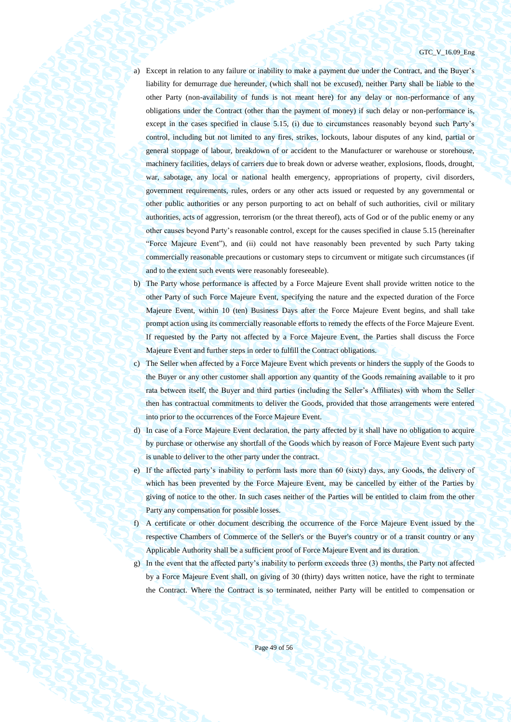#### GTC\_V\_16.09\_Eng

a) Except in relation to any failure or inability to make a payment due under the Contract, and the Buyer's liability for demurrage due hereunder, (which shall not be excused), neither Party shall be liable to the other Party (non-availability of funds is not meant here) for any delay or non-performance of any obligations under the Contract (other than the payment of money) if such delay or non-performance is, except in the cases specified in clause 5.15, (i) due to circumstances reasonably beyond such Party's control, including but not limited to any fires, strikes, lockouts, labour disputes of any kind, partial or general stoppage of labour, breakdown of or accident to the Manufacturer or warehouse or storehouse, machinery facilities, delays of carriers due to break down or adverse weather, explosions, floods, drought, war, sabotage, any local or national health emergency, appropriations of property, civil disorders, government requirements, rules, orders or any other acts issued or requested by any governmental or other public authorities or any person purporting to act on behalf of such authorities, civil or military authorities, acts of aggression, terrorism (or the threat thereof), acts of God or of the public enemy or any other causes beyond Party's reasonable control, except for the causes specified in clause 5.15 (hereinafter "Force Majeure Event"), and (ii) could not have reasonably been prevented by such Party taking commercially reasonable precautions or customary steps to circumvent or mitigate such circumstances (if and to the extent such events were reasonably foreseeable).

- b) The Party whose performance is affected by a Force Majeure Event shall provide written notice to the other Party of such Force Majeure Event, specifying the nature and the expected duration of the Force Majeure Event, within 10 (ten) Business Days after the Force Majeure Event begins, and shall take prompt action using its commercially reasonable efforts to remedy the effects of the Force Majeure Event. If requested by the Party not affected by a Force Majeure Event, the Parties shall discuss the Force Majeure Event and further steps in order to fulfill the Contract obligations.
- c) The Seller when affected by a Force Majeure Event which prevents or hinders the supply of the Goods to the Buyer or any other customer shall apportion any quantity of the Goods remaining available to it pro rata between itself, the Buyer and third parties (including the Seller's Affiliates) with whom the Seller then has contractual commitments to deliver the Goods, provided that those arrangements were entered into prior to the occurrences of the Force Majeure Event.
- d) In case of a Force Majeure Event declaration, the party affected by it shall have no obligation to acquire by purchase or otherwise any shortfall of the Goods which by reason of Force Majeure Event such party is unable to deliver to the other party under the contract.
- e) If the affected party's inability to perform lasts more than 60 (sixty) days, any Goods, the delivery of which has been prevented by the Force Majeure Event, may be cancelled by either of the Parties by giving of notice to the other. In such cases neither of the Parties will be entitled to claim from the other Party any compensation for possible losses.
- f) A certificate or other document describing the occurrence of the Force Majeure Event issued by the respective Chambers of Commerce of the Seller's or the Buyer's country or of a transit country or any Applicable Authority shall be a sufficient proof of Force Majeure Event and its duration.
- g) In the event that the affected party's inability to perform exceeds three (3) months, the Party not affected by a Force Majeure Event shall, on giving of 30 (thirty) days written notice, have the right to terminate the Contract. Where the Contract is so terminated, neither Party will be entitled to compensation or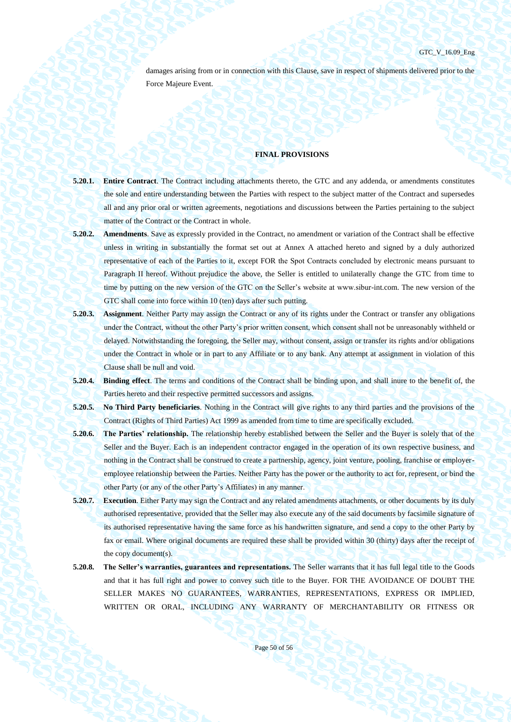damages arising from or in connection with this Clause, save in respect of shipments delivered prior to the Force Majeure Event.

## **FINAL PROVISIONS**

- **5.20.1. Entire Contract**. The Contract including attachments thereto, the GTC and any addenda, or amendments constitutes the sole and entire understanding between the Parties with respect to the subject matter of the Contract and supersedes all and any prior oral or written agreements, negotiations and discussions between the Parties pertaining to the subject matter of the Contract or the Contract in whole.
- **5.20.2. Amendments**. Save as expressly provided in the Contract, no amendment or variation of the Contract shall be effective unless in writing in substantially the format set out at Annex A attached hereto and signed by a duly authorized representative of each of the Parties to it, except FOR the Spot Сontracts concluded by electronic means pursuant to Paragraph II hereof. Without prejudice the above, the Seller is entitled to unilaterally change the GTC from time to time by putting on the new version of the GTC on the Seller's website at www.sibur-int.com. The new version of the GTC shall come into force within 10 (ten) days after such putting.
- **5.20.3. Assignment**. Neither Party may assign the Contract or any of its rights under the Contract or transfer any obligations under the Contract, without the other Party's prior written consent, which consent shall not be unreasonably withheld or delayed. Notwithstanding the foregoing, the Seller may, without consent, assign or transfer its rights and/or obligations under the Contract in whole or in part to any Affiliate or to any bank. Any attempt at assignment in violation of this Clause shall be null and void.
- **5.20.4. Binding effect**. The terms and conditions of the Contract shall be binding upon, and shall inure to the benefit of, the Parties hereto and their respective permitted successors and assigns.
- **5.20.5. No Third Party beneficiaries**. Nothing in the Contract will give rights to any third parties and the provisions of the Contract (Rights of Third Parties) Act 1999 as amended from time to time are specifically excluded.
- **5.20.6. The Parties' relationship.** The relationship hereby established between the Seller and the Buyer is solely that of the Seller and the Buyer. Each is an independent contractor engaged in the operation of its own respective business, and nothing in the Contract shall be construed to create a partnership, agency, joint venture, pooling, franchise or employeremployee relationship between the Parties. Neither Party has the power or the authority to act for, represent, or bind the other Party (or any of the other Party's Affiliates) in any manner.
- **5.20.7. Execution**. Either Party may sign the Contract and any related amendments attachments, or other documents by its duly authorised representative, provided that the Seller may also execute any of the said documents by facsimile signature of its authorised representative having the same force as his handwritten signature, and send a copy to the other Party by fax or email. Where original documents are required these shall be provided within 30 (thirty) days after the receipt of the copy document(s).
- **5.20.8. The Seller's warranties, guarantees and representations.** The Seller warrants that it has full legal title to the Goods and that it has full right and power to convey such title to the Buyer. FOR THE AVOIDANCE OF DOUBT THE SELLER MAKES NO GUARANTEES, WARRANTIES, REPRESENTATIONS, EXPRESS OR IMPLIED, WRITTEN OR ORAL, INCLUDING ANY WARRANTY OF MERCHANTABILITY OR FITNESS OR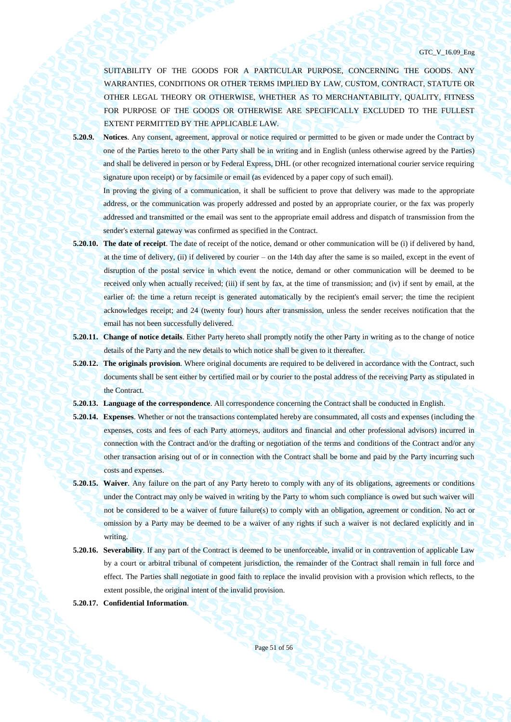GTC\_V\_16.09\_Eng

SUITABILITY OF THE GOODS FOR A PARTICULAR PURPOSE, CONCERNING THE GOODS. ANY WARRANTIES, CONDITIONS OR OTHER TERMS IMPLIED BY LAW, CUSTOM, CONTRACT, STATUTE OR OTHER LEGAL THEORY OR OTHERWISE, WHETHER AS TO MERCHANTABILITY, QUALITY, FITNESS FOR PURPOSE OF THE GOODS OR OTHERWISE ARE SPECIFICALLY EXCLUDED TO THE FULLEST EXTENT PERMITTED BY THE APPLICABLE LAW.

**5.20.9. Notices**. Any consent, agreement, approval or notice required or permitted to be given or made under the Contract by one of the Parties hereto to the other Party shall be in writing and in English (unless otherwise agreed by the Parties) and shall be delivered in person or by Federal Express, DHL (or other recognized international courier service requiring signature upon receipt) or by facsimile or email (as evidenced by a paper copy of such email).

In proving the giving of a communication, it shall be sufficient to prove that delivery was made to the appropriate address, or the communication was properly addressed and posted by an appropriate courier, or the fax was properly addressed and transmitted or the email was sent to the appropriate email address and dispatch of transmission from the sender's external gateway was confirmed as specified in the Contract.

- **5.20.10. The date of receipt**. The date of receipt of the notice, demand or other communication will be (i) if delivered by hand, at the time of delivery, (ii) if delivered by courier – on the 14th day after the same is so mailed, except in the event of disruption of the postal service in which event the notice, demand or other communication will be deemed to be received only when actually received; (iii) if sent by fax, at the time of transmission; and (iv) if sent by email, at the earlier of: the time a return receipt is generated automatically by the recipient's email server; the time the recipient acknowledges receipt; and 24 (twenty four) hours after transmission, unless the sender receives notification that the email has not been successfully delivered.
- **5.20.11. Change of notice details**. Either Party hereto shall promptly notify the other Party in writing as to the change of notice details of the Party and the new details to which notice shall be given to it thereafter.
- **5.20.12. The originals provision**. Where original documents are required to be delivered in accordance with the Contract, such documents shall be sent either by certified mail or by courier to the postal address of the receiving Party as stipulated in the Contract.
- **5.20.13. Language of the correspondence**. All correspondence concerning the Contract shall be conducted in English.
- **5.20.14. Expenses**. Whether or not the transactions contemplated hereby are consummated, all costs and expenses (including the expenses, costs and fees of each Party attorneys, auditors and financial and other professional advisors) incurred in connection with the Contract and/or the drafting or negotiation of the terms and conditions of the Contract and/or any other transaction arising out of or in connection with the Contract shall be borne and paid by the Party incurring such costs and expenses.
- **5.20.15. Waiver**. Any failure on the part of any Party hereto to comply with any of its obligations, agreements or conditions under the Contract may only be waived in writing by the Party to whom such compliance is owed but such waiver will not be considered to be a waiver of future failure(s) to comply with an obligation, agreement or condition. No act or omission by a Party may be deemed to be a waiver of any rights if such a waiver is not declared explicitly and in writing.
- **5.20.16. Severability**. If any part of the Contract is deemed to be unenforceable, invalid or in contravention of applicable Law by a court or arbitral tribunal of competent jurisdiction, the remainder of the Contract shall remain in full force and effect. The Parties shall negotiate in good faith to replace the invalid provision with a provision which reflects, to the extent possible, the original intent of the invalid provision.
- **5.20.17. Confidential Information**.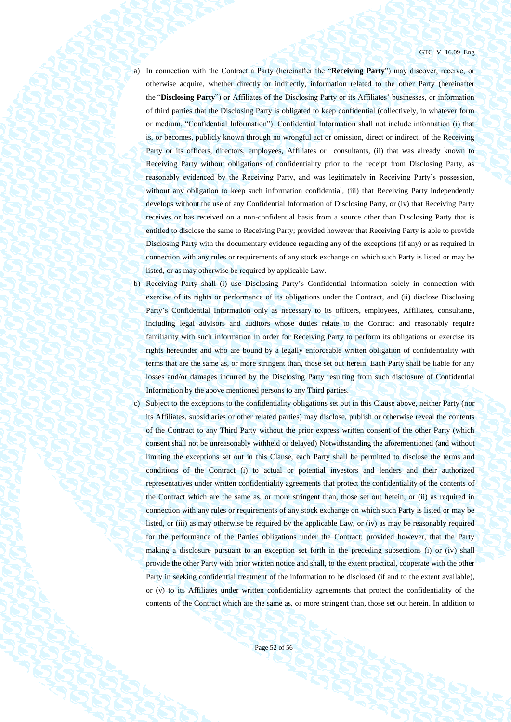a) In connection with the Contract a Party (hereinafter the "**Receiving Party**") may discover, receive, or otherwise acquire, whether directly or indirectly, information related to the other Party (hereinafter the "**Disclosing Party**") or Affiliates of the Disclosing Party or its Affiliates' businesses, or information of third parties that the Disclosing Party is obligated to keep confidential (collectively, in whatever form or medium, "Confidential Information"). Confidential Information shall not include information (i) that is, or becomes, publicly known through no wrongful act or omission, direct or indirect, of the Receiving Party or its officers, directors, employees, Affiliates or consultants, (ii) that was already known to Receiving Party without obligations of confidentiality prior to the receipt from Disclosing Party, as reasonably evidenced by the Receiving Party, and was legitimately in Receiving Party's possession, without any obligation to keep such information confidential, (iii) that Receiving Party independently develops without the use of any Confidential Information of Disclosing Party, or (iv) that Receiving Party receives or has received on a non-confidential basis from a source other than Disclosing Party that is entitled to disclose the same to Receiving Party; provided however that Receiving Party is able to provide Disclosing Party with the documentary evidence regarding any of the exceptions (if any) or as required in connection with any rules or requirements of any stock exchange on which such Party is listed or may be listed, or as may otherwise be required by applicable Law.

b) Receiving Party shall (i) use Disclosing Party's Confidential Information solely in connection with exercise of its rights or performance of its obligations under the Contract, and (ii) disclose Disclosing Party's Confidential Information only as necessary to its officers, employees, Affiliates, consultants, including legal advisors and auditors whose duties relate to the Contract and reasonably require familiarity with such information in order for Receiving Party to perform its obligations or exercise its rights hereunder and who are bound by a legally enforceable written obligation of confidentiality with terms that are the same as, or more stringent than, those set out herein. Each Party shall be liable for any losses and/or damages incurred by the Disclosing Party resulting from such disclosure of Confidential Information by the above mentioned persons to any Third parties.

c) Subject to the exceptions to the confidentiality obligations set out in this Clause above, neither Party (nor its Affiliates, subsidiaries or other related parties) may disclose, publish or otherwise reveal the contents of the Contract to any Third Party without the prior express written consent of the other Party (which consent shall not be unreasonably withheld or delayed) Notwithstanding the aforementioned (and without limiting the exceptions set out in this Clause, each Party shall be permitted to disclose the terms and conditions of the Contract (i) to actual or potential investors and lenders and their authorized representatives under written confidentiality agreements that protect the confidentiality of the contents of the Contract which are the same as, or more stringent than, those set out herein, or (ii) as required in connection with any rules or requirements of any stock exchange on which such Party is listed or may be listed, or (iii) as may otherwise be required by the applicable Law, or (iv) as may be reasonably required for the performance of the Parties obligations under the Contract; provided however, that the Party making a disclosure pursuant to an exception set forth in the preceding subsections (i) or (iv) shall provide the other Party with prior written notice and shall, to the extent practical, cooperate with the other Party in seeking confidential treatment of the information to be disclosed (if and to the extent available), or (v) to its Affiliates under written confidentiality agreements that protect the confidentiality of the contents of the Contract which are the same as, or more stringent than, those set out herein. In addition to

Page 52 of 56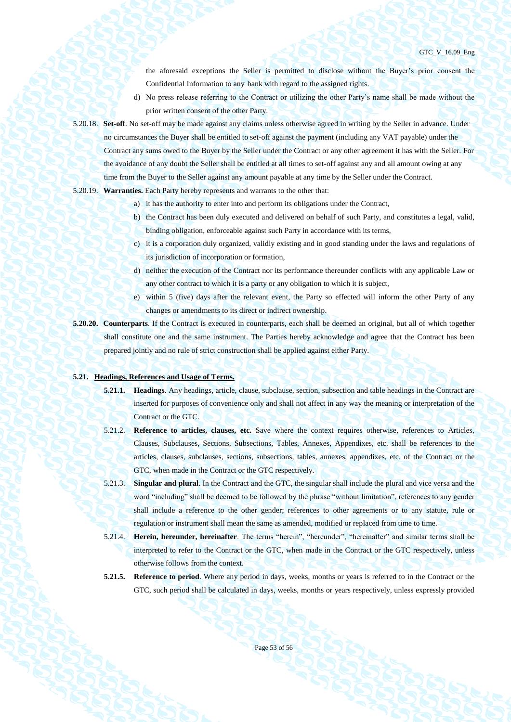the aforesaid exceptions the Seller is permitted to disclose without the Buyer's prior consent the Confidential Information to any bank with regard to the assigned rights.

- d) No press release referring to the Contract or utilizing the other Party's name shall be made without the prior written consent of the other Party.
- 5.20.18. **Set-off**. No set-off may be made against any claims unless otherwise agreed in writing by the Seller in advance. Under no circumstances the Buyer shall be entitled to set-off against the payment (including any VAT payable) under the Contract any sums owed to the Buyer by the Seller under the Contract or any other agreement it has with the Seller. For the avoidance of any doubt the Seller shall be entitled at all times to set-off against any and all amount owing at any time from the Buyer to the Seller against any amount payable at any time by the Seller under the Contract.
- 5.20.19. **Warranties.** Each Party hereby represents and warrants to the other that:
	- a) it has the authority to enter into and perform its obligations under the Contract,
	- b) the Contract has been duly executed and delivered on behalf of such Party, and constitutes a legal, valid, binding obligation, enforceable against such Party in accordance with its terms,
	- c) it is a corporation duly organized, validly existing and in good standing under the laws and regulations of its jurisdiction of incorporation or formation,
	- d) neither the execution of the Contract nor its performance thereunder conflicts with any applicable Law or any other contract to which it is a party or any obligation to which it is subject,
	- e) within 5 (five) days after the relevant event, the Party so effected will inform the other Party of any changes or amendments to its direct or indirect ownership.
- **5.20.20. Counterparts**. If the Contract is executed in counterparts, each shall be deemed an original, but all of which together shall constitute one and the same instrument. The Parties hereby acknowledge and agree that the Contract has been prepared jointly and no rule of strict construction shall be applied against either Party.

#### **5.21. Headings, References and Usage of Terms.**

- **5.21.1. Headings**. Any headings, article, clause, subclause, section, subsection and table headings in the Contract are inserted for purposes of convenience only and shall not affect in any way the meaning or interpretation of the Contract or the GTC.
- 5.21.2. **Reference to articles, clauses, etc.** Save where the context requires otherwise, references to Articles, Clauses, Subclauses, Sections, Subsections, Tables, Annexes, Appendixes, etc. shall be references to the articles, clauses, subclauses, sections, subsections, tables, annexes, appendixes, etc. of the Contract or the GTC, when made in the Contract or the GTC respectively.
- 5.21.3. **Singular and plural**. In the Contract and the GTC, the singular shall include the plural and vice versa and the word "including" shall be deemed to be followed by the phrase "without limitation", references to any gender shall include a reference to the other gender; references to other agreements or to any statute, rule or regulation or instrument shall mean the same as amended, modified or replaced from time to time.
- 5.21.4. **Herein, hereunder, hereinafter**. The terms "herein", "hereunder", "hereinafter" and similar terms shall be interpreted to refer to the Contract or the GTC, when made in the Contract or the GTC respectively, unless otherwise follows from the context.
- **5.21.5. Reference to period**. Where any period in days, weeks, months or years is referred to in the Contract or the GTC, such period shall be calculated in days, weeks, months or years respectively, unless expressly provided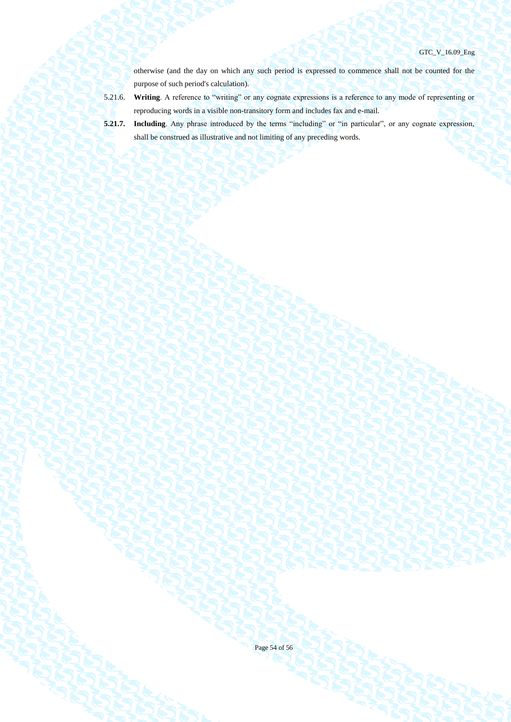otherwise (and the day on which any such period is expressed to commence shall not be counted for the purpose of such period's calculation).

- 5.21.6. **Writing**. A reference to "writing" or any cognate expressions is a reference to any mode of representing or reproducing words in a visible non-transitory form and includes fax and e-mail.
- **5.21.7. Including**. Any phrase introduced by the terms "including" or "in particular", or any cognate expression, shall be construed as illustrative and not limiting of any preceding words.
- 

Page 54 of 56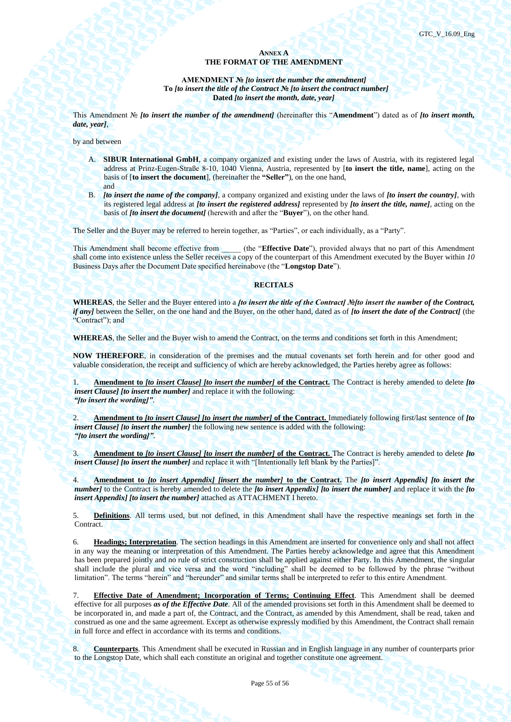## **ANNEX A THE FORMAT OF THE AMENDMENT**

**AMENDMENT №** *[to insert the number the amendment]* **To** *[to insert the title of the Contract* **№** *[to insert the contract number]* **Dated** *[to insert the month, date, year]*

This Amendment № *[to insert the number of the amendment]* (hereinafter this "**Amendment**") dated as of *[to insert month, date, year]*,

by and between

- A. **SIBUR International GmbH**, a company organized and existing under the laws of Austria, with its registered legal address at Prinz-Eugen-Straße 8-10, 1040 Vienna, Austria, represented by [**to insert the title, name**], acting on the basis of [**to insert the document**], (hereinafter the **"Seller"**), on the one hand, and
- B. *[to insert the name of the company]*, a company organized and existing under the laws of *[to insert the country]*, with its registered legal address at *[to insert the registered address]* represented by *[to insert the title, name]*, acting on the basis of *[to insert the document]* (herewith and after the "**Buyer**"), on the other hand.

The Seller and the Buyer may be referred to herein together, as "Parties", or each individually, as a "Party".

This Amendment shall become effective from (the "**Effective Date**"), provided always that no part of this Amendment shall come into existence unless the Seller receives a copy of the counterpart of this Amendment executed by the Buyer within *10* Business Days after the Document Date specified hereinabove (the "**Longstop Date**").

### **RECITALS**

**WHEREAS**, the Seller and the Buyer entered into a *[to insert the title of the Contract] №[to insert the number of the Contract, if any]* between the Seller, on the one hand and the Buyer, on the other hand, dated as of *[to insert the date of the Contract]* (the "Contract"); and

**WHEREAS**, the Seller and the Buyer wish to amend the Contract, on the terms and conditions set forth in this Amendment;

**NOW THEREFORE**, in consideration of the premises and the mutual covenants set forth herein and for other good and valuable consideration, the receipt and sufficiency of which are hereby acknowledged, the Parties hereby agree as follows:

1. **Amendment to** *[to insert Clause] [to insert the number]* **of the Contract.** The Contract is hereby amended to delete *[to insert Clause] [to insert the number]* and replace it with the following: *"[to insert the wording]"*.

2. **Amendment to** *[to insert Clause] [to insert the number]* **of the Contract.** Immediately following first/last sentence of *[to insert Clause] [to insert the number]* the following new sentence is added with the following: *"[to insert the wording]"*.

3. **Amendment to** *[to insert Clause] [to insert the number]* **of the Contract.** The Contract is hereby amended to delete *[to insert Clause] [to insert the number]* and replace it with "[Intentionally left blank by the Parties]".

4. **Amendment to** *[to insert Appendix] [insert the number]* **to the Contract.** The *[to insert Appendix] [to insert the number]* to the Contract is hereby amended to delete the *[to insert Appendix] [to insert the number]* and replace it with the *[to insert Appendix] [to insert the number]* attached as ATTACHMENT I hereto.

5. **Definitions**. All terms used, but not defined, in this Amendment shall have the respective meanings set forth in the Contract.

6. **Headings; Interpretation**. The section headings in this Amendment are inserted for convenience only and shall not affect in any way the meaning or interpretation of this Amendment. The Parties hereby acknowledge and agree that this Amendment has been prepared jointly and no rule of strict construction shall be applied against either Party. In this Amendment, the singular shall include the plural and vice versa and the word "including" shall be deemed to be followed by the phrase "without limitation". The terms "herein" and "hereunder" and similar terms shall be interpreted to refer to this entire Amendment.

7. **Effective Date of Amendment; Incorporation of Terms; Continuing Effect**. This Amendment shall be deemed effective for all purposes *as of the Effective Date*. All of the amended provisions set forth in this Amendment shall be deemed to be incorporated in, and made a part of, the Contract, and the Contract, as amended by this Amendment, shall be read, taken and construed as one and the same agreement. Except as otherwise expressly modified by this Amendment, the Contract shall remain in full force and effect in accordance with its terms and conditions.

8. **Counterparts**. This Amendment shall be executed in Russian and in English language in any number of counterparts prior to the Longstop Date, which shall each constitute an original and together constitute one agreement.